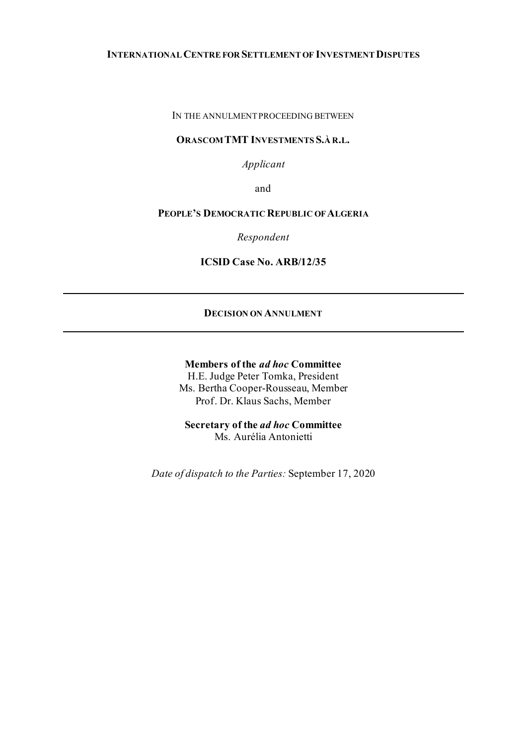### **INTERNATIONAL CENTRE FOR SETTLEMENT OF INVESTMENT DISPUTES**

IN THE ANNULMENT PROCEEDING BETWEEN

#### **ORASCOM TMT INVESTMENTS S.À R.L.**

*Applicant*

and

## **PEOPLE'S DEMOCRATIC REPUBLIC OF ALGERIA**

*Respondent*

**ICSID Case No. ARB/12/35**

#### **DECISION ON ANNULMENT**

## **Members of the** *ad hoc* **Committee**

H.E. Judge Peter Tomka, President Ms. Bertha Cooper-Rousseau, Member Prof. Dr. Klaus Sachs, Member

**Secretary of the** *ad hoc* **Committee** Ms. Aurélia Antonietti

*Date of dispatch to the Parties:* September 17, 2020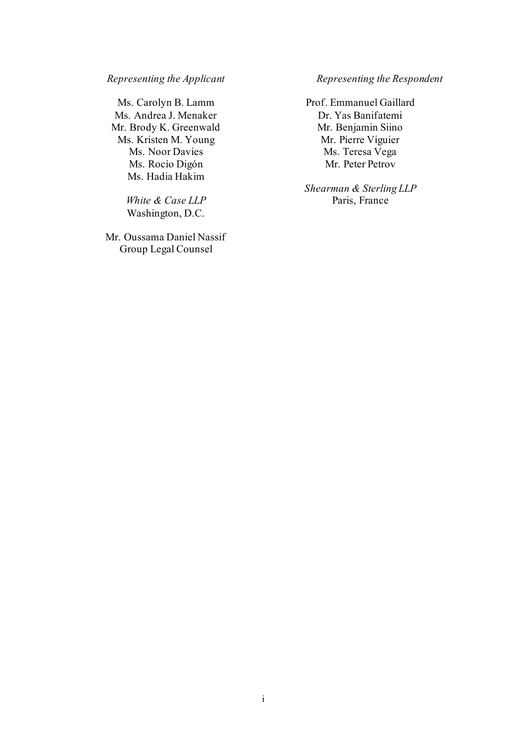*Representing the Applicant*

Ms. Carolyn B. Lamm Ms. Andrea J. Menaker Mr. Brody K. Greenwald Ms. Kristen M. Young Ms. Noor Davies Ms. Rocío Digón Ms. Hadia Hakim

> *White & Case LLP* Washington, D.C.

Mr. Oussama Daniel Nassif Group Legal Counsel

*Representing the Respondent*

Prof. Emmanuel Gaillard Dr. Yas Banifatemi Mr. Benjamin Siino Mr. Pierre Viguier Ms. Teresa Vega Mr. Peter Petrov

*Shearman & Sterling LLP* Paris, France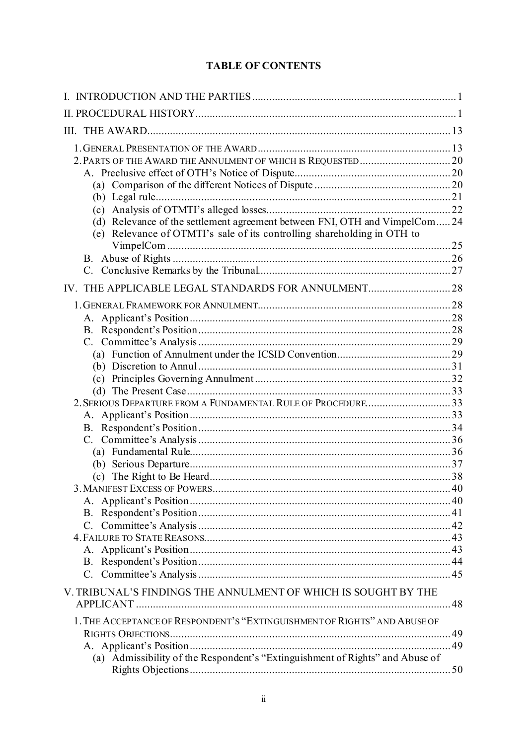# **TABLE OF CONTENTS**

| 2. PARTS OF THE AWARD THE ANNULMENT OF WHICH IS REQUESTED 20                                                                                             |  |
|----------------------------------------------------------------------------------------------------------------------------------------------------------|--|
|                                                                                                                                                          |  |
| (a)                                                                                                                                                      |  |
|                                                                                                                                                          |  |
|                                                                                                                                                          |  |
| (d) Relevance of the settlement agreement between FNI, OTH and VimpelCom24<br>Relevance of OTMTI's sale of its controlling shareholding in OTH to<br>(e) |  |
|                                                                                                                                                          |  |
|                                                                                                                                                          |  |
| $C_{\cdot}$                                                                                                                                              |  |
| IV. THE APPLICABLE LEGAL STANDARDS FOR ANNULMENT 28                                                                                                      |  |
|                                                                                                                                                          |  |
|                                                                                                                                                          |  |
|                                                                                                                                                          |  |
|                                                                                                                                                          |  |
|                                                                                                                                                          |  |
|                                                                                                                                                          |  |
|                                                                                                                                                          |  |
|                                                                                                                                                          |  |
| 2. SERIOUS DEPARTURE FROM A FUNDAMENTAL RULE OF PROCEDURE 33                                                                                             |  |
|                                                                                                                                                          |  |
|                                                                                                                                                          |  |
|                                                                                                                                                          |  |
|                                                                                                                                                          |  |
|                                                                                                                                                          |  |
|                                                                                                                                                          |  |
|                                                                                                                                                          |  |
|                                                                                                                                                          |  |
|                                                                                                                                                          |  |
|                                                                                                                                                          |  |
|                                                                                                                                                          |  |
|                                                                                                                                                          |  |
|                                                                                                                                                          |  |
| V. TRIBUNAL'S FINDINGS THE ANNULMENT OF WHICH IS SOUGHT BY THE                                                                                           |  |
| 1. THE ACCEPTANCE OF RESPONDENT'S "EXTINGUISHMENT OF RIGHTS" AND ABUSE OF                                                                                |  |
|                                                                                                                                                          |  |
|                                                                                                                                                          |  |
| (a) Admissibility of the Respondent's "Extinguishment of Rights" and Abuse of                                                                            |  |
|                                                                                                                                                          |  |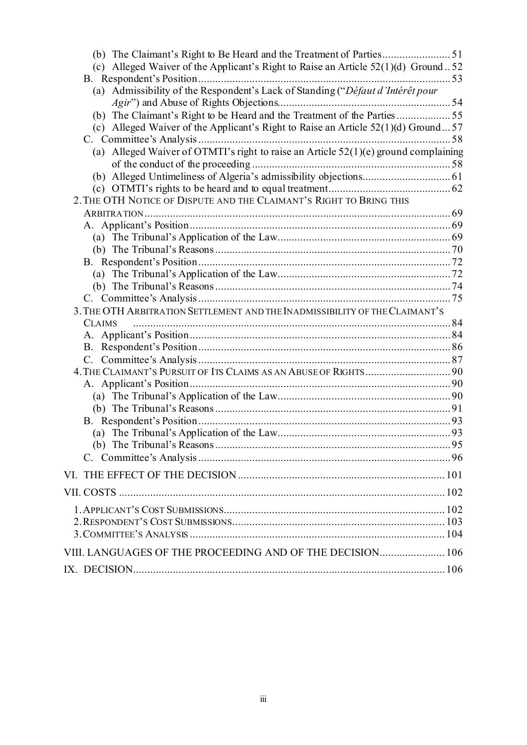| (c) Alleged Waiver of the Applicant's Right to Raise an Article $52(1)(d)$ Ground  52 |  |
|---------------------------------------------------------------------------------------|--|
|                                                                                       |  |
| (a) Admissibility of the Respondent's Lack of Standing ("Défaut d'Intérêt pour        |  |
|                                                                                       |  |
| (b) The Claimant's Right to be Heard and the Treatment of the Parties55               |  |
| (c) Alleged Waiver of the Applicant's Right to Raise an Article $52(1)(d)$ Ground 57  |  |
|                                                                                       |  |
| (a) Alleged Waiver of OTMTI's right to raise an Article $52(1)(e)$ ground complaining |  |
|                                                                                       |  |
|                                                                                       |  |
|                                                                                       |  |
| 2. THE OTH NOTICE OF DISPUTE AND THE CLAIMANT'S RIGHT TO BRING THIS                   |  |
|                                                                                       |  |
|                                                                                       |  |
|                                                                                       |  |
|                                                                                       |  |
|                                                                                       |  |
|                                                                                       |  |
|                                                                                       |  |
|                                                                                       |  |
|                                                                                       |  |
| 3. THE OTH ARBITRATION SETTLEMENT AND THE INADMISSIBILITY OF THE CLAIMANT'S           |  |
| <b>CLAIMS</b>                                                                         |  |
|                                                                                       |  |
|                                                                                       |  |
|                                                                                       |  |
|                                                                                       |  |
|                                                                                       |  |
|                                                                                       |  |
|                                                                                       |  |
|                                                                                       |  |
|                                                                                       |  |
|                                                                                       |  |
|                                                                                       |  |
|                                                                                       |  |
|                                                                                       |  |
|                                                                                       |  |
|                                                                                       |  |
|                                                                                       |  |
|                                                                                       |  |
|                                                                                       |  |
| VIII. LANGUAGES OF THE PROCEEDING AND OF THE DECISION 106                             |  |
|                                                                                       |  |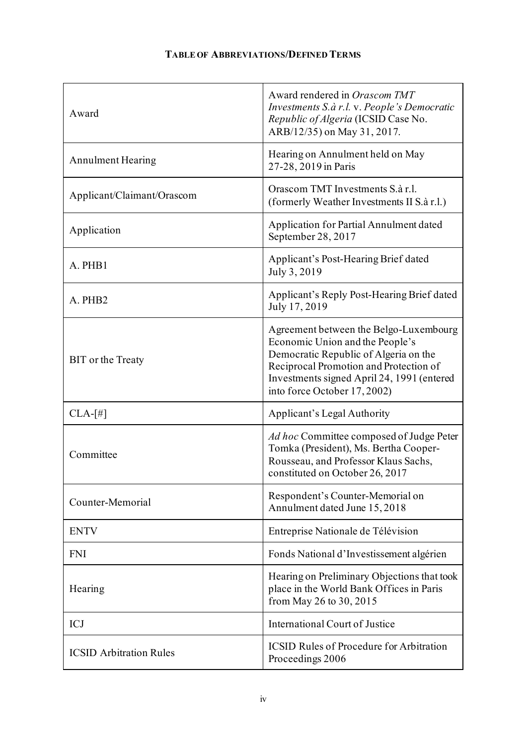# **TABLE OF ABBREVIATIONS/DEFINED TERMS**

| Award                          | Award rendered in Orascom TMT<br>Investments S.à r.l. v. People's Democratic<br>Republic of Algeria (ICSID Case No.<br>ARB/12/35) on May 31, 2017.                                                                                         |
|--------------------------------|--------------------------------------------------------------------------------------------------------------------------------------------------------------------------------------------------------------------------------------------|
| <b>Annulment Hearing</b>       | Hearing on Annulment held on May<br>27-28, 2019 in Paris                                                                                                                                                                                   |
| Applicant/Claimant/Orascom     | Orascom TMT Investments S.à r.l.<br>(formerly Weather Investments II S.à r.l.)                                                                                                                                                             |
| Application                    | Application for Partial Annulment dated<br>September 28, 2017                                                                                                                                                                              |
| A. PHB1                        | Applicant's Post-Hearing Brief dated<br>July 3, 2019                                                                                                                                                                                       |
| A. PHB2                        | Applicant's Reply Post-Hearing Brief dated<br>July 17, 2019                                                                                                                                                                                |
| BIT or the Treaty              | Agreement between the Belgo-Luxembourg<br>Economic Union and the People's<br>Democratic Republic of Algeria on the<br>Reciprocal Promotion and Protection of<br>Investments signed April 24, 1991 (entered<br>into force October 17, 2002) |
| $CLA-[#]$                      | Applicant's Legal Authority                                                                                                                                                                                                                |
| Committee                      | Ad hoc Committee composed of Judge Peter<br>Tomka (President), Ms. Bertha Cooper-<br>Rousseau, and Professor Klaus Sachs,<br>constituted on October 26, 2017                                                                               |
| Counter-Memorial               | Respondent's Counter-Memorial on<br>Annulment dated June 15, 2018                                                                                                                                                                          |
| <b>ENTV</b>                    | Entreprise Nationale de Télévision                                                                                                                                                                                                         |
| <b>FNI</b>                     | Fonds National d'Investissement algérien                                                                                                                                                                                                   |
| Hearing                        | Hearing on Preliminary Objections that took<br>place in the World Bank Offices in Paris<br>from May 26 to 30, 2015                                                                                                                         |
| ICJ                            | <b>International Court of Justice</b>                                                                                                                                                                                                      |
| <b>ICSID Arbitration Rules</b> | <b>ICSID Rules of Procedure for Arbitration</b><br>Proceedings 2006                                                                                                                                                                        |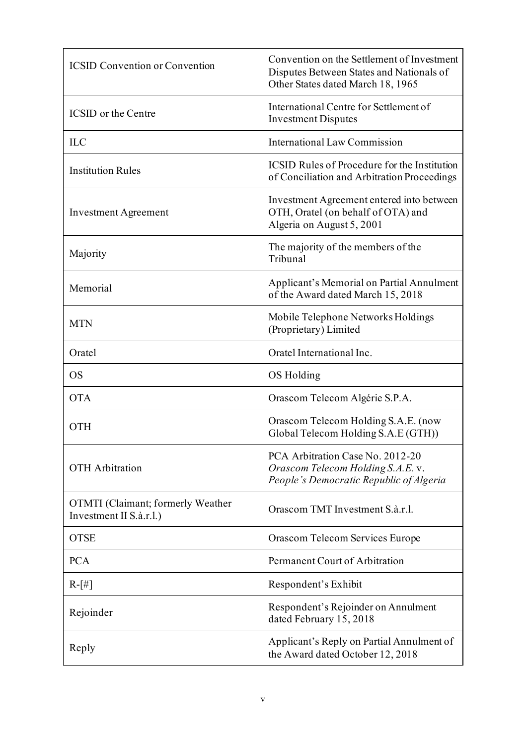| <b>ICSID Convention or Convention</b>                               | Convention on the Settlement of Investment<br>Disputes Between States and Nationals of<br>Other States dated March 18, 1965 |
|---------------------------------------------------------------------|-----------------------------------------------------------------------------------------------------------------------------|
| <b>ICSID</b> or the Centre                                          | International Centre for Settlement of<br><b>Investment Disputes</b>                                                        |
| <b>ILC</b>                                                          | <b>International Law Commission</b>                                                                                         |
| <b>Institution Rules</b>                                            | <b>ICSID Rules of Procedure for the Institution</b><br>of Conciliation and Arbitration Proceedings                          |
| <b>Investment Agreement</b>                                         | Investment Agreement entered into between<br>OTH, Oratel (on behalf of OTA) and<br>Algeria on August 5, 2001                |
| Majority                                                            | The majority of the members of the<br>Tribunal                                                                              |
| Memorial                                                            | Applicant's Memorial on Partial Annulment<br>of the Award dated March 15, 2018                                              |
| <b>MTN</b>                                                          | Mobile Telephone Networks Holdings<br>(Proprietary) Limited                                                                 |
| Oratel                                                              | Oratel International Inc.                                                                                                   |
| <b>OS</b>                                                           | OS Holding                                                                                                                  |
| <b>OTA</b>                                                          | Orascom Telecom Algérie S.P.A.                                                                                              |
| <b>OTH</b>                                                          | Orascom Telecom Holding S.A.E. (now<br>Global Telecom Holding S.A.E (GTH))                                                  |
| <b>OTH</b> Arbitration                                              | PCA Arbitration Case No. 2012-20<br>Orascom Telecom Holding S.A.E. v.<br>People's Democratic Republic of Algeria            |
| <b>OTMTI</b> (Claimant; formerly Weather<br>Investment II S.à.r.l.) | Orascom TMT Investment S.à.r.l.                                                                                             |
| <b>OTSE</b>                                                         | Orascom Telecom Services Europe                                                                                             |
| <b>PCA</b>                                                          | Permanent Court of Arbitration                                                                                              |
| $R-[#]$                                                             | Respondent's Exhibit                                                                                                        |
| Rejoinder                                                           | Respondent's Rejoinder on Annulment<br>dated February 15, 2018                                                              |
| Reply                                                               | Applicant's Reply on Partial Annulment of<br>the Award dated October 12, 2018                                               |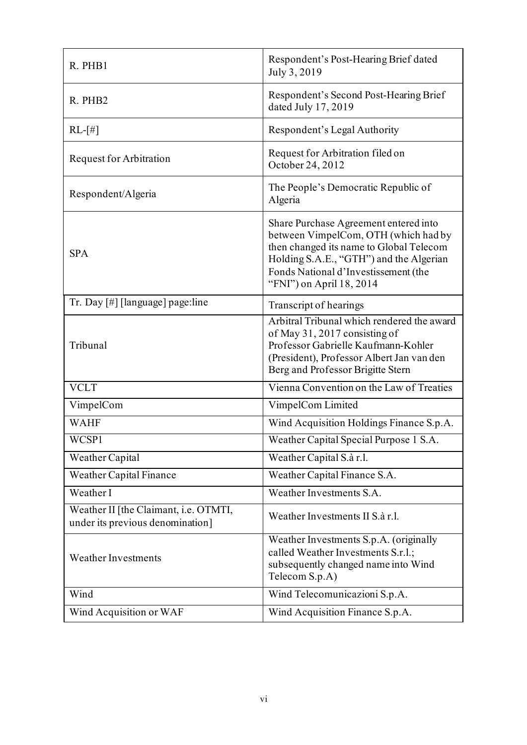| R. PHB1                                                                   | Respondent's Post-Hearing Brief dated<br>July 3, 2019                                                                                                                                                                                   |
|---------------------------------------------------------------------------|-----------------------------------------------------------------------------------------------------------------------------------------------------------------------------------------------------------------------------------------|
| R. PHB2                                                                   | Respondent's Second Post-Hearing Brief<br>dated July 17, 2019                                                                                                                                                                           |
| $RL-[#]$                                                                  | Respondent's Legal Authority                                                                                                                                                                                                            |
| <b>Request for Arbitration</b>                                            | Request for Arbitration filed on<br>October 24, 2012                                                                                                                                                                                    |
| Respondent/Algeria                                                        | The People's Democratic Republic of<br>Algeria                                                                                                                                                                                          |
| <b>SPA</b>                                                                | Share Purchase Agreement entered into<br>between VimpelCom, OTH (which had by<br>then changed its name to Global Telecom<br>Holding S.A.E., "GTH") and the Algerian<br>Fonds National d'Investissement (the<br>"FNI") on April 18, 2014 |
| Tr. Day $[#]$ [language] page:line                                        | Transcript of hearings                                                                                                                                                                                                                  |
| Tribunal                                                                  | Arbitral Tribunal which rendered the award<br>of May 31, 2017 consisting of<br>Professor Gabrielle Kaufmann-Kohler<br>(President), Professor Albert Jan van den<br>Berg and Professor Brigitte Stern                                    |
| <b>VCLT</b>                                                               | Vienna Convention on the Law of Treaties                                                                                                                                                                                                |
| VimpelCom                                                                 | VimpelCom Limited                                                                                                                                                                                                                       |
| <b>WAHF</b>                                                               | Wind Acquisition Holdings Finance S.p.A.                                                                                                                                                                                                |
| WCSP1                                                                     | Weather Capital Special Purpose 1 S.A.                                                                                                                                                                                                  |
| Weather Capital                                                           | Weather Capital S.à r.l.                                                                                                                                                                                                                |
| <b>Weather Capital Finance</b>                                            | Weather Capital Finance S.A.                                                                                                                                                                                                            |
| Weather I                                                                 | Weather Investments S.A.                                                                                                                                                                                                                |
| Weather II [the Claimant, i.e. OTMTI,<br>under its previous denomination] | Weather Investments II S.à r.l.                                                                                                                                                                                                         |
| <b>Weather Investments</b>                                                | Weather Investments S.p.A. (originally<br>called Weather Investments S.r.l.;<br>subsequently changed name into Wind<br>Telecom S.p.A)                                                                                                   |
| Wind                                                                      | Wind Telecomunicazioni S.p.A.                                                                                                                                                                                                           |
| Wind Acquisition or WAF                                                   | Wind Acquisition Finance S.p.A.                                                                                                                                                                                                         |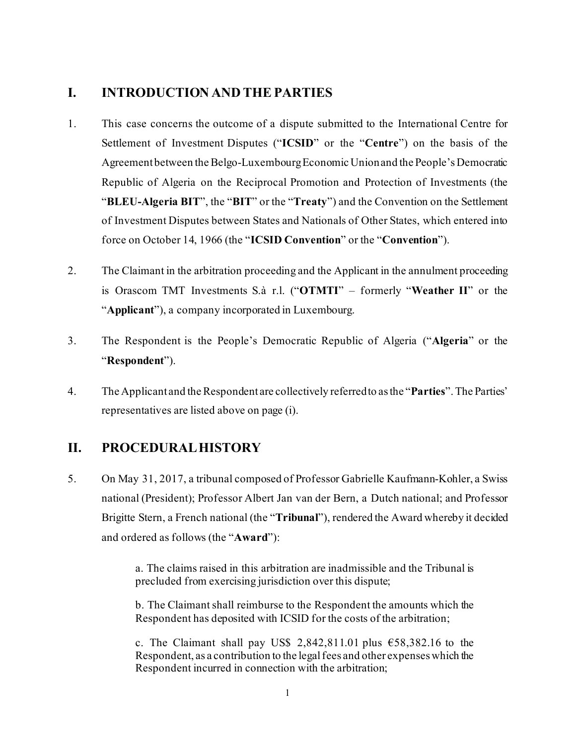# **I. INTRODUCTION AND THE PARTIES**

- <span id="page-7-0"></span>1. This case concerns the outcome of a dispute submitted to the International Centre for Settlement of Investment Disputes ("**ICSID**" or the "**Centre**") on the basis of the Agreement between the Belgo-Luxembourg Economic Union and the People's Democratic Republic of Algeria on the Reciprocal Promotion and Protection of Investments (the "**BLEU-Algeria BIT**", the "**BIT**" or the "**Treaty**") and the Convention on the Settlement of Investment Disputes between States and Nationals of Other States, which entered into force on October 14, 1966 (the "**ICSID Convention**" or the "**Convention**").
- 2. The Claimant in the arbitration proceeding and the Applicant in the annulment proceeding is Orascom TMT Investments S.à r.l. ("**OTMTI**" – formerly "**Weather II**" or the "**Applicant**"), a company incorporated in Luxembourg.
- 3. The Respondent is the People's Democratic Republic of Algeria ("**Algeria**" or the "**Respondent**").
- 4. The Applicant and the Respondent are collectively referred to as the "**Parties**".The Parties' representatives are listed above on page (i).

## **II. PROCEDURAL HISTORY**

<span id="page-7-1"></span>5. On May 31, 2017, a tribunal composed of Professor Gabrielle Kaufmann-Kohler, a Swiss national (President); Professor Albert Jan van der Bern, a Dutch national; and Professor Brigitte Stern, a French national (the "**Tribunal**"), rendered the Award whereby it decided and ordered as follows (the "**Award**"):

> a. The claims raised in this arbitration are inadmissible and the Tribunal is precluded from exercising jurisdiction over this dispute;

> b. The Claimant shall reimburse to the Respondent the amounts which the Respondent has deposited with ICSID for the costs of the arbitration;

> c. The Claimant shall pay US\$ 2,842,811.01 plus  $\epsilon$ 58,382.16 to the Respondent, as a contribution to the legal fees and other expenses which the Respondent incurred in connection with the arbitration;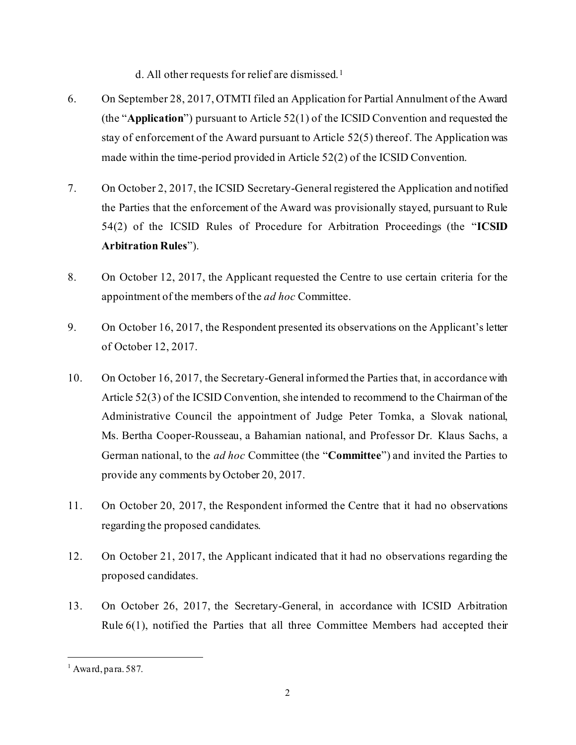d. All other requests for relief are dismissed.<sup>[1](#page-8-0)</sup>

- 6. On September 28, 2017, OTMTI filed an Application for Partial Annulment of the Award (the "**Application**") pursuant to Article 52(1) of the ICSID Convention and requested the stay of enforcement of the Award pursuant to Article 52(5) thereof. The Application was made within the time-period provided in Article 52(2) of the ICSID Convention.
- 7. On October 2, 2017, the ICSID Secretary-General registered the Application and notified the Parties that the enforcement of the Award was provisionally stayed, pursuant to Rule 54(2) of the ICSID Rules of Procedure for Arbitration Proceedings (the "**ICSID Arbitration Rules**").
- 8. On October 12, 2017, the Applicant requested the Centre to use certain criteria for the appointment of the members of the *ad hoc* Committee.
- 9. On October 16, 2017, the Respondent presented its observations on the Applicant's letter of October 12, 2017.
- 10. On October 16, 2017, the Secretary-General informed the Parties that, in accordance with Article 52(3) of the ICSID Convention, she intended to recommend to the Chairman of the Administrative Council the appointment of Judge Peter Tomka, a Slovak national, Ms. Bertha Cooper-Rousseau, a Bahamian national, and Professor Dr. Klaus Sachs, a German national, to the *ad hoc* Committee (the "**Committee**") and invited the Parties to provide any comments by October 20, 2017.
- 11. On October 20, 2017, the Respondent informed the Centre that it had no observations regarding the proposed candidates.
- 12. On October 21, 2017, the Applicant indicated that it had no observations regarding the proposed candidates.
- 13. On October 26, 2017, the Secretary-General, in accordance with ICSID Arbitration Rule 6(1), notified the Parties that all three Committee Members had accepted their

<span id="page-8-0"></span> $<sup>1</sup>$  Award, para. 587.</sup>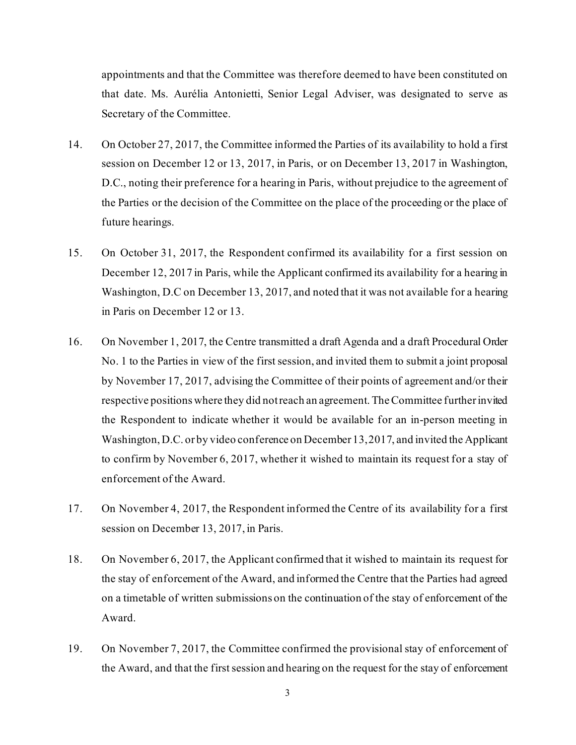appointments and that the Committee was therefore deemed to have been constituted on that date. Ms. Aurélia Antonietti, Senior Legal Adviser, was designated to serve as Secretary of the Committee.

- 14. On October 27, 2017, the Committee informed the Parties of its availability to hold a first session on December 12 or 13, 2017, in Paris, or on December 13, 2017 in Washington, D.C., noting their preference for a hearing in Paris, without prejudice to the agreement of the Parties or the decision of the Committee on the place of the proceeding or the place of future hearings.
- 15. On October 31, 2017, the Respondent confirmed its availability for a first session on December 12, 2017 in Paris, while the Applicant confirmed its availability for a hearing in Washington, D.C on December 13, 2017, and noted that it was not available for a hearing in Paris on December 12 or 13.
- 16. On November 1, 2017, the Centre transmitted a draft Agenda and a draft Procedural Order No. 1 to the Parties in view of the first session, and invited them to submit a joint proposal by November 17, 2017, advising the Committee of their points of agreement and/or their respective positions where they did not reach an agreement. The Committee further invited the Respondent to indicate whether it would be available for an in-person meeting in Washington, D.C. or by video conference on December 13, 2017, and invited the Applicant to confirm by November 6, 2017, whether it wished to maintain its request for a stay of enforcement of the Award.
- 17. On November 4, 2017, the Respondent informed the Centre of its availability for a first session on December 13, 2017, in Paris.
- 18. On November 6, 2017, the Applicant confirmed that it wished to maintain its request for the stay of enforcement of the Award, and informed the Centre that the Parties had agreed on a timetable of written submissions on the continuation of the stay of enforcement of the Award.
- 19. On November 7, 2017, the Committee confirmed the provisional stay of enforcement of the Award, and that the first session and hearing on the request for the stay of enforcement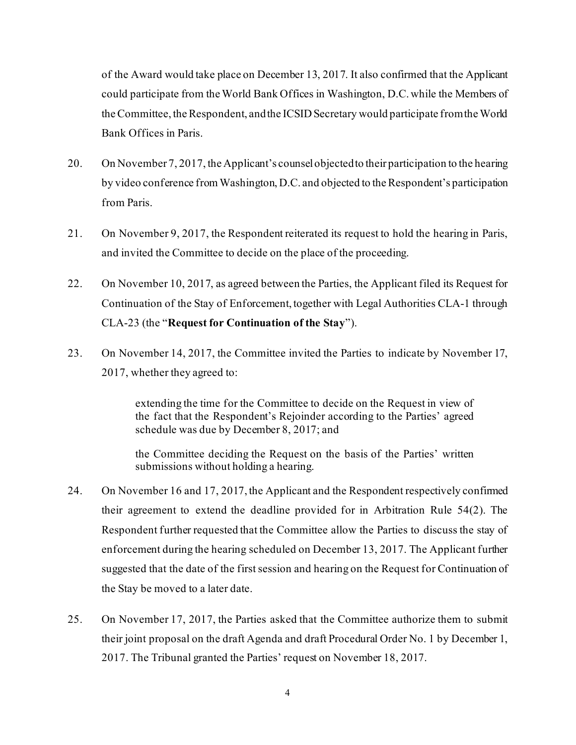of the Award would take place on December 13, 2017. It also confirmed that the Applicant could participate from the World Bank Offices in Washington, D.C. while the Members of the Committee, the Respondent, and the ICSID Secretary would participate from the World Bank Offices in Paris.

- 20. On November 7, 2017, the Applicant's counsel objected to their participation to the hearing by video conference from Washington, D.C. and objected to the Respondent's participation from Paris.
- 21. On November 9, 2017, the Respondent reiterated its request to hold the hearing in Paris, and invited the Committee to decide on the place of the proceeding.
- 22. On November 10, 2017, as agreed between the Parties, the Applicant filed its Request for Continuation of the Stay of Enforcement, together with Legal Authorities CLA-1 through CLA-23 (the "**Request for Continuation of the Stay**").
- 23. On November 14, 2017, the Committee invited the Parties to indicate by November 17, 2017, whether they agreed to:

extending the time for the Committee to decide on the Request in view of the fact that the Respondent's Rejoinder according to the Parties' agreed schedule was due by December 8, 2017; and

the Committee deciding the Request on the basis of the Parties' written submissions without holding a hearing.

- 24. On November 16 and 17, 2017, the Applicant and the Respondent respectively confirmed their agreement to extend the deadline provided for in Arbitration Rule 54(2). The Respondent further requested that the Committee allow the Parties to discuss the stay of enforcement during the hearing scheduled on December 13, 2017. The Applicant further suggested that the date of the first session and hearing on the Request for Continuation of the Stay be moved to a later date.
- 25. On November 17, 2017, the Parties asked that the Committee authorize them to submit their joint proposal on the draft Agenda and draft Procedural Order No. 1 by December 1, 2017. The Tribunal granted the Parties' request on November 18, 2017.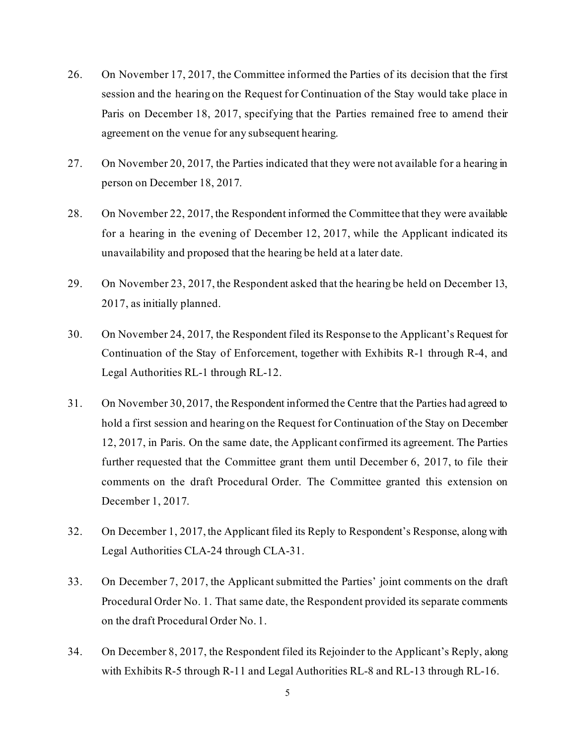- 26. On November 17, 2017, the Committee informed the Parties of its decision that the first session and the hearing on the Request for Continuation of the Stay would take place in Paris on December 18, 2017, specifying that the Parties remained free to amend their agreement on the venue for any subsequent hearing.
- 27. On November 20, 2017, the Parties indicated that they were not available for a hearing in person on December 18, 2017.
- 28. On November 22, 2017, the Respondent informed the Committee that they were available for a hearing in the evening of December 12, 2017, while the Applicant indicated its unavailability and proposed that the hearing be held at a later date.
- 29. On November 23, 2017, the Respondent asked that the hearing be held on December 13, 2017, as initially planned.
- 30. On November 24, 2017, the Respondent filed its Response to the Applicant's Request for Continuation of the Stay of Enforcement, together with Exhibits R-1 through R-4, and Legal Authorities RL-1 through RL-12.
- 31. On November 30, 2017, the Respondent informed the Centre that the Parties had agreed to hold a first session and hearing on the Request for Continuation of the Stay on December 12, 2017, in Paris. On the same date, the Applicant confirmed its agreement. The Parties further requested that the Committee grant them until December 6, 2017, to file their comments on the draft Procedural Order. The Committee granted this extension on December 1, 2017.
- 32. On December 1, 2017, the Applicant filed its Reply to Respondent's Response, along with Legal Authorities CLA-24 through CLA-31.
- 33. On December 7, 2017, the Applicant submitted the Parties' joint comments on the draft Procedural Order No. 1. That same date, the Respondent provided its separate comments on the draft Procedural Order No. 1.
- 34. On December 8, 2017, the Respondent filed its Rejoinder to the Applicant's Reply, along with Exhibits R-5 through R-11 and Legal Authorities RL-8 and RL-13 through RL-16.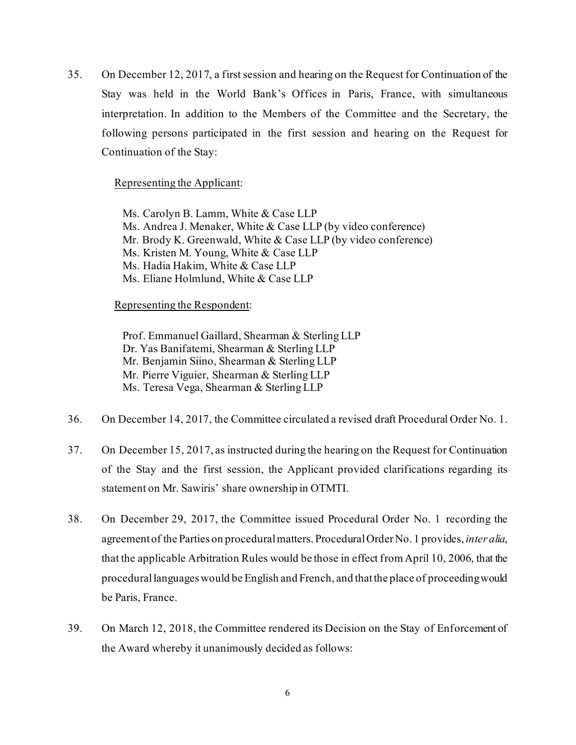35. On December 12, 2017, a first session and hearing on the Request for Continuation of the Stay was held in the World Bank's Offices in Paris, France, with simultaneous interpretation. In addition to the Members of the Committee and the Secretary, the following persons participated in the first session and hearing on the Request for Continuation of the Stay:

### Representing the Applicant:

Ms. Carolyn B. Lamm, White & Case LLP Ms. Andrea J. Menaker, White & Case LLP (by video conference) Mr. Brody K. Greenwald, White & Case LLP (by video conference) Ms. Kristen M. Young, White & Case LLP Ms. Hadia Hakim, White & Case LLP Ms. Eliane Holmlund, White & Case LLP

### Representing the Respondent:

Prof. Emmanuel Gaillard, Shearman & Sterling LLP Dr. Yas Banifatemi, Shearman & Sterling LLP Mr. Benjamin Siino, Shearman & Sterling LLP Mr. Pierre Viguier, Shearman & Sterling LLP Ms. Teresa Vega, Shearman & Sterling LLP

- 36. On December 14, 2017, the Committee circulated a revised draft Procedural Order No. 1.
- 37. On December 15, 2017, as instructed during the hearing on the Request for Continuation of the Stay and the first session, the Applicant provided clarifications regarding its statement on Mr. Sawiris' share ownership in OTMTI.
- 38. On December 29, 2017, the Committee issued Procedural Order No. 1 recording the agreement of the Parties on procedural matters. Procedural Order No. 1 provides, *inter alia*, that the applicable Arbitration Rules would be those in effect from April 10, 2006, that the procedural languages would be English and French, and that the place of proceeding would be Paris, France.
- 39. On March 12, 2018, the Committee rendered its Decision on the Stay of Enforcement of the Award whereby it unanimously decided as follows: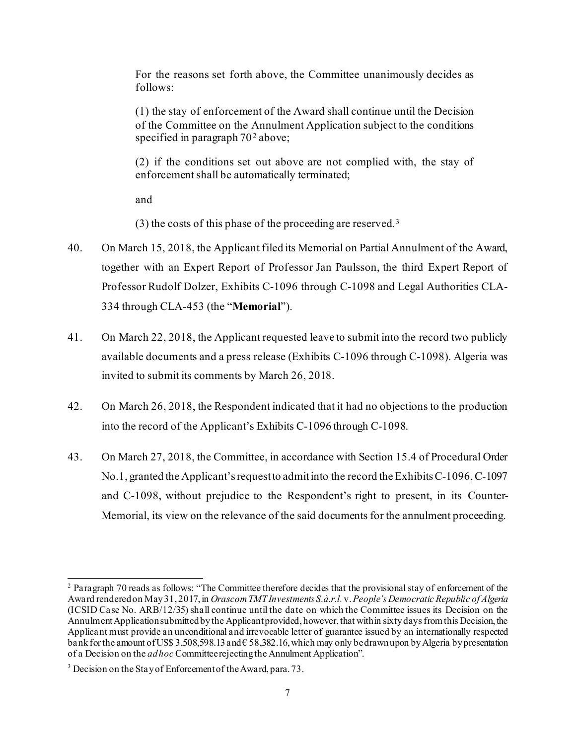For the reasons set forth above, the Committee unanimously decides as follows:

(1) the stay of enforcement of the Award shall continue until the Decision of the Committee on the Annulment Application subject to the conditions specified in paragraph 70<sup>[2](#page-13-0)</sup> above;

(2) if the conditions set out above are not complied with, the stay of enforcement shall be automatically terminated;

and

(3) the costs of this phase of the proceeding are reserved. [3](#page-13-1)

- 40. On March 15, 2018, the Applicant filed its Memorial on Partial Annulment of the Award, together with an Expert Report of Professor Jan Paulsson, the third Expert Report of Professor Rudolf Dolzer, Exhibits C-1096 through C-1098 and Legal Authorities CLA-334 through CLA-453 (the "**Memorial**").
- 41. On March 22, 2018, the Applicant requested leave to submit into the record two publicly available documents and a press release (Exhibits C-1096 through C-1098). Algeria was invited to submit its comments by March 26, 2018.
- 42. On March 26, 2018, the Respondent indicated that it had no objections to the production into the record of the Applicant's Exhibits C-1096 through C-1098.
- 43. On March 27, 2018, the Committee, in accordance with Section 15.4 of Procedural Order No.1, granted the Applicant's request to admit into the record the Exhibits C-1096, C-1097 and C-1098, without prejudice to the Respondent's right to present, in its Counter-Memorial, its view on the relevance of the said documents for the annulment proceeding.

<span id="page-13-0"></span><sup>&</sup>lt;sup>2</sup> Paragraph 70 reads as follows: "The Committee therefore decides that the provisional stay of enforcement of the Award rendered on May 31, 2017, in *Orascom TMTInvestments S.à.r.l.* v.*People's Democratic Republic of Algeria*  (ICSID Case No. ARB/12/35) shall continue until the date on which the Committee issues its Decision on the Annulment Application submitted by the Applicant provided, however, that within sixty days from this Decision, the Applicant must provide an unconditional and irrevocable letter of guarantee issued by an internationally respected bank for the amount of US\$ 3,508,598.13 and € 58,382.16, which may only be drawn upon by Algeria by presentation of a Decision on the *ad hoc* Committee rejecting the Annulment Application".

<span id="page-13-1"></span><sup>&</sup>lt;sup>3</sup> Decision on the Stay of Enforcement of the Award, para. 73.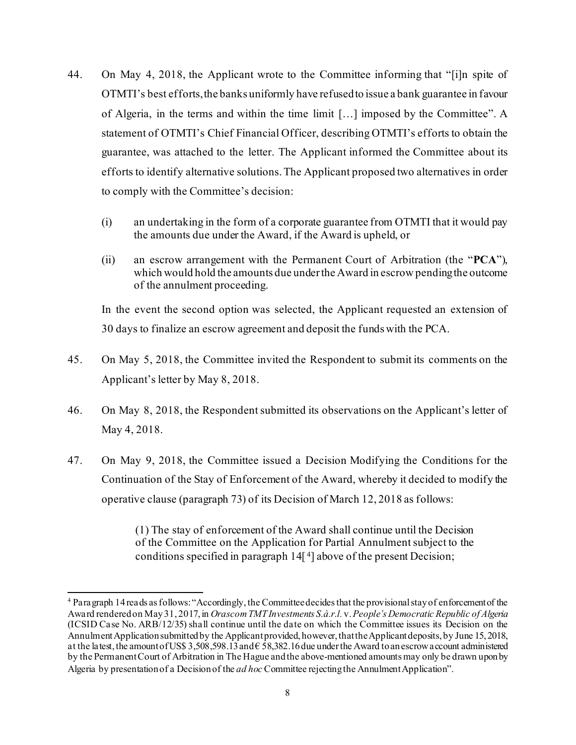- 44. On May 4, 2018, the Applicant wrote to the Committee informing that "[i]n spite of OTMTI's best efforts, the banks uniformly have refused to issue a bank guarantee in favour of Algeria, in the terms and within the time limit […] imposed by the Committee". A statement of OTMTI's Chief Financial Officer, describing OTMTI's efforts to obtain the guarantee, was attached to the letter. The Applicant informed the Committee about its efforts to identify alternative solutions. The Applicant proposed two alternatives in order to comply with the Committee's decision:
	- (i) an undertaking in the form of a corporate guarantee from OTMTI that it would pay the amounts due under the Award, if the Award is upheld, or
	- (ii) an escrow arrangement with the Permanent Court of Arbitration (the "**PCA**"), which would hold the amounts due under the Award in escrow pending the outcome of the annulment proceeding.

In the event the second option was selected, the Applicant requested an extension of 30 days to finalize an escrow agreement and deposit the funds with the PCA.

- 45. On May 5, 2018, the Committee invited the Respondent to submit its comments on the Applicant's letter by May 8, 2018.
- 46. On May 8, 2018, the Respondent submitted its observations on the Applicant's letter of May 4, 2018.
- 47. On May 9, 2018, the Committee issued a Decision Modifying the Conditions for the Continuation of the Stay of Enforcement of the Award, whereby it decided to modify the operative clause (paragraph 73) of its Decision of March 12, 2018 as follows:

(1) The stay of enforcement of the Award shall continue until the Decision of the Committee on the Application for Partial Annulment subject to the conditions specified in paragraph 14[ [4](#page-14-0)] above of the present Decision;

<span id="page-14-0"></span><sup>4</sup> Paragraph 14 reads as follows: "Accordingly, the Committee decides that the provisional stay of enforcement of the Award rendered on May 31, 2017, in *Orascom TMTInvestments S.à.r.l.* v.*People's Democratic Republic of Algeria* (ICSID Case No. ARB/12/35) shall continue until the date on which the Committee issues its Decision on the Annulment Application submitted by the Applicant provided, however, that the Applicant deposits, by June 15, 2018, at the latest, the amount of US\$ 3,508,598.13 and  $\epsilon$  58,382.16 due under the Award to an escrow a ccount administered by the Permanent Court of Arbitration in The Hague and the above-mentioned amounts may only be drawn upon by Algeria by presentation of a Decision of the *ad hoc* Committee rejecting the Annulment Application".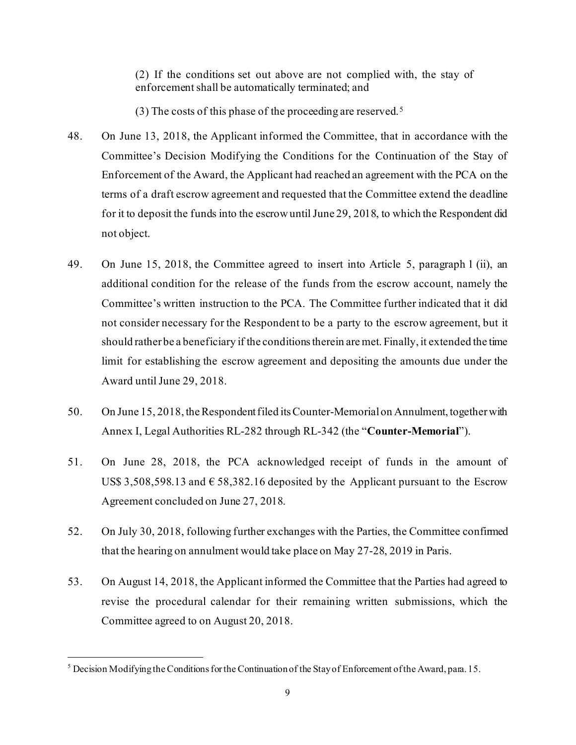(2) If the conditions set out above are not complied with, the stay of enforcement shall be automatically terminated; and

(3) The costs of this phase of the proceeding are reserved.[5](#page-15-0) 

- 48. On June 13, 2018, the Applicant informed the Committee, that in accordance with the Committee's Decision Modifying the Conditions for the Continuation of the Stay of Enforcement of the Award, the Applicant had reached an agreement with the PCA on the terms of a draft escrow agreement and requested that the Committee extend the deadline for it to deposit the funds into the escrow until June 29, 2018, to which the Respondent did not object.
- 49. On June 15, 2018, the Committee agreed to insert into Article 5, paragraph 1 (ii), an additional condition for the release of the funds from the escrow account, namely the Committee's written instruction to the PCA. The Committee further indicated that it did not consider necessary for the Respondent to be a party to the escrow agreement, but it should rather be a beneficiary if the conditions therein are met. Finally, it extended the time limit for establishing the escrow agreement and depositing the amounts due under the Award until June 29, 2018.
- 50. On June 15, 2018, the Respondent filed its Counter-Memorial on Annulment, together with Annex I, Legal Authorities RL-282 through RL-342 (the "**Counter-Memorial**").
- 51. On June 28, 2018, the PCA acknowledged receipt of funds in the amount of US\$ 3,508,598.13 and  $\epsilon$  58,382.16 deposited by the Applicant pursuant to the Escrow Agreement concluded on June 27, 2018.
- 52. On July 30, 2018, following further exchanges with the Parties, the Committee confirmed that the hearing on annulment would take place on May 27-28, 2019 in Paris.
- 53. On August 14, 2018, the Applicant informed the Committee that the Parties had agreed to revise the procedural calendar for their remaining written submissions, which the Committee agreed to on August 20, 2018.

<span id="page-15-0"></span><sup>&</sup>lt;sup>5</sup> Decision Modifying the Conditions for the Continuation of the Stay of Enforcement of the Award, para. 15.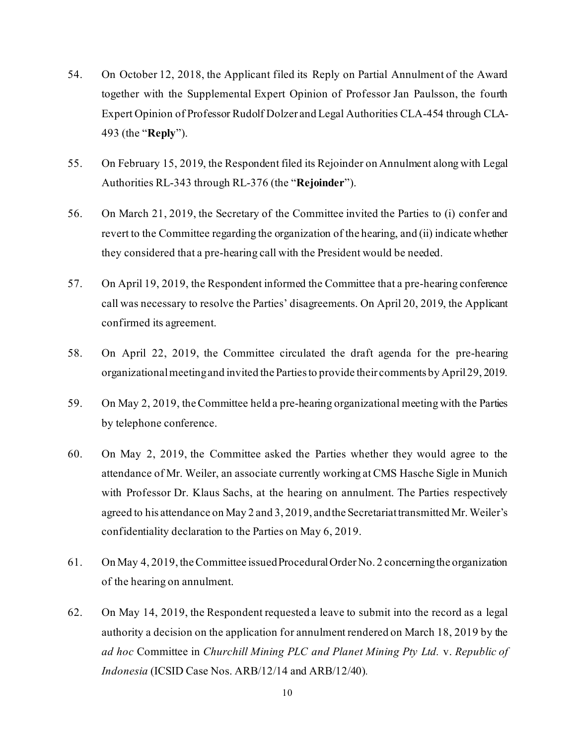- 54. On October 12, 2018, the Applicant filed its Reply on Partial Annulment of the Award together with the Supplemental Expert Opinion of Professor Jan Paulsson, the fourth Expert Opinion of Professor Rudolf Dolzer and Legal Authorities CLA-454 through CLA-493 (the "**Reply**").
- 55. On February 15, 2019, the Respondent filed its Rejoinder on Annulment along with Legal Authorities RL-343 through RL-376 (the "**Rejoinder**").
- 56. On March 21, 2019, the Secretary of the Committee invited the Parties to (i) confer and revert to the Committee regarding the organization of the hearing, and (ii) indicate whether they considered that a pre-hearing call with the President would be needed.
- 57. On April 19, 2019, the Respondent informed the Committee that a pre-hearing conference call was necessary to resolve the Parties' disagreements. On April 20, 2019, the Applicant confirmed its agreement.
- 58. On April 22, 2019, the Committee circulated the draft agenda for the pre-hearing organizational meeting and invited the Parties to provide their comments by April 29, 2019.
- 59. On May 2, 2019, the Committee held a pre-hearing organizational meeting with the Parties by telephone conference.
- 60. On May 2, 2019, the Committee asked the Parties whether they would agree to the attendance of Mr. Weiler, an associate currently working at CMS Hasche Sigle in Munich with Professor Dr. Klaus Sachs, at the hearing on annulment. The Parties respectively agreed to his attendance on May 2 and 3, 2019, and the Secretariat transmitted Mr. Weiler's confidentiality declaration to the Parties on May 6, 2019.
- 61. On May 4, 2019, the Committee issued Procedural Order No. 2 concerning the organization of the hearing on annulment.
- 62. On May 14, 2019, the Respondent requested a leave to submit into the record as a legal authority a decision on the application for annulment rendered on March 18, 2019 by the *ad hoc* Committee in *Churchill Mining PLC and Planet Mining Pty Ltd.* v. *Republic of Indonesia* (ICSID Case Nos. ARB/12/14 and ARB/12/40)*.*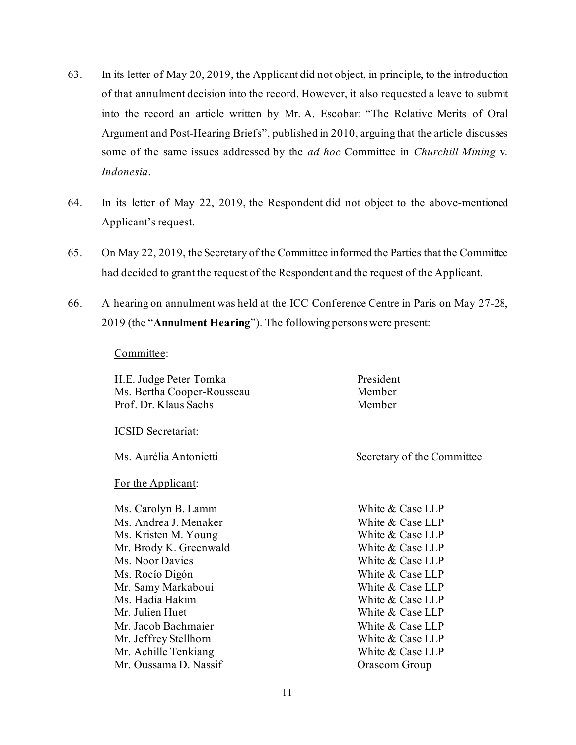- 63. In its letter of May 20, 2019, the Applicant did not object, in principle, to the introduction of that annulment decision into the record. However, it also requested a leave to submit into the record an article written by Mr. A. Escobar: "The Relative Merits of Oral Argument and Post-Hearing Briefs", published in 2010, arguing that the article discusses some of the same issues addressed by the *ad hoc* Committee in *Churchill Mining* v. *Indonesia*.
- 64. In its letter of May 22, 2019, the Respondent did not object to the above-mentioned Applicant's request.
- 65. On May 22, 2019, the Secretary of the Committee informed the Parties that the Committee had decided to grant the request of the Respondent and the request of the Applicant.
- 66. A hearing on annulment was held at the ICC Conference Centre in Paris on May 27-28, 2019 (the "**Annulment Hearing**"). The following persons were present:

#### Committee:

H.E. Judge Peter Tomka President Ms. Bertha Cooper-Rousseau Member Prof. Dr. Klaus Sachs Member

ICSID Secretariat:

For the Applicant:

Ms. Carolyn B. Lamm Ms. Andrea J. Menaker Ms. Kristen M. Young Mr. Brody K. Greenwald Ms. Noor Davies Ms. Rocío Digón Mr. Samy Markaboui Ms. Hadia Hakim Mr. Julien Huet Mr. Jacob Bachmaier Mr. Jeffrey Stellhorn Mr. Achille Tenkiang Mr. Oussama D. Nassif

Ms. Aurélia Antonietti Secretary of the Committee

White & Case LLP White & Case LLP White & Case LLP White & Case LLP White & Case LLP White & Case LLP White & Case LLP White & Case LLP White & Case LLP White & Case LLP White & Case LLP White & Case LLP Orascom Group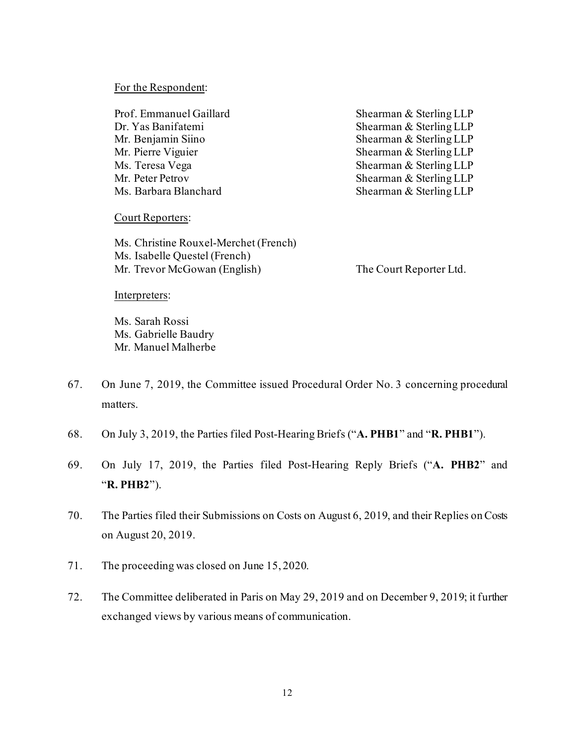#### For the Respondent:

| Prof. Emmanuel Gaillard | Shearman & Sterling LLP |
|-------------------------|-------------------------|
|                         |                         |
| Dr. Yas Banifatemi      | Shearman & Sterling LLP |
| Mr. Benjamin Siino      | Shearman & Sterling LLP |
| Mr. Pierre Viguier      | Shearman & Sterling LLP |
| Ms. Teresa Vega         | Shearman & Sterling LLP |
| Mr. Peter Petrov        | Shearman & Sterling LLP |
| Ms. Barbara Blanchard   | Shearman & Sterling LLP |
|                         |                         |

#### Court Reporters:

Ms. Christine Rouxel-Merchet (French) Ms. Isabelle Questel (French) Mr. Trevor McGowan (English) The Court Reporter Ltd.

### Interpreters:

Ms. Sarah Rossi Ms. Gabrielle Baudry Mr. Manuel Malherbe

- 67. On June 7, 2019, the Committee issued Procedural Order No. 3 concerning procedural matters.
- 68. On July 3, 2019, the Parties filed Post-Hearing Briefs ("**A. PHB1**" and "**R. PHB1**").
- 69. On July 17, 2019, the Parties filed Post-Hearing Reply Briefs ("**A. PHB2**" and "**R. PHB2**").
- 70. The Parties filed their Submissions on Costs on August 6, 2019, and their Replies on Costs on August 20, 2019.
- 71. The proceeding was closed on June 15, 2020.
- 72. The Committee deliberated in Paris on May 29, 2019 and on December 9, 2019; it further exchanged views by various means of communication.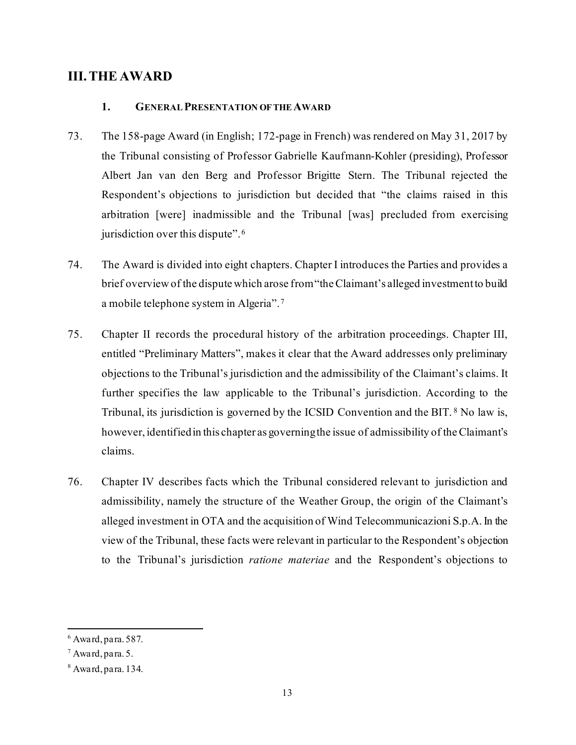# **III.THE AWARD**

### **1. GENERAL PRESENTATION OF THE AWARD**

- <span id="page-19-1"></span><span id="page-19-0"></span>73. The 158-page Award (in English; 172-page in French) was rendered on May 31, 2017 by the Tribunal consisting of Professor Gabrielle Kaufmann-Kohler (presiding), Professor Albert Jan van den Berg and Professor Brigitte Stern. The Tribunal rejected the Respondent's objections to jurisdiction but decided that "the claims raised in this arbitration [were] inadmissible and the Tribunal [was] precluded from exercising jurisdiction over this dispute".<sup>[6](#page-19-2)</sup>
- 74. The Award is divided into eight chapters. Chapter I introduces the Parties and provides a brief overview of the dispute which arose from "the Claimant's alleged investment to build a mobile telephone system in Algeria".[7](#page-19-3)
- 75. Chapter II records the procedural history of the arbitration proceedings. Chapter III, entitled "Preliminary Matters", makes it clear that the Award addresses only preliminary objections to the Tribunal's jurisdiction and the admissibility of the Claimant's claims. It further specifies the law applicable to the Tribunal's jurisdiction. According to the Tribunal, its jurisdiction is governed by the ICSID Convention and the BIT. [8](#page-19-4) No law is, however, identified in this chapter as governing the issue of admissibility of the Claimant's claims.
- 76. Chapter IV describes facts which the Tribunal considered relevant to jurisdiction and admissibility, namely the structure of the Weather Group, the origin of the Claimant's alleged investment in OTA and the acquisition of Wind Telecommunicazioni S.p.A.In the view of the Tribunal, these facts were relevant in particular to the Respondent's objection to the Tribunal's jurisdiction *ratione materiae* and the Respondent's objections to

<span id="page-19-2"></span> $6$  Award, para. 587.

<span id="page-19-3"></span> $^7$  Award, para. 5.

<span id="page-19-4"></span> $8$  Award, para. 134.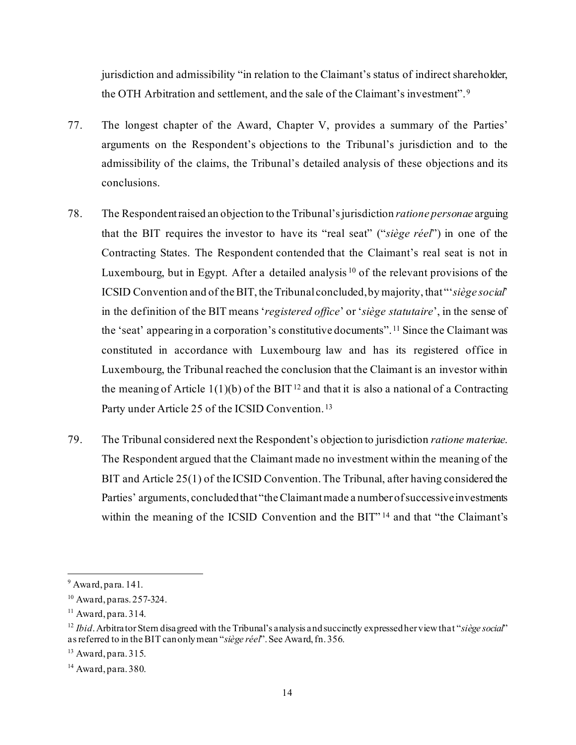jurisdiction and admissibility "in relation to the Claimant's status of indirect shareholder, the OTH Arbitration and settlement, and the sale of the Claimant's investment".[9](#page-20-0)

- 77. The longest chapter of the Award, Chapter V, provides a summary of the Parties' arguments on the Respondent's objections to the Tribunal's jurisdiction and to the admissibility of the claims, the Tribunal's detailed analysis of these objections and its conclusions.
- 78. The Respondent raised an objection to the Tribunal's jurisdiction *ratione personae* arguing that the BIT requires the investor to have its "real seat" ("*siège réel*") in one of the Contracting States. The Respondent contended that the Claimant's real seat is not in Luxembourg, but in Egypt. After a detailed analysis  $10$  of the relevant provisions of the ICSID Convention and of the BIT, the Tribunal concluded, by majority, that "'*siège social*' in the definition of the BIT means '*registered office*' or '*siège statutaire*', in the sense of the 'seat' appearing in a corporation's constitutive documents".[11](#page-20-2) Since the Claimant was constituted in accordance with Luxembourg law and has its registered office in Luxembourg, the Tribunal reached the conclusion that the Claimant is an investor within the meaning of Article  $1(1)(b)$  of the BIT  $12$  and that it is also a national of a Contracting Party under Article 25 of the ICSID Convention. [13](#page-20-4)
- 79. The Tribunal considered next the Respondent's objection to jurisdiction *ratione materiae*. The Respondent argued that the Claimant made no investment within the meaning of the BIT and Article 25(1) of the ICSID Convention. The Tribunal, after having considered the Parties' arguments, concluded that "the Claimant made a number of successive investments within the meaning of the ICSID Convention and the BIT"<sup>[14](#page-20-5)</sup> and that "the Claimant's

<span id="page-20-0"></span> $9$  Award, para. 141.

<span id="page-20-1"></span><sup>10</sup> Award, paras. 257-324.

<span id="page-20-2"></span> $11$  Award, para. 314.

<span id="page-20-3"></span><sup>12</sup> *Ibid*. Arbitrator Stern disagreed with the Tribunal's analysis and succinctly expressed her view that "*siège social*" as referred to in the BIT can only mean "*siège réel*". See Award, fn. 356.

<span id="page-20-4"></span> $13$  Award, para. 315.

<span id="page-20-5"></span> $14$  Award, para. 380.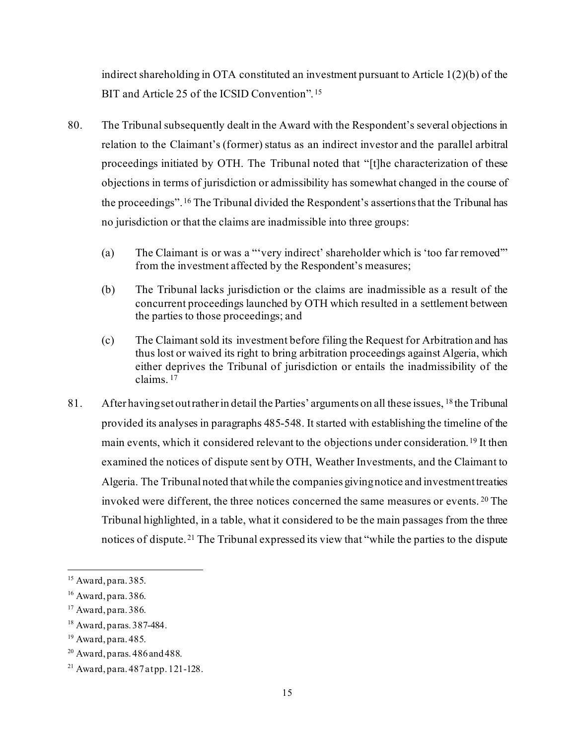indirect shareholding in OTA constituted an investment pursuant to Article 1(2)(b) of the BIT and Article 25 of the ICSID Convention".<sup>[15](#page-21-0)</sup>

- 80. The Tribunal subsequently dealt in the Award with the Respondent's several objections in relation to the Claimant's (former) status as an indirect investor and the parallel arbitral proceedings initiated by OTH. The Tribunal noted that "[t]he characterization of these objections in terms of jurisdiction or admissibility has somewhat changed in the course of the proceedings".[16](#page-21-1) The Tribunal divided the Respondent's assertions that the Tribunal has no jurisdiction or that the claims are inadmissible into three groups:
	- (a) The Claimant is or was a "'very indirect' shareholder which is 'too far removed'" from the investment affected by the Respondent's measures;
	- (b) The Tribunal lacks jurisdiction or the claims are inadmissible as a result of the concurrent proceedings launched by OTH which resulted in a settlement between the parties to those proceedings; and
	- (c) The Claimant sold its investment before filing the Request for Arbitration and has thus lost or waived its right to bring arbitration proceedings against Algeria, which either deprives the Tribunal of jurisdiction or entails the inadmissibility of the claims. [17](#page-21-2)
- 81. After having setout rather in detail the Parties' arguments on all these issues, [18](#page-21-3) the Tribunal provided its analyses in paragraphs 485-548. It started with establishing the timeline of the main events, which it considered relevant to the objections under consideration. [19](#page-21-4) It then examined the notices of dispute sent by OTH, Weather Investments, and the Claimant to Algeria. The Tribunal noted that while the companies giving notice and investment treaties invoked were different, the three notices concerned the same measures or events. [20](#page-21-5) The Tribunal highlighted, in a table, what it considered to be the main passages from the three notices of dispute. [21](#page-21-6) The Tribunal expressed its view that "while the parties to the dispute

<span id="page-21-0"></span><sup>15</sup> Award, para. 385.

<span id="page-21-1"></span> $16$  Award, para. 386.

<span id="page-21-2"></span> $17$  Award, para. 386.

<span id="page-21-3"></span><sup>18</sup> Award, paras. 387-484.

<span id="page-21-4"></span> $19$  Award, para. 485.

<span id="page-21-5"></span> $20$  Award, paras.  $486$  and  $488$ .

<span id="page-21-6"></span> $21$  Award, para. 487 at pp. 121-128.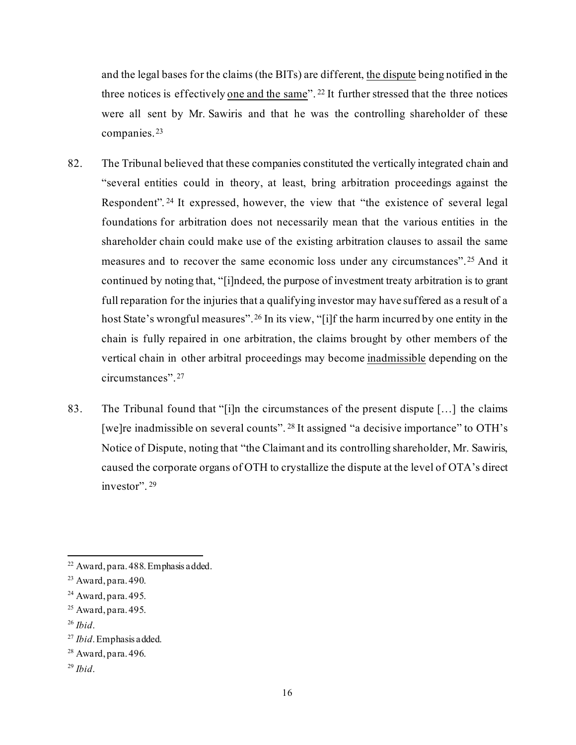and the legal bases for the claims (the BITs) are different, the dispute being notified in the three notices is effectively one and the same". [22](#page-22-0) It further stressed that the three notices were all sent by Mr. Sawiris and that he was the controlling shareholder of these companies.[23](#page-22-1)

- 82. The Tribunal believed that these companies constituted the vertically integrated chain and "several entities could in theory, at least, bring arbitration proceedings against the Respondent".<sup>[24](#page-22-2)</sup> It expressed, however, the view that "the existence of several legal foundations for arbitration does not necessarily mean that the various entities in the shareholder chain could make use of the existing arbitration clauses to assail the same measures and to recover the same economic loss under any circumstances".[25](#page-22-3) And it continued by noting that, "[i]ndeed, the purpose of investment treaty arbitration is to grant full reparation for the injuries that a qualifying investor may have suffered as a result of a host State's wrongful measures".<sup>[26](#page-22-4)</sup> In its view, "[i]f the harm incurred by one entity in the chain is fully repaired in one arbitration, the claims brought by other members of the vertical chain in other arbitral proceedings may become inadmissible depending on the circumstances".[27](#page-22-5)
- 83. The Tribunal found that "[i]n the circumstances of the present dispute […] the claims [we]re inadmissible on several counts".<sup>[28](#page-22-6)</sup> It assigned "a decisive importance" to OTH's Notice of Dispute, noting that "the Claimant and its controlling shareholder, Mr. Sawiris, caused the corporate organs of OTH to crystallize the dispute at the level of OTA's direct investor". [29](#page-22-7)

<span id="page-22-4"></span><sup>26</sup> *Ibid*.

<span id="page-22-0"></span><sup>22</sup> Award, para. 488. Emphasis added.

<span id="page-22-1"></span> $23$  Award, para. 490.

<span id="page-22-2"></span> $24$  Award, para. 495.

<span id="page-22-3"></span> $25$  Award, para. 495.

<span id="page-22-5"></span><sup>27</sup> *Ibid*. Emphasis added.

<span id="page-22-6"></span> $28$  Award, para, 496.

<span id="page-22-7"></span><sup>29</sup> *Ibid*.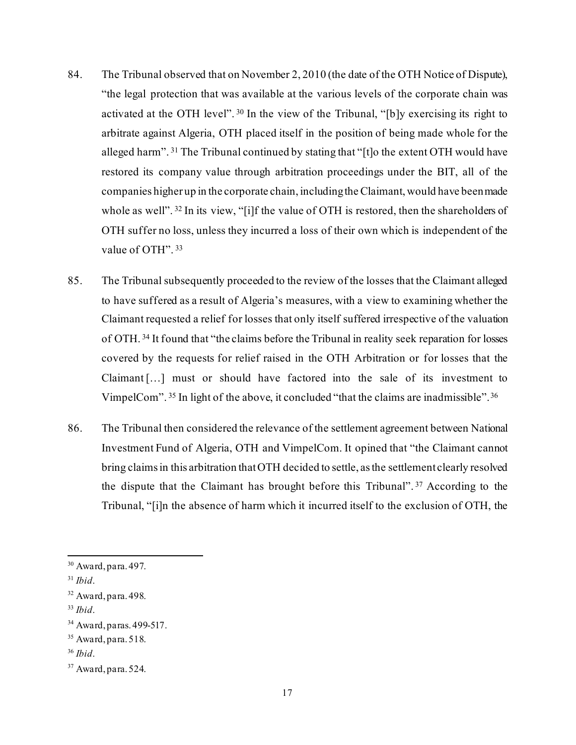- 84. The Tribunal observed that on November 2, 2010 (the date of the OTH Notice of Dispute), "the legal protection that was available at the various levels of the corporate chain was activated at the OTH level". [30](#page-23-0) In the view of the Tribunal, "[b]y exercising its right to arbitrate against Algeria, OTH placed itself in the position of being made whole for the alleged harm". <sup>[31](#page-23-1)</sup> The Tribunal continued by stating that "[t]o the extent OTH would have restored its company value through arbitration proceedings under the BIT, all of the companies higher up in the corporate chain, including the Claimant, would have been made whole as well". <sup>[32](#page-23-2)</sup> In its view, "[i]f the value of OTH is restored, then the shareholders of OTH suffer no loss, unless they incurred a loss of their own which is independent of the value of OTH".<sup>[33](#page-23-3)</sup>
- 85. The Tribunal subsequently proceeded to the review of the losses that the Claimant alleged to have suffered as a result of Algeria's measures, with a view to examining whether the Claimant requested a relief for losses that only itself suffered irrespective of the valuation of OTH. [34](#page-23-4) It found that "the claims before the Tribunal in reality seek reparation for losses covered by the requests for relief raised in the OTH Arbitration or for losses that the Claimant […] must or should have factored into the sale of its investment to VimpelCom". [35](#page-23-5) In light of the above, it concluded "that the claims are inadmissible".[36](#page-23-6)
- 86. The Tribunal then considered the relevance of the settlement agreement between National Investment Fund of Algeria, OTH and VimpelCom. It opined that "the Claimant cannot bring claims in this arbitration that OTH decided to settle, as the settlement clearly resolved the dispute that the Claimant has brought before this Tribunal". [37](#page-23-7) According to the Tribunal, "[i]n the absence of harm which it incurred itself to the exclusion of OTH, the

<span id="page-23-0"></span> $30$  Award, para, 497.

<span id="page-23-1"></span><sup>31</sup> *Ibid*.

<span id="page-23-2"></span><sup>32</sup> Award, para. 498.

<span id="page-23-3"></span><sup>33</sup> *Ibid*.

<span id="page-23-4"></span><sup>34</sup> Award, paras. 499-517.

<span id="page-23-5"></span> $35$  Award, para. 518.

<span id="page-23-6"></span><sup>36</sup> *Ibid*.

<span id="page-23-7"></span><sup>37</sup> Award, para. 524.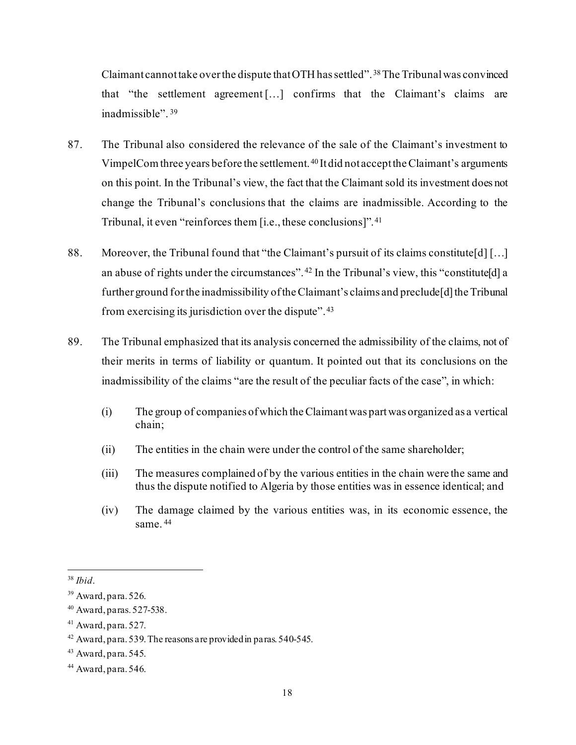Claimant cannot take over the dispute that OTH has settled".<sup>[38](#page-24-0)</sup>The Tribunal was convinced that "the settlement agreement […] confirms that the Claimant's claims are inadmissible".<sup>[39](#page-24-1)</sup>

- 87. The Tribunal also considered the relevance of the sale of the Claimant's investment to VimpelCom three years before the settlement.<sup>[40](#page-24-2)</sup> It did not accept the Claimant's arguments on this point. In the Tribunal's view, the fact that the Claimant sold its investment does not change the Tribunal's conclusions that the claims are inadmissible. According to the Tribunal, it even "reinforces them [i.e., these conclusions]".[41](#page-24-3)
- 88. Moreover, the Tribunal found that "the Claimant's pursuit of its claims constitute [d] [...] an abuse of rights under the circumstances". [42](#page-24-4) In the Tribunal's view, this "constitute[d] a further ground for the inadmissibility of the Claimant's claims and preclude [d] the Tribunal from exercising its jurisdiction over the dispute".<sup>[43](#page-24-5)</sup>
- 89. The Tribunal emphasized that its analysis concerned the admissibility of the claims, not of their merits in terms of liability or quantum. It pointed out that its conclusions on the inadmissibility of the claims "are the result of the peculiar facts of the case", in which:
	- (i) The group of companies of which the Claimantwas part was organized as a vertical chain;
	- (ii) The entities in the chain were under the control of the same shareholder;
	- (iii) The measures complained of by the various entities in the chain were the same and thus the dispute notified to Algeria by those entities was in essence identical; and
	- (iv) The damage claimed by the various entities was, in its economic essence, the same. [44](#page-24-6)

<span id="page-24-0"></span><sup>38</sup> *Ibid*.

<span id="page-24-1"></span><sup>39</sup> Award, para. 526.

<span id="page-24-2"></span><sup>40</sup> Award, paras. 527-538.

<span id="page-24-3"></span> $41$  Award, para. 527.

<span id="page-24-4"></span> $42$  Award, para. 539. The reasons are provided in paras. 540-545.

<span id="page-24-5"></span> $43$  Award, para. 545.

<span id="page-24-6"></span> $44$  Award, para. 546.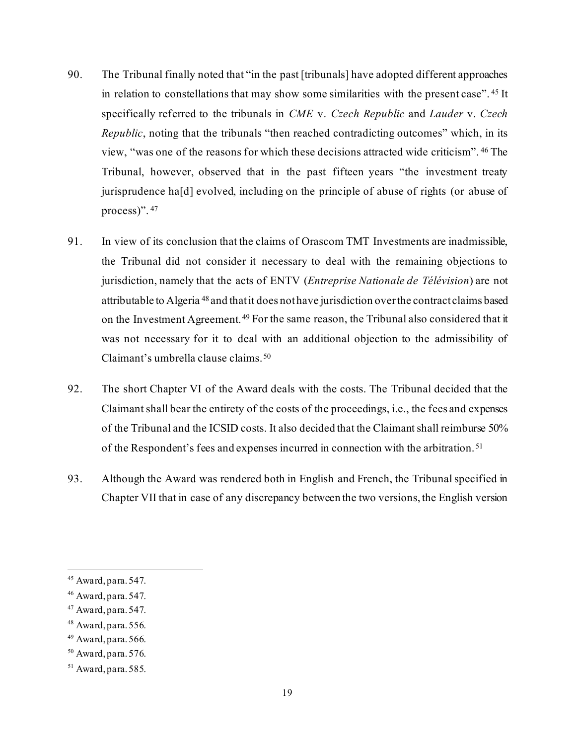- 90. The Tribunal finally noted that "in the past [tribunals] have adopted different approaches in relation to constellations that may show some similarities with the present case". [45](#page-25-0) It specifically referred to the tribunals in *CME* v. *Czech Republic* and *Lauder* v. *Czech Republic*, noting that the tribunals "then reached contradicting outcomes" which, in its view, "was one of the reasons for which these decisions attracted wide criticism". [46](#page-25-1) The Tribunal, however, observed that in the past fifteen years "the investment treaty jurisprudence ha[d] evolved, including on the principle of abuse of rights (or abuse of process)". [47](#page-25-2)
- 91. In view of its conclusion that the claims of Orascom TMT Investments are inadmissible, the Tribunal did not consider it necessary to deal with the remaining objections to jurisdiction, namely that the acts of ENTV (*Entreprise Nationale de Télévision*) are not attributable to Algeria [48](#page-25-3) and that it does not have jurisdiction over the contract claims based on the Investment Agreement. [49](#page-25-4) For the same reason, the Tribunal also considered that it was not necessary for it to deal with an additional objection to the admissibility of Claimant's umbrella clause claims.[50](#page-25-5)
- 92. The short Chapter VI of the Award deals with the costs. The Tribunal decided that the Claimant shall bear the entirety of the costs of the proceedings, i.e., the fees and expenses of the Tribunal and the ICSID costs. It also decided that the Claimant shall reimburse 50% of the Respondent's fees and expenses incurred in connection with the arbitration. [51](#page-25-6)
- 93. Although the Award was rendered both in English and French, the Tribunal specified in Chapter VII that in case of any discrepancy between the two versions, the English version

<span id="page-25-3"></span><sup>48</sup> Award, para. 556.

<span id="page-25-0"></span><sup>45</sup> Award, para. 547.

<span id="page-25-1"></span> $46$  Award, para. 547.

<span id="page-25-2"></span> $47$  Award, para. 547.

<span id="page-25-4"></span> $49$  Award, para. 566.

<span id="page-25-5"></span> $50$  Award, para. 576.

<span id="page-25-6"></span> $51$  Award, para. 585.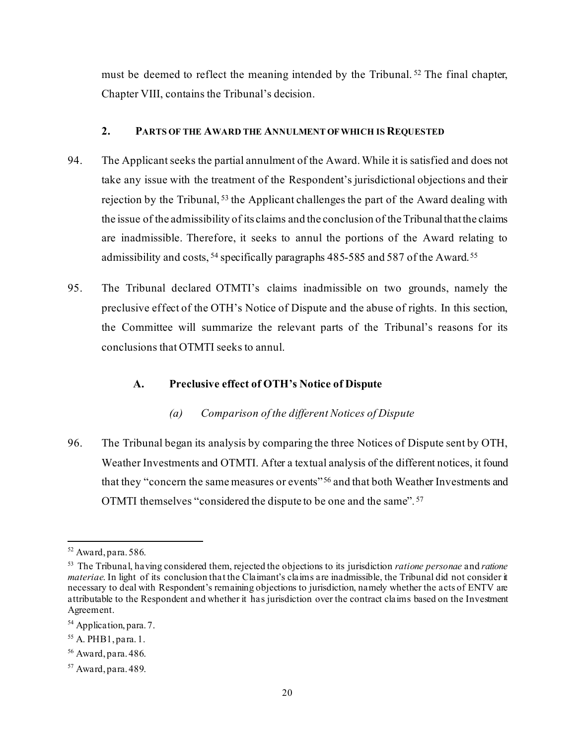must be deemed to reflect the meaning intended by the Tribunal. <sup>[52](#page-26-3)</sup> The final chapter, Chapter VIII, contains the Tribunal's decision.

## **2. PARTS OF THE AWARD THE ANNULMENT OF WHICH IS REQUESTED**

- <span id="page-26-0"></span>94. The Applicant seeks the partial annulment of the Award. While it is satisfied and does not take any issue with the treatment of the Respondent's jurisdictional objections and their rejection by the Tribunal, <sup>[53](#page-26-4)</sup> the Applicant challenges the part of the Award dealing with the issue of the admissibility of its claims and the conclusion of the Tribunal that the claims are inadmissible. Therefore, it seeks to annul the portions of the Award relating to admissibility and costs, [54](#page-26-5) specifically paragraphs 485-585 and 587 of the Award. [55](#page-26-6)
- 95. The Tribunal declared OTMTI's claims inadmissible on two grounds, namely the preclusive effect of the OTH's Notice of Dispute and the abuse of rights. In this section, the Committee will summarize the relevant parts of the Tribunal's reasons for its conclusions that OTMTI seeks to annul.

## **A. Preclusive effect of OTH's Notice of Dispute**

## *(a) Comparison of the different Notices of Dispute*

<span id="page-26-2"></span><span id="page-26-1"></span>96. The Tribunal began its analysis by comparing the three Notices of Dispute sent by OTH, Weather Investments and OTMTI. After a textual analysis of the different notices, it found that they "concern the same measures or events"<sup>[56](#page-26-7)</sup> and that both Weather Investments and OTMTI themselves "considered the dispute to be one and the same"*.*[57](#page-26-8)

<span id="page-26-3"></span> $52$  Award, para. 586.

<span id="page-26-4"></span><sup>53</sup> The Tribunal, having considered them, rejected the objections to its jurisdiction *ratione personae* and *ratione materiae*. In light of its conclusion that the Claimant's claims are inadmissible, the Tribunal did not consider it necessary to deal with Respondent's remaining objections to jurisdiction, namely whether the acts of ENTV are attributable to the Respondent and whether it has jurisdiction over the contract claims based on the Investment Agreement.

<span id="page-26-5"></span><sup>&</sup>lt;sup>54</sup> Application, para. 7.

<span id="page-26-6"></span><sup>55</sup> A. PHB1, para. 1.

<span id="page-26-7"></span><sup>56</sup> Award, para. 486.

<span id="page-26-8"></span><sup>57</sup> Award, para. 489.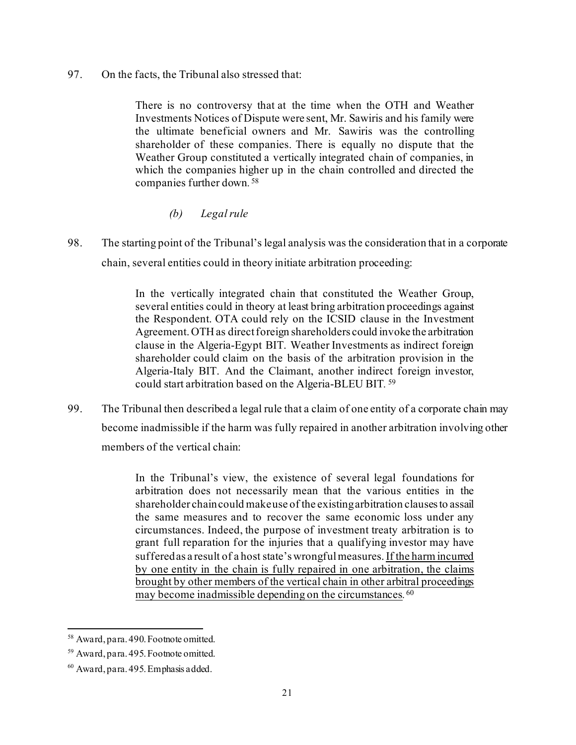97. On the facts, the Tribunal also stressed that:

There is no controversy that at the time when the OTH and Weather Investments Notices of Dispute were sent, Mr. Sawiris and his family were the ultimate beneficial owners and Mr. Sawiris was the controlling shareholder of these companies. There is equally no dispute that the Weather Group constituted a vertically integrated chain of companies, in which the companies higher up in the chain controlled and directed the companies further down*.*[58](#page-27-1)

*(b) Legal rule*

<span id="page-27-0"></span>98. The starting point of the Tribunal's legal analysis was the consideration that in a corporate chain, several entities could in theory initiate arbitration proceeding:

> In the vertically integrated chain that constituted the Weather Group, several entities could in theory at least bring arbitration proceedings against the Respondent. OTA could rely on the ICSID clause in the Investment Agreement. OTH as direct foreign shareholders could invoke the arbitration clause in the Algeria-Egypt BIT. Weather Investments as indirect foreign shareholder could claim on the basis of the arbitration provision in the Algeria-Italy BIT. And the Claimant, another indirect foreign investor, could start arbitration based on the Algeria-BLEU BIT*.* [59](#page-27-2)

99. The Tribunal then described a legal rule that a claim of one entity of a corporate chain may become inadmissible if the harm was fully repaired in another arbitration involving other members of the vertical chain:

> In the Tribunal's view, the existence of several legal foundations for arbitration does not necessarily mean that the various entities in the shareholder chain could make use of the existing arbitration clauses to assail the same measures and to recover the same economic loss under any circumstances. Indeed, the purpose of investment treaty arbitration is to grant full reparation for the injuries that a qualifying investor may have suffered as a result of a host state's wrongful measures. If the harm incurred by one entity in the chain is fully repaired in one arbitration, the claims brought by other members of the vertical chain in other arbitral proceedings may become inadmissible depending on the circumstances*.*[60](#page-27-3)

<span id="page-27-1"></span><sup>58</sup> Award, para. 490. Footnote omitted.

<span id="page-27-2"></span><sup>59</sup> Award, para. 495. Footnote omitted.

<span id="page-27-3"></span><sup>60</sup> Award, para. 495. Emphasis added.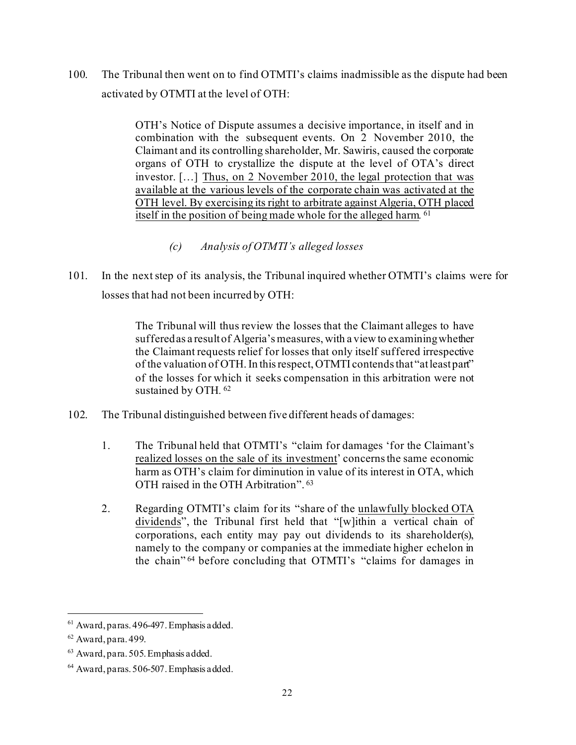100. The Tribunal then went on to find OTMTI's claims inadmissible as the dispute had been activated by OTMTI at the level of OTH:

> OTH's Notice of Dispute assumes a decisive importance, in itself and in combination with the subsequent events. On 2 November 2010, the Claimant and its controlling shareholder, Mr. Sawiris, caused the corporate organs of OTH to crystallize the dispute at the level of OTA's direct investor. […] Thus, on 2 November 2010, the legal protection that was available at the various levels of the corporate chain was activated at the OTH level. By exercising its right to arbitrate against Algeria, OTH placed itself in the position of being made whole for the alleged harm*.* [61](#page-28-1)

- *(c) Analysis of OTMTI's alleged losses*
- <span id="page-28-0"></span>101. In the next step of its analysis, the Tribunal inquired whether OTMTI's claims were for losses that had not been incurred by OTH:

The Tribunal will thus review the losses that the Claimant alleges to have suffered as a result of Algeria's measures, with a view to examining whether the Claimant requests relief for losses that only itself suffered irrespective of the valuation of OTH. In this respect, OTMTI contends that "at least part" of the losses for which it seeks compensation in this arbitration were not sustained by OTH*.* [62](#page-28-2)

- 102. The Tribunal distinguished between five different heads of damages:
	- 1. The Tribunal held that OTMTI's "claim for damages 'for the Claimant's realized losses on the sale of its investment' concerns the same economic harm as OTH's claim for diminution in value of its interest in OTA, which OTH raised in the OTH Arbitration". [63](#page-28-3)
	- 2. Regarding OTMTI's claim for its "share of the unlawfully blocked OTA dividends", the Tribunal first held that "[w]ithin a vertical chain of corporations, each entity may pay out dividends to its shareholder(s), namely to the company or companies at the immediate higher echelon in the chain" [64](#page-28-4) before concluding that OTMTI's "claims for damages in

<span id="page-28-1"></span><sup>61</sup> Award, paras. 496-497. Emphasis added.

<span id="page-28-2"></span> $62$  Award, para. 499.

<span id="page-28-3"></span><sup>63</sup> Award, para. 505. Emphasis added.

<span id="page-28-4"></span><sup>64</sup> Award, paras. 506-507. Emphasis added.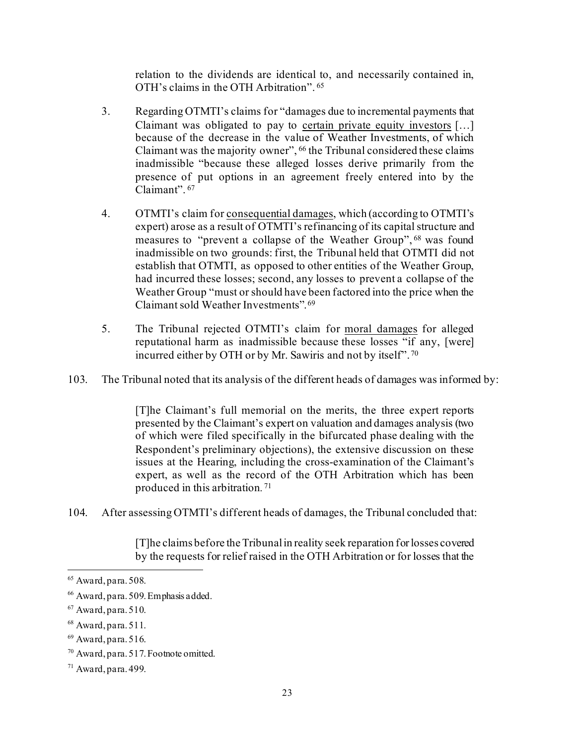relation to the dividends are identical to, and necessarily contained in, OTH's claims in the OTH Arbitration". [65](#page-29-0)

- 3. Regarding OTMTI's claims for "damages due to incremental payments that Claimant was obligated to pay to certain private equity investors […] because of the decrease in the value of Weather Investments, of which Claimant was the majority owner", [66](#page-29-1) the Tribunal considered these claims inadmissible "because these alleged losses derive primarily from the presence of put options in an agreement freely entered into by the Claimant". [67](#page-29-2)
- 4. OTMTI's claim for consequential damages, which (according to OTMTI's expert) arose as a result of OTMTI's refinancing of its capital structure and measures to "prevent a collapse of the Weather Group", [68](#page-29-3) was found inadmissible on two grounds: first, the Tribunal held that OTMTI did not establish that OTMTI, as opposed to other entities of the Weather Group, had incurred these losses; second, any losses to prevent a collapse of the Weather Group "must or should have been factored into the price when the Claimant sold Weather Investments".[69](#page-29-4)
- 5. The Tribunal rejected OTMTI's claim for moral damages for alleged reputational harm as inadmissible because these losses "if any, [were] incurred either by OTH or by Mr. Sawiris and not by itself". [70](#page-29-5)
- 103. The Tribunal noted that its analysis of the different heads of damages was informed by:

[T]he Claimant's full memorial on the merits, the three expert reports presented by the Claimant's expert on valuation and damages analysis (two of which were filed specifically in the bifurcated phase dealing with the Respondent's preliminary objections), the extensive discussion on these issues at the Hearing, including the cross-examination of the Claimant's expert, as well as the record of the OTH Arbitration which has been produced in this arbitration*.* [71](#page-29-6)

104. After assessing OTMTI's different heads of damages, the Tribunal concluded that:

[T]he claims before the Tribunal in reality seek reparation for losses covered by the requests for relief raised in the OTH Arbitration or for losses that the

<span id="page-29-0"></span> $65$  Award, para. 508.

<span id="page-29-1"></span><sup>66</sup> Award, para. 509. Emphasis added.

<span id="page-29-2"></span> $67$  Award, para.  $510$ .

<span id="page-29-3"></span><sup>68</sup> Award, para. 511.

<span id="page-29-4"></span> $69$  Award, para. 516.

<span id="page-29-5"></span><sup>70</sup> Award, para. 517. Footnote omitted.

<span id="page-29-6"></span> $71$  Award, para. 499.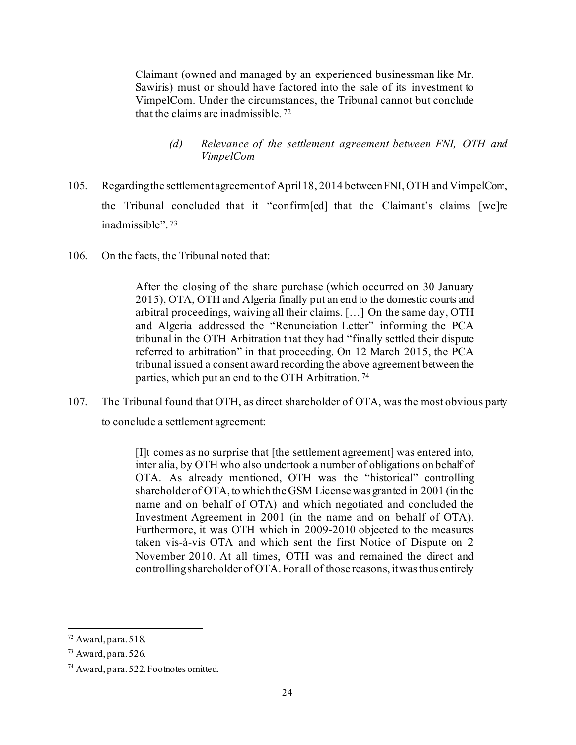Claimant (owned and managed by an experienced businessman like Mr. Sawiris) must or should have factored into the sale of its investment to VimpelCom. Under the circumstances, the Tribunal cannot but conclude that the claims are inadmissible*.* [72](#page-30-1)

- *(d) Relevance of the settlement agreement between FNI, OTH and VimpelCom*
- <span id="page-30-0"></span>105. Regarding the settlement agreement of April 18, 2014 between FNI, OTH and VimpelCom, the Tribunal concluded that it "confirm[ed] that the Claimant's claims [we]re inadmissible". [73](#page-30-2)
- 106. On the facts, the Tribunal noted that:

After the closing of the share purchase (which occurred on 30 January 2015), OTA, OTH and Algeria finally put an end to the domestic courts and arbitral proceedings, waiving all their claims. […] On the same day, OTH and Algeria addressed the "Renunciation Letter" informing the PCA tribunal in the OTH Arbitration that they had "finally settled their dispute referred to arbitration" in that proceeding. On 12 March 2015, the PCA tribunal issued a consent award recording the above agreement between the parties, which put an end to the OTH Arbitration*.* [74](#page-30-3)

107. The Tribunal found that OTH, as direct shareholder of OTA, was the most obvious party to conclude a settlement agreement:

> [I]t comes as no surprise that [the settlement agreement] was entered into, inter alia, by OTH who also undertook a number of obligations on behalf of OTA. As already mentioned, OTH was the "historical" controlling shareholder of OTA, to which the GSM License was granted in 2001 (in the name and on behalf of OTA) and which negotiated and concluded the Investment Agreement in 2001 (in the name and on behalf of OTA). Furthermore, it was OTH which in 2009-2010 objected to the measures taken vis-à-vis OTA and which sent the first Notice of Dispute on 2 November 2010. At all times, OTH was and remained the direct and controlling shareholder of OTA. For all of those reasons, it was thus entirely

<span id="page-30-1"></span> $72$  Award, para. 518.

<span id="page-30-2"></span><sup>73</sup> Award, para. 526.

<span id="page-30-3"></span><sup>74</sup> Award, para. 522. Footnotes omitted.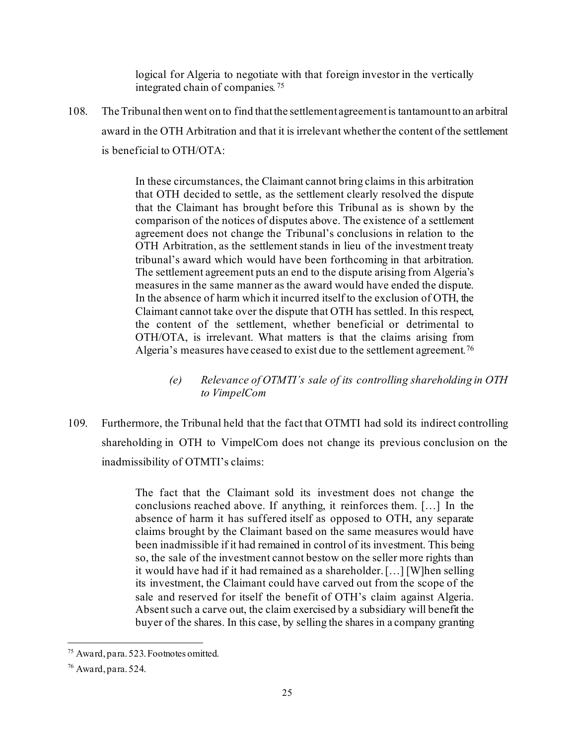logical for Algeria to negotiate with that foreign investor in the vertically integrated chain of companies*.*[75](#page-31-1)

108. The Tribunal then went on to find that the settlement agreement is tantamount to an arbitral award in the OTH Arbitration and that it is irrelevant whether the content of the settlement is beneficial to OTH/OTA:

> In these circumstances, the Claimant cannot bring claims in this arbitration that OTH decided to settle, as the settlement clearly resolved the dispute that the Claimant has brought before this Tribunal as is shown by the comparison of the notices of disputes above. The existence of a settlement agreement does not change the Tribunal's conclusions in relation to the OTH Arbitration, as the settlement stands in lieu of the investment treaty tribunal's award which would have been forthcoming in that arbitration. The settlement agreement puts an end to the dispute arising from Algeria's measures in the same manner as the award would have ended the dispute. In the absence of harm which it incurred itself to the exclusion of OTH, the Claimant cannot take over the dispute that OTH has settled. In this respect, the content of the settlement, whether beneficial or detrimental to OTH/OTA, is irrelevant. What matters is that the claims arising from Algeria's measures have ceased to exist due to the settlement agreement*.*[76](#page-31-2)

- *(e) Relevance of OTMTI's sale of its controlling shareholding in OTH to VimpelCom*
- <span id="page-31-0"></span>109. Furthermore, the Tribunal held that the fact that OTMTI had sold its indirect controlling shareholding in OTH to VimpelCom does not change its previous conclusion on the inadmissibility of OTMTI's claims:

The fact that the Claimant sold its investment does not change the conclusions reached above. If anything, it reinforces them. […] In the absence of harm it has suffered itself as opposed to OTH, any separate claims brought by the Claimant based on the same measures would have been inadmissible if it had remained in control of its investment. This being so, the sale of the investment cannot bestow on the seller more rights than it would have had if it had remained as a shareholder. […] [W]hen selling its investment, the Claimant could have carved out from the scope of the sale and reserved for itself the benefit of OTH's claim against Algeria. Absent such a carve out, the claim exercised by a subsidiary will benefit the buyer of the shares. In this case, by selling the shares in a company granting

<span id="page-31-1"></span><sup>75</sup> Award, para. 523.Footnotes omitted.

<span id="page-31-2"></span> $76$  Award, para. 524.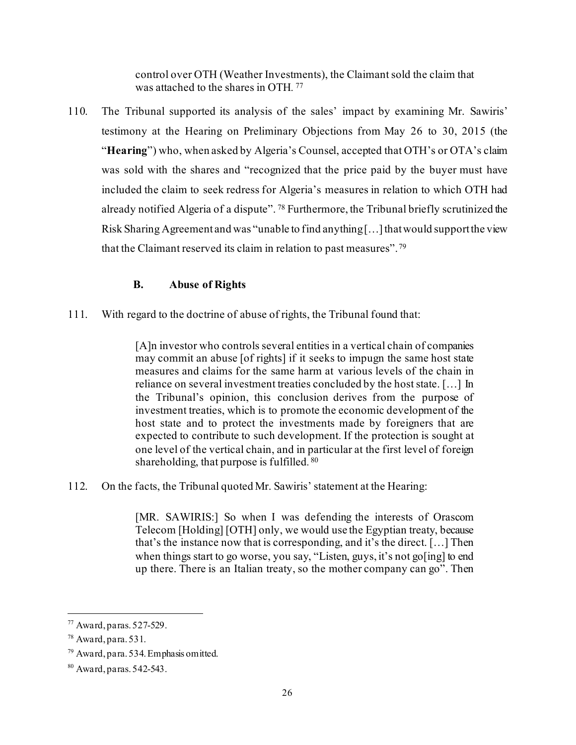control over OTH (Weather Investments), the Claimant sold the claim that was attached to the shares in OTH*.* [77](#page-32-1)

110. The Tribunal supported its analysis of the sales' impact by examining Mr. Sawiris' testimony at the Hearing on Preliminary Objections from May 26 to 30, 2015 (the "**Hearing**") who, when asked by Algeria's Counsel, accepted that OTH's or OTA's claim was sold with the shares and "recognized that the price paid by the buyer must have included the claim to seek redress for Algeria's measures in relation to which OTH had already notified Algeria of a dispute". [78](#page-32-2) Furthermore, the Tribunal briefly scrutinized the Risk Sharing Agreement and was "unable to find anything […] that would support the view that the Claimant reserved its claim in relation to past measures".[79](#page-32-3)

## **B. Abuse of Rights**

<span id="page-32-0"></span>111. With regard to the doctrine of abuse of rights, the Tribunal found that:

[A]n investor who controls several entities in a vertical chain of companies may commit an abuse [of rights] if it seeks to impugn the same host state measures and claims for the same harm at various levels of the chain in reliance on several investment treaties concluded by the host state. […] In the Tribunal's opinion, this conclusion derives from the purpose of investment treaties, which is to promote the economic development of the host state and to protect the investments made by foreigners that are expected to contribute to such development. If the protection is sought at one level of the vertical chain, and in particular at the first level of foreign shareholding, that purpose is fulfilled*.* [80](#page-32-4)

112. On the facts, the Tribunal quoted Mr. Sawiris' statement at the Hearing:

[MR. SAWIRIS:] So when I was defending the interests of Orascom Telecom [Holding] [OTH] only, we would use the Egyptian treaty, because that's the instance now that is corresponding, and it's the direct. […] Then when things start to go worse, you say, "Listen, guys, it's not go[ing] to end up there. There is an Italian treaty, so the mother company can go". Then

<span id="page-32-1"></span><sup>77</sup> Award, paras. 527-529.

<span id="page-32-2"></span> $78$  Award, para. 531.

<span id="page-32-3"></span><sup>79</sup> Award, para. 534. Emphasis omitted.

<span id="page-32-4"></span><sup>80</sup> Award, paras. 542-543.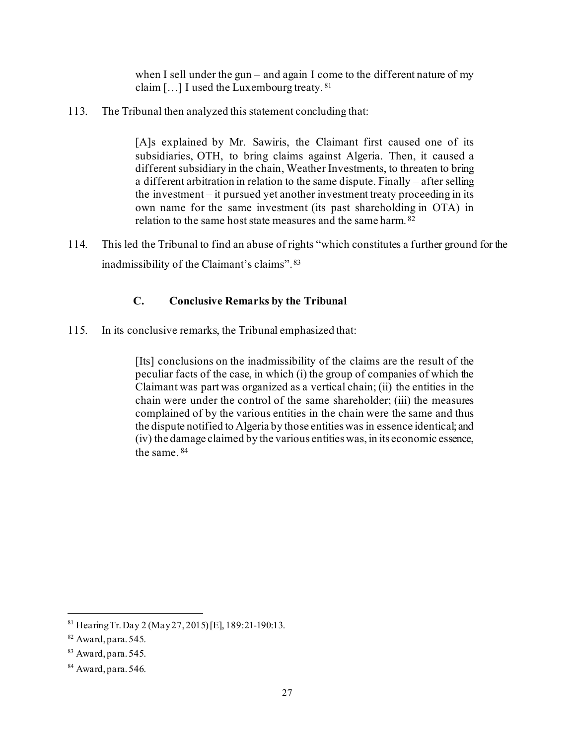when I sell under the gun – and again I come to the different nature of my claim […] I used the Luxembourg treaty*.*[81](#page-33-1)

113. The Tribunal then analyzed this statement concluding that:

[A]s explained by Mr. Sawiris, the Claimant first caused one of its subsidiaries, OTH, to bring claims against Algeria. Then, it caused a different subsidiary in the chain, Weather Investments, to threaten to bring a different arbitration in relation to the same dispute. Finally – after selling the investment – it pursued yet another investment treaty proceeding in its own name for the same investment (its past shareholding in OTA) in relation to the same host state measures and the same harm*.*[82](#page-33-2)

114. This led the Tribunal to find an abuse of rights "which constitutes a further ground for the inadmissibility of the Claimant's claims". [83](#page-33-3)

## **C. Conclusive Remarks by the Tribunal**

<span id="page-33-0"></span>115. In its conclusive remarks, the Tribunal emphasized that:

[Its] conclusions on the inadmissibility of the claims are the result of the peculiar facts of the case, in which (i) the group of companies of which the Claimant was part was organized as a vertical chain; (ii) the entities in the chain were under the control of the same shareholder; (iii) the measures complained of by the various entities in the chain were the same and thus the dispute notified to Algeria by those entities was in essence identical; and (iv) the damage claimed by the various entities was, in its economic essence, the same. [84](#page-33-4)

<span id="page-33-1"></span><sup>81</sup> HearingTr. Day 2 (May 27, 2015) [E], 189:21-190:13.

<span id="page-33-2"></span> $82$  Award, para. 545.

<span id="page-33-3"></span><sup>83</sup> Award, para. 545.

<span id="page-33-4"></span> $84$  Award, para. 546.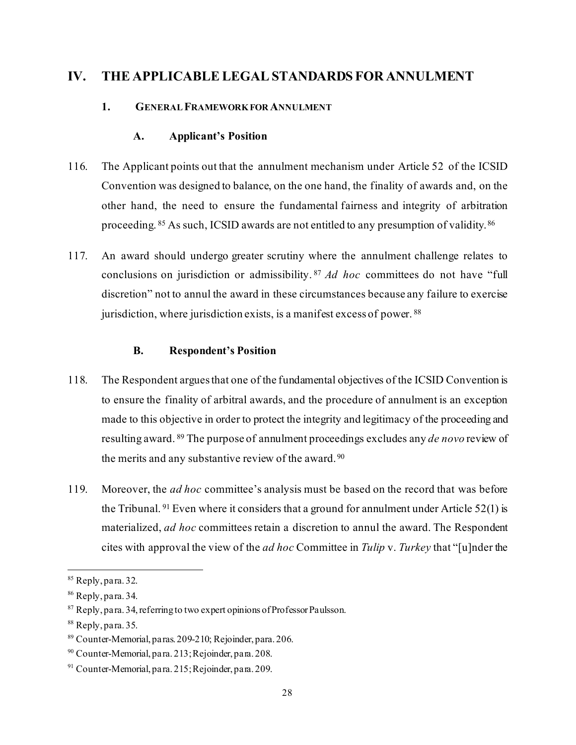# **IV. THE APPLICABLE LEGAL STANDARDS FOR ANNULMENT**

## <span id="page-34-0"></span>**1. GENERAL FRAMEWORKFOR ANNULMENT**

## **A. Applicant's Position**

- <span id="page-34-2"></span><span id="page-34-1"></span>116. The Applicant points out that the annulment mechanism under Article 52 of the ICSID Convention was designed to balance, on the one hand, the finality of awards and, on the other hand, the need to ensure the fundamental fairness and integrity of arbitration proceeding. <sup>[85](#page-34-4)</sup> As such, ICSID awards are not entitled to any presumption of validity. <sup>[86](#page-34-5)</sup>
- 117. An award should undergo greater scrutiny where the annulment challenge relates to conclusions on jurisdiction or admissibility. [87](#page-34-6) *Ad hoc* committees do not have "full discretion" not to annul the award in these circumstances because any failure to exercise jurisdiction, where jurisdiction exists, is a manifest excess of power. [88](#page-34-7)

## **B. Respondent's Position**

- <span id="page-34-3"></span>118. The Respondent argues that one of the fundamental objectives of the ICSID Convention is to ensure the finality of arbitral awards, and the procedure of annulment is an exception made to this objective in order to protect the integrity and legitimacy of the proceeding and resulting award. [89](#page-34-8) The purpose of annulment proceedings excludes any *de novo* review of the merits and any substantive review of the award.<sup>[90](#page-34-9)</sup>
- 119. Moreover, the *ad hoc* committee's analysis must be based on the record that was before the Tribunal. <sup>[91](#page-34-10)</sup> Even where it considers that a ground for annulment under Article  $52(1)$  is materialized, *ad hoc* committees retain a discretion to annul the award. The Respondent cites with approval the view of the *ad hoc* Committee in *Tulip* v. *Turkey* that "[u]nder the

<span id="page-34-4"></span><sup>&</sup>lt;sup>85</sup> Reply, para. 32.

<span id="page-34-5"></span><sup>86</sup> Reply, para. 34.

<span id="page-34-6"></span> $87$  Reply, para. 34, referring to two expert opinions of Professor Paulsson.

<span id="page-34-7"></span><sup>88</sup> Reply, para. 35.

<span id="page-34-8"></span><sup>89</sup> Counter-Memorial, paras. 209-210; Rejoinder, para. 206.

<span id="page-34-9"></span><sup>90</sup> Counter-Memorial, para. 213; Rejoinder, para. 208.

<span id="page-34-10"></span><sup>91</sup> Counter-Memorial, para. 215; Rejoinder, para. 209.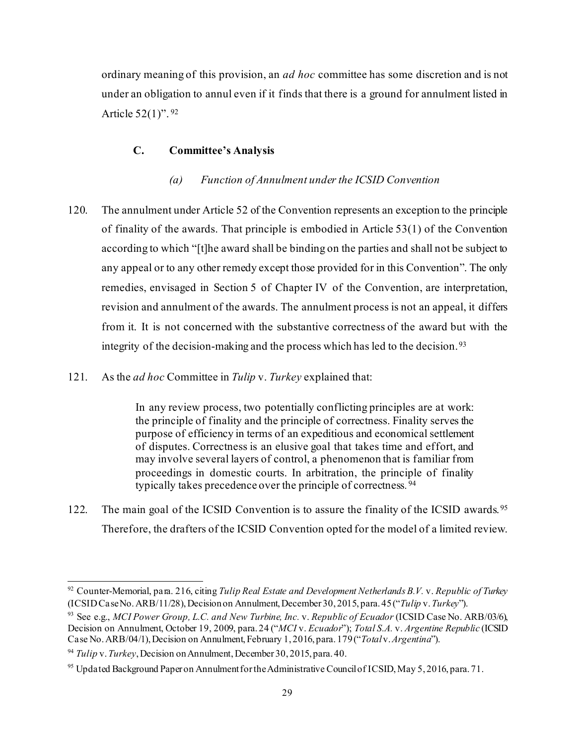ordinary meaning of this provision, an *ad hoc* committee has some discretion and is not under an obligation to annul even if it finds that there is a ground for annulment listed in Article 52(1)". [92](#page-35-2)

## **C. Committee's Analysis**

## *(a) Function of Annulment under the ICSID Convention*

- <span id="page-35-1"></span><span id="page-35-0"></span>120. The annulment under Article 52 of the Convention represents an exception to the principle of finality of the awards. That principle is embodied in Article 53(1) of the Convention according to which "[t]he award shall be binding on the parties and shall not be subject to any appeal or to any other remedy except those provided for in this Convention". The only remedies, envisaged in Section 5 of Chapter IV of the Convention, are interpretation, revision and annulment of the awards. The annulment process is not an appeal, it differs from it. It is not concerned with the substantive correctness of the award but with the integrity of the decision-making and the process which has led to the decision.<sup>[93](#page-35-3)</sup>
- 121. As the *ad hoc* Committee in *Tulip* v. *Turkey* explained that:

In any review process, two potentially conflicting principles are at work: the principle of finality and the principle of correctness. Finality serves the purpose of efficiency in terms of an expeditious and economical settlement of disputes. Correctness is an elusive goal that takes time and effort, and may involve several layers of control, a phenomenon that is familiar from proceedings in domestic courts. In arbitration, the principle of finality typically takes precedence over the principle of correctness*.*[94](#page-35-4)

122. The main goal of the ICSID Convention is to assure the finality of the ICSID awards. <sup>[95](#page-35-5)</sup> Therefore, the drafters of the ICSID Convention opted for the model of a limited review.

<span id="page-35-2"></span><sup>92</sup> Counter-Memorial, para. 216, citing *Tulip Real Estate and Development Netherlands B.V.* v. *Republic of Turkey* (ICSID Case No. ARB/11/28), Decision on Annulment, December 30, 2015, para. 45 ("*Tulip* v.*Turkey*").

<span id="page-35-3"></span><sup>93</sup> See e.g., *MCI Power Group, L.C. and New Turbine, Inc.* v. *Republic of Ecuador* (ICSID Case No. ARB/03/6), Decision on Annulment, October 19, 2009, para. 24 ("*MCI* v. *Ecuador*"); *Total S.A.* v. *Argentine Republic* (ICSID Case No. ARB/04/1), Decision on Annulment, February 1, 2016, para. 179 ("*Total* v.*Argentina*").

<span id="page-35-4"></span><sup>94</sup> *Tulip* v.*Turkey*, Decision on Annulment, December 30, 2015, para. 40.

<span id="page-35-5"></span><sup>&</sup>lt;sup>95</sup> Updated Background Paper on Annulment for the Administrative Council of ICSID, May 5, 2016, para. 71.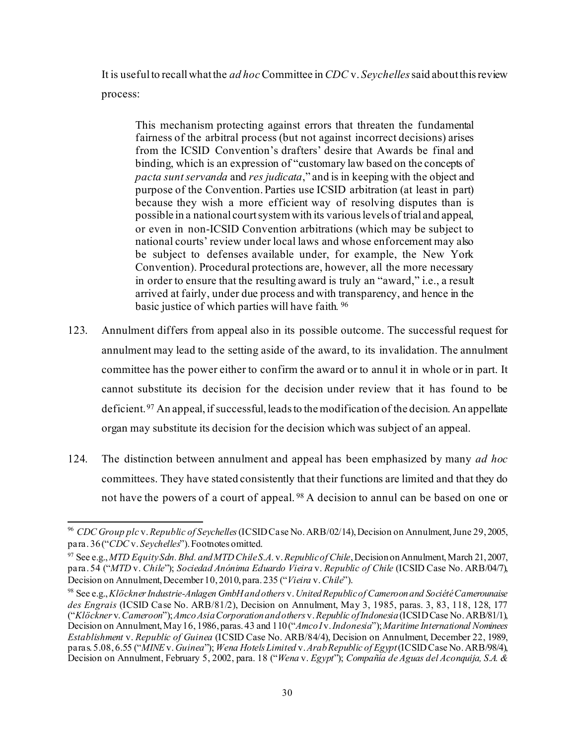It is useful to recall what the *ad hoc*Committee in *CDC* v. *Seychelles*said aboutthis review process:

This mechanism protecting against errors that threaten the fundamental fairness of the arbitral process (but not against incorrect decisions) arises from the ICSID Convention's drafters' desire that Awards be final and binding, which is an expression of "customary law based on the concepts of *pacta sunt servanda* and *res judicata*," and is in keeping with the object and purpose of the Convention. Parties use ICSID arbitration (at least in part) because they wish a more efficient way of resolving disputes than is possible in a national court system with its various levels of trial and appeal, or even in non-ICSID Convention arbitrations (which may be subject to national courts' review under local laws and whose enforcement may also be subject to defenses available under, for example, the New York Convention). Procedural protections are, however, all the more necessary in order to ensure that the resulting award is truly an "award," i.e., a result arrived at fairly, under due process and with transparency, and hence in the basic justice of which parties will have faith*.* [96](#page-36-0)

- 123. Annulment differs from appeal also in its possible outcome. The successful request for annulment may lead to the setting aside of the award, to its invalidation. The annulment committee has the power either to confirm the award or to annul it in whole or in part. It cannot substitute its decision for the decision under review that it has found to be deficient.<sup>[97](#page-36-1)</sup> An appeal, if successful, leads to the modification of the decision. An appellate organ may substitute its decision for the decision which was subject of an appeal.
- 124. The distinction between annulment and appeal has been emphasized by many *ad hoc* committees. They have stated consistently that their functions are limited and that they do not have the powers of a court of appeal.<sup>[98](#page-36-2)</sup> A decision to annul can be based on one or

<span id="page-36-0"></span><sup>96</sup> *CDC Group plc* v. *Republic of Seychelles*(ICSID Case No. ARB/02/14), Decision on Annulment, June 29, 2005, para. 36 ("*CDC* v. *Seychelles*"). Footnotes omitted.

<span id="page-36-1"></span><sup>97</sup> See e.g., *MTD Equity Sdn. Bhd. and MTD Chile S.A.* v. *Republic of Chile*, Decision on Annulment, March 21, 2007, para. 54 ("*MTD* v. *Chile*"); *Sociedad Anónima Eduardo Vieira* v. *Republic of Chile* (ICSID Case No. ARB/04/7), Decision on Annulment, December 10, 2010, para. 235 ("*Vieira* v.*Chile*").

<span id="page-36-2"></span><sup>98</sup> See e.g., *Klöckner Industrie-Anlagen GmbH and others* v.*United Republic of Cameroon and Société Camerounaise des Engrais* (ICSID Case No. ARB/81/2), Decision on Annulment, May 3, 1985, paras. 3, 83, 118, 128, 177 ("*Klöckner* v.*Cameroon*"); *Amco Asia Corporation and others* v.*Republic of Indonesia*(ICSID Case No. ARB/81/1), Decision on Annulment, May 16, 1986, paras. 43 and 110 ("*Amco I* v.*Indonesia*"); *Maritime International Nominees Establishment* v. *Republic of Guinea* (ICSID Case No. ARB/84/4), Decision on Annulment, December 22, 1989, paras. 5.08, 6.55 ("*MINE* v.*Guinea*"); *Wena Hotels Limited* v. *Arab Republic of Egypt*(ICSID Case No. ARB/98/4), Decision on Annulment, February 5, 2002, para. 18 ("*Wena* v. *Egypt*"); *Compañía de Aguas del Aconquija, S.A. &*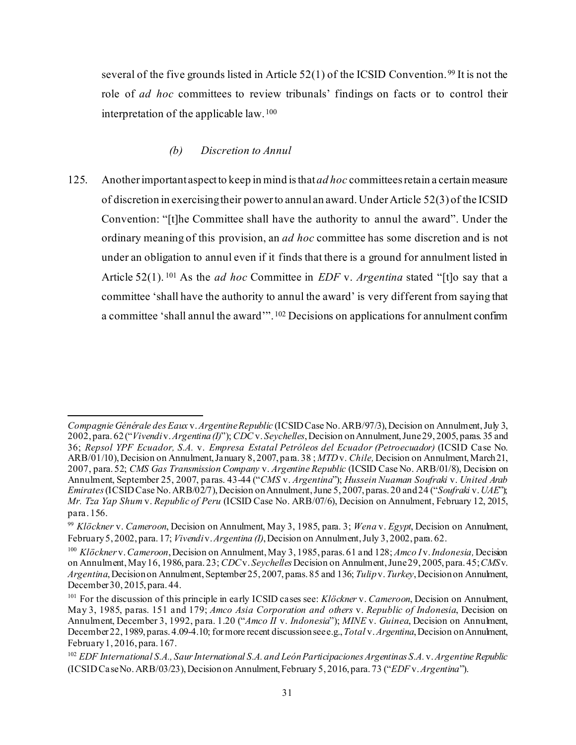several of the five grounds listed in Article  $52(1)$  of the ICSID Convention.<sup>[99](#page-37-0)</sup> It is not the role of *ad hoc* committees to review tribunals' findings on facts or to control their interpretation of the applicable law. [100](#page-37-1)

### *(b) Discretion to Annul*

125. Another important aspect to keep in mind is that *ad hoc* committees retain a certain measure of discretion in exercising their power to annul an award. UnderArticle 52(3) of the ICSID Convention: "[t]he Committee shall have the authority to annul the award". Under the ordinary meaning of this provision, an *ad hoc* committee has some discretion and is not under an obligation to annul even if it finds that there is a ground for annulment listed in Article 52(1). [101](#page-37-2) As the *ad hoc* Committee in *EDF* v. *Argentina* stated "[t]o say that a committee 'shall have the authority to annul the award' is very different from saying that a committee 'shall annul the award'". <sup>[102](#page-37-3)</sup> Decisions on applications for annulment confirm

*Compagnie Générale des Eaux* v.*Argentine Republic* (ICSID Case No. ARB/97/3), Decision on Annulment, July 3, 2002, para. 62 ("*Vivendi* v.*Argentina (I)*"); *CDC* v. *Seychelles*, Decision on Annulment, June 29, 2005, paras. 35 and 36; *Repsol YPF Ecuador, S.A.* v. *Empresa Estatal Petróleos del Ecuador (Petroecuador)* (ICSID Case No. ARB/01/10), Decision on Annulment, January 8, 2007, para. 38 ; *MTD* v. *Chile,* Decision on Annulment, March 21, 2007, para. 52; *CMS Gas Transmission Company* v. *Argentine Republic* (ICSID Case No. ARB/01/8), Decision on Annulment, September 25, 2007, paras. 43-44 ("*CMS* v. *Argentina*"); *Hussein Nuaman Soufraki* v. *United Arab Emirates*(ICSID Case No. ARB/02/7), Decision on Annulment, June 5, 2007, paras. 20 and24 ("*Soufraki* v.*UAE*"); *Mr. Tza Yap Shum* v. *Republic of Peru* (ICSID Case No. ARB/07/6), Decision on Annulment, February 12, 2015, para. 156.

<span id="page-37-0"></span><sup>99</sup> *Klöckner* v. *Cameroon*, Decision on Annulment, May 3, 1985, para. 3; *Wena* v. *Egypt*, Decision on Annulment, February 5, 2002, para. 17; *Vivendiv. Argentina (I)*, Decision on Annulment, July 3, 2002, para. 62.

<span id="page-37-1"></span><sup>100</sup> *Klöckner* v.*Cameroon*,Decision on Annulment, May 3, 1985, paras. 61 and 128; *Amco I* v.*Indonesia,* Decision on Annulment, May 16, 1986, para. 23; *CDC* v. *Seychelles* Decision on Annulment, June 29, 2005, para. 45; *CMS* v. *Argentina*, Decision on Annulment, September 25, 2007, paras. 85 and 136; *Tulip* v.*Turkey*, Decision on Annulment, December 30, 2015, para. 44.

<span id="page-37-2"></span><sup>101</sup> For the discussion of this principle in early ICSID cases see: *Klöckner* v. *Cameroon*, Decision on Annulment, May 3, 1985, paras. 151 and 179; *Amco Asia Corporation and others* v. *Republic of Indonesia*, Decision on Annulment, December 3, 1992, para. 1.20 ("*Amco II* v. *Indonesia*"); *MINE* v. *Guinea*, Decision on Annulment, December 22, 1989, paras. 4.09-4.10; for more recent discussion see e.g., *Total* v.*Argentina*, Decision on Annulment, February 1, 2016, para. 167.

<span id="page-37-3"></span><sup>102</sup> *EDF International S.A., Saur International S.A. and León Participaciones Argentinas S.A.* v. *Argentine Republic* (ICSID Case No. ARB/03/23), Decision on Annulment, February 5, 2016, para. 73 ("*EDF* v.*Argentina*").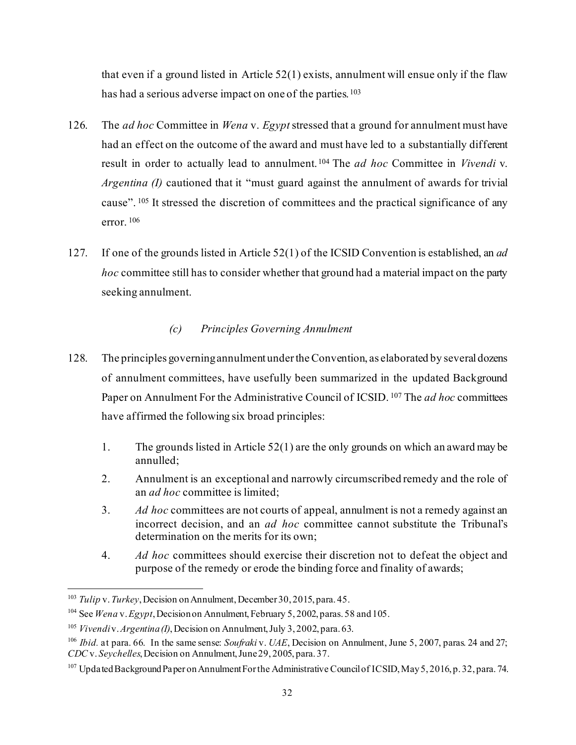that even if a ground listed in Article  $52(1)$  exists, annulment will ensue only if the flaw has had a serious adverse impact on one of the parties. [103](#page-38-0)

- 126. The *ad hoc* Committee in *Wena* v. *Egypt* stressed that a ground for annulment must have had an effect on the outcome of the award and must have led to a substantially different result in order to actually lead to annulment. [104](#page-38-1) The *ad hoc* Committee in *Vivendi* v. *Argentina (I)* cautioned that it "must guard against the annulment of awards for trivial cause". [105](#page-38-2) It stressed the discretion of committees and the practical significance of any error.  $106$
- 127. If one of the grounds listed in Article 52(1) of the ICSID Convention is established, an *ad hoc* committee still has to consider whether that ground had a material impact on the party seeking annulment.

## *(c) Principles Governing Annulment*

- 128. The principles governing annulment under the Convention, as elaborated by several dozens of annulment committees, have usefully been summarized in the updated Background Paper on Annulment For the Administrative Council of ICSID. [107](#page-38-4) The *ad hoc* committees have affirmed the following six broad principles:
	- 1. The grounds listed in Article 52(1) are the only grounds on which an award may be annulled;
	- 2. Annulment is an exceptional and narrowly circumscribed remedy and the role of an *ad hoc* committee is limited;
	- 3. *Ad hoc* committees are not courts of appeal, annulment is not a remedy against an incorrect decision, and an *ad hoc* committee cannot substitute the Tribunal's determination on the merits for its own;
	- 4. *Ad hoc* committees should exercise their discretion not to defeat the object and purpose of the remedy or erode the binding force and finality of awards;

<span id="page-38-0"></span><sup>103</sup> *Tulip* v.*Turkey*, Decision on Annulment, December 30, 2015, para. 45.

<span id="page-38-1"></span><sup>104</sup> See *Wena* v.*Egypt*, Decision on Annulment, February 5, 2002, paras. 58 and 105.

<span id="page-38-2"></span><sup>105</sup> *Vivendi* v. *Argentina(I)*, Decision on Annulment, July 3, 2002, para. 63.

<span id="page-38-3"></span><sup>106</sup> *Ibid.* at para. 66. In the same sense: *Soufraki* v. *UAE*, Decision on Annulment, June 5, 2007, paras. 24 and 27; *CDC* v. *Seychelles*, Decision on Annulment, June 29, 2005, para. 37.

<span id="page-38-4"></span><sup>&</sup>lt;sup>107</sup> Updated Background Paper on Annulment For the Administrative Council of ICSID, May 5, 2016, p. 32, para. 74.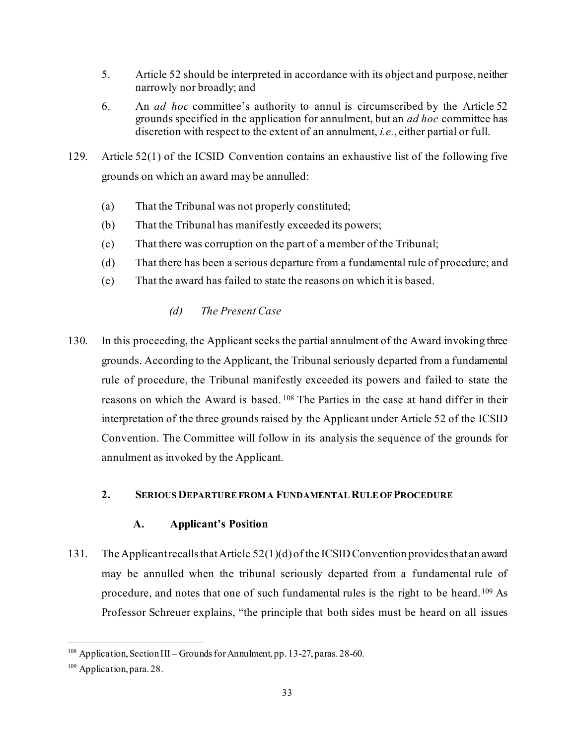- 5. Article 52 should be interpreted in accordance with its object and purpose, neither narrowly nor broadly; and
- 6. An *ad hoc* committee's authority to annul is circumscribed by the Article 52 grounds specified in the application for annulment, but an *ad hoc* committee has discretion with respect to the extent of an annulment, *i.e.*, either partial or full.
- 129. Article 52(1) of the ICSID Convention contains an exhaustive list of the following five grounds on which an award may be annulled:
	- (a) That the Tribunal was not properly constituted;
	- (b) That the Tribunal has manifestly exceeded its powers;
	- (c) That there was corruption on the part of a member of the Tribunal;
	- (d) That there has been a serious departure from a fundamental rule of procedure; and
	- (e) That the award has failed to state the reasons on which it is based.

# *(d) The Present Case*

130. In this proceeding, the Applicant seeks the partial annulment of the Award invoking three grounds. According to the Applicant, the Tribunal seriously departed from a fundamental rule of procedure, the Tribunal manifestly exceeded its powers and failed to state the reasons on which the Award is based. [108](#page-39-0) The Parties in the case at hand differ in their interpretation of the three grounds raised by the Applicant under Article 52 of the ICSID Convention. The Committee will follow in its analysis the sequence of the grounds for annulment as invoked by the Applicant.

## **2. SERIOUS DEPARTURE FROM A FUNDAMENTAL RULE OF PROCEDURE**

## **A. Applicant's Position**

131. The Applicant recalls that Article 52(1)(d) of the ICSID Convention provides that an award may be annulled when the tribunal seriously departed from a fundamental rule of procedure, and notes that one of such fundamental rules is the right to be heard. [109](#page-39-1) As Professor Schreuer explains, "the principle that both sides must be heard on all issues

<span id="page-39-0"></span><sup>&</sup>lt;sup>108</sup> Application, Section III – Grounds for Annulment, pp. 13-27, paras. 28-60.

<span id="page-39-1"></span><sup>&</sup>lt;sup>109</sup> Application, para. 28.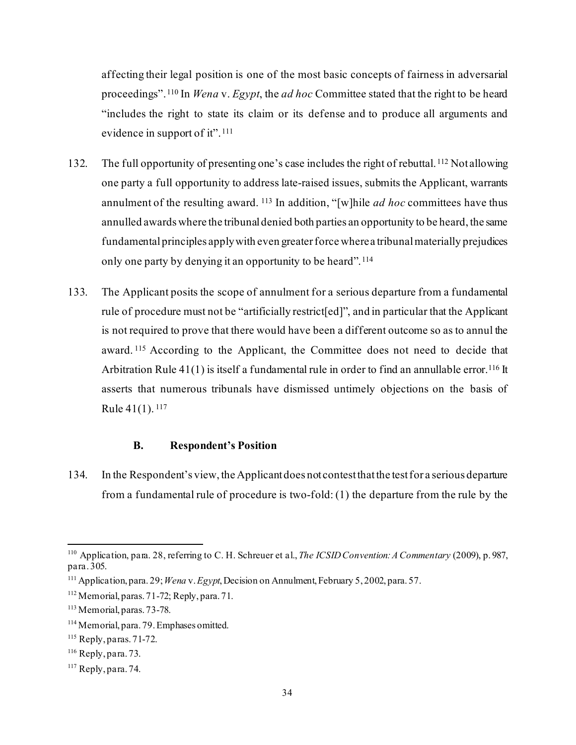affecting their legal position is one of the most basic concepts of fairness in adversarial proceedings".[110](#page-40-0) In *Wena* v. *Egypt*, the *ad hoc* Committee stated that the right to be heard "includes the right to state its claim or its defense and to produce all arguments and evidence in support of it".<sup>[111](#page-40-1)</sup>

- 132. The full opportunity of presenting one's case includes the right of rebuttal.<sup>[112](#page-40-2)</sup> Not allowing one party a full opportunity to address late-raised issues, submits the Applicant, warrants annulment of the resulting award. [113](#page-40-3) In addition, "[w]hile *ad hoc* committees have thus annulled awards where the tribunal denied both parties an opportunity to be heard, the same fundamental principles apply with even greater force where a tribunal materially prejudices only one party by denying it an opportunity to be heard". <sup>[114](#page-40-4)</sup>
- 133. The Applicant posits the scope of annulment for a serious departure from a fundamental rule of procedure must not be "artificially restrict[ed]", and in particular that the Applicant is not required to prove that there would have been a different outcome so as to annul the award. [115](#page-40-5) According to the Applicant, the Committee does not need to decide that Arbitration Rule  $41(1)$  is itself a fundamental rule in order to find an annullable error.<sup>[116](#page-40-6)</sup> It asserts that numerous tribunals have dismissed untimely objections on the basis of Rule 41(1). [117](#page-40-7)

### **B. Respondent's Position**

134. In the Respondent's view, the Applicantdoes not contest that the test for a serious departure from a fundamental rule of procedure is two-fold: (1) the departure from the rule by the

<span id="page-40-0"></span><sup>110</sup> Application, para. 28, referring to C. H. Schreuer et al.,*The ICSIDConvention:ACommentary* (2009), p. 987, para. 305.

<span id="page-40-1"></span><sup>111</sup> Application, para. 29; *Wena* v.*Egypt*, Decision on Annulment, February 5, 2002, para. 57.

<span id="page-40-2"></span><sup>112</sup> Memorial, paras. 71-72; Reply, para. 71.

<span id="page-40-3"></span><sup>113</sup> Memorial, paras. 73-78.

<span id="page-40-4"></span><sup>114</sup> Memorial, para. 79. Emphases omitted.

<span id="page-40-5"></span> $115$  Reply, paras. 71-72.

<span id="page-40-6"></span> $116$  Reply, para. 73.

<span id="page-40-7"></span> $117$  Reply, para. 74.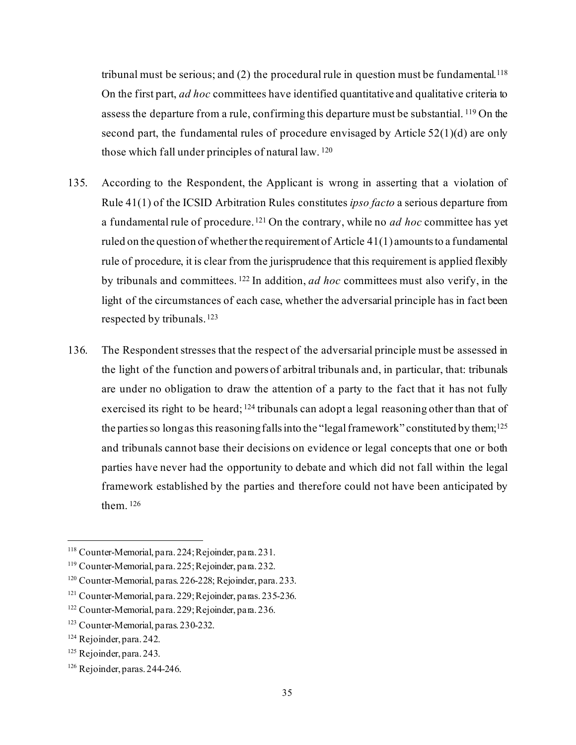tribunal must be serious; and (2) the procedural rule in question must be fundamental.<sup>[118](#page-41-0)</sup> On the first part, *ad hoc* committees have identified quantitative and qualitative criteria to assess the departure from a rule, confirming this departure must be substantial. [119](#page-41-1) On the second part, the fundamental rules of procedure envisaged by Article 52(1)(d) are only those which fall under principles of natural law. [120](#page-41-2)

- 135. According to the Respondent, the Applicant is wrong in asserting that a violation of Rule 41(1) of the ICSID Arbitration Rules constitutes *ipso facto* a serious departure from a fundamental rule of procedure. [121](#page-41-3) On the contrary, while no *ad hoc* committee has yet ruled on the question of whether the requirement of Article 41(1) amounts to a fundamental rule of procedure, it is clear from the jurisprudence that this requirement is applied flexibly by tribunals and committees. [122](#page-41-4) In addition, *ad hoc* committees must also verify, in the light of the circumstances of each case, whether the adversarial principle has in fact been respected by tribunals. [123](#page-41-5)
- 136. The Respondent stresses that the respect of the adversarial principle must be assessed in the light of the function and powers of arbitral tribunals and, in particular, that: tribunals are under no obligation to draw the attention of a party to the fact that it has not fully exercised its right to be heard; <sup>[124](#page-41-6)</sup> tribunals can adopt a legal reasoning other than that of the parties so long as this reasoning falls into the "legal framework" constituted by them;<sup>125</sup> and tribunals cannot base their decisions on evidence or legal concepts that one or both parties have never had the opportunity to debate and which did not fall within the legal framework established by the parties and therefore could not have been anticipated by them. [126](#page-41-8)

<span id="page-41-0"></span><sup>118</sup> Counter-Memorial, para. 224; Rejoinder, para. 231.

<span id="page-41-1"></span> $119$  Counter-Memorial, para. 225; Rejoinder, para. 232.

<span id="page-41-2"></span><sup>120</sup> Counter-Memorial, paras. 226-228; Rejoinder, para. 233.

<span id="page-41-3"></span><sup>121</sup> Counter-Memorial, para. 229; Rejoinder, paras. 235-236.

<span id="page-41-4"></span><sup>&</sup>lt;sup>122</sup> Counter-Memorial, para. 229; Rejoinder, para. 236.

<span id="page-41-5"></span><sup>123</sup> Counter-Memorial, paras. 230-232.

<span id="page-41-6"></span> $124$  Rejoinder, para. 242.

<span id="page-41-7"></span><sup>125</sup> Rejoinder, para. 243.

<span id="page-41-8"></span> $126$  Rejoinder, paras. 244-246.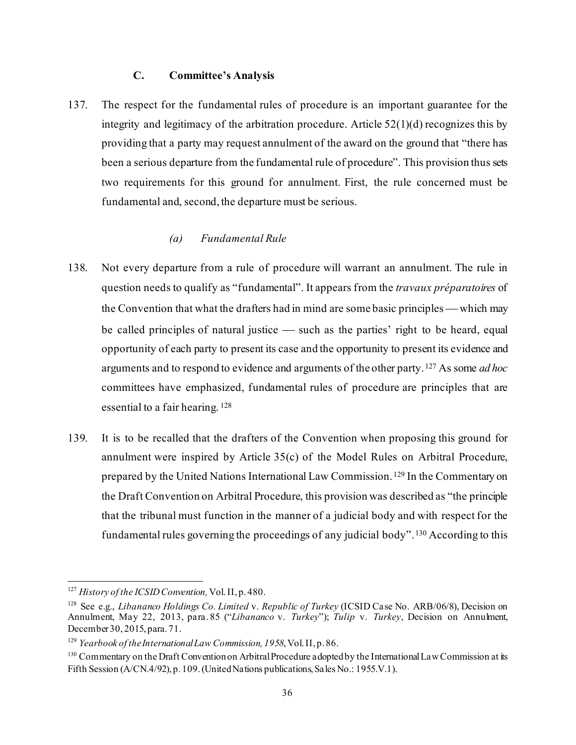### **C. Committee's Analysis**

137. The respect for the fundamental rules of procedure is an important guarantee for the integrity and legitimacy of the arbitration procedure. Article 52(1)(d) recognizes this by providing that a party may request annulment of the award on the ground that "there has been a serious departure from the fundamental rule of procedure". This provision thus sets two requirements for this ground for annulment. First, the rule concerned must be fundamental and, second, the departure must be serious.

## *(a) Fundamental Rule*

- 138. Not every departure from a rule of procedure will warrant an annulment. The rule in question needs to qualify as "fundamental". It appears from the *travaux préparatoires* of the Convention that what the drafters had in mind are some basic principles — which may be called principles of natural justice  $-$  such as the parties' right to be heard, equal opportunity of each party to present its case and the opportunity to present its evidence and arguments and to respond to evidence and arguments of the other party. [127](#page-42-0) As some *ad hoc* committees have emphasized, fundamental rules of procedure are principles that are essential to a fair hearing. [128](#page-42-1)
- 139. It is to be recalled that the drafters of the Convention when proposing this ground for annulment were inspired by Article 35(c) of the Model Rules on Arbitral Procedure, prepared by the United Nations International Law Commission. [129](#page-42-2) In the Commentary on the Draft Convention on Arbitral Procedure, this provision was described as "the principle that the tribunal must function in the manner of a judicial body and with respect for the fundamental rules governing the proceedings of any judicial body". [130](#page-42-3) According to this

<span id="page-42-0"></span><sup>127</sup> *History of the ICSID Convention,* Vol.II, p. 480.

<span id="page-42-1"></span><sup>128</sup> See e.g., *Libananco Holdings Co. Limited* v. *Republic of Turkey* (ICSID Case No. ARB/06/8), Decision on Annulment, May 22, 2013, para. 85 ("*Libananco* v. *Turkey*"); *Tulip* v. *Turkey*, Decision on Annulment, December 30, 2015, para. 71.

<span id="page-42-2"></span><sup>129</sup> *Yearbook of the International Law Commission, 1958*, Vol.II, p. 86.

<span id="page-42-3"></span><sup>&</sup>lt;sup>130</sup> Commentary on the Draft Convention on Arbitral Procedure adopted by the International Law Commission at its Fifth Session (A/CN.4/92), p. 109. (United Nations publications, Sales No.: 1955.V.1).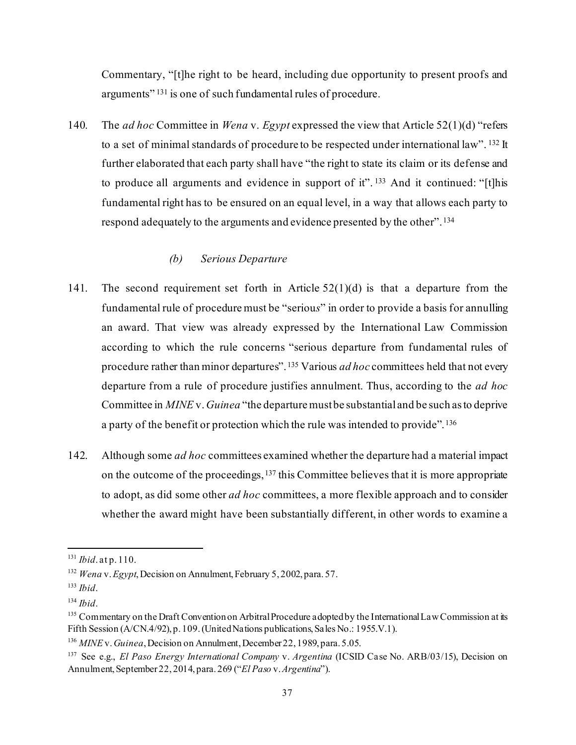Commentary, "[t]he right to be heard, including due opportunity to present proofs and arguments"<sup>[131](#page-43-0)</sup> is one of such fundamental rules of procedure.

140. The *ad hoc* Committee in *Wena* v. *Egypt* expressed the view that Article 52(1)(d) "refers to a set of minimal standards of procedure to be respected under international law". [132](#page-43-1) It further elaborated that each party shall have "the right to state its claim or its defense and to produce all arguments and evidence in support of it". [133](#page-43-2) And it continued: "[t]his fundamental right has to be ensured on an equal level, in a way that allows each party to respond adequately to the arguments and evidence presented by the other".<sup>[134](#page-43-3)</sup>

### *(b) Serious Departure*

- 141. The second requirement set forth in Article  $52(1)(d)$  is that a departure from the fundamental rule of procedure must be "seriou*s*" in order to provide a basis for annulling an award. That view was already expressed by the International Law Commission according to which the rule concerns "serious departure from fundamental rules of procedure rather than minor departures".[135](#page-43-4) Various *ad hoc* committees held that not every departure from a rule of procedure justifies annulment. Thus, according to the *ad hoc* Committee in *MINE* v. *Guinea* "the departure must be substantial and be such as to deprive a party of the benefit or protection which the rule was intended to provide". [136](#page-43-5)
- 142. Although some *ad hoc* committees examined whether the departure had a material impact on the outcome of the proceedings,  $137$  this Committee believes that it is more appropriate to adopt, as did some other *ad hoc* committees, a more flexible approach and to consider whether the award might have been substantially different, in other words to examine a

<span id="page-43-0"></span><sup>131</sup> *Ibid*. at p. 110.

<span id="page-43-1"></span><sup>132</sup> *Wena* v.*Egypt*, Decision on Annulment, February 5, 2002, para. 57.

<span id="page-43-2"></span><sup>133</sup> *Ibid*.

<span id="page-43-3"></span><sup>134</sup> *Ibid*.

<span id="page-43-4"></span><sup>&</sup>lt;sup>135</sup> Commentary on the Draft Convention on Arbitral Procedure adopted by the International Law Commission at its Fifth Session (A/CN.4/92), p. 109.(United Nations publications, Sales No.: 1955.V.1).

<span id="page-43-5"></span><sup>136</sup> *MINE* v.*Guinea*, Decision on Annulment, December 22, 1989, para. 5.05.

<span id="page-43-6"></span><sup>137</sup> See e.g., *El Paso Energy International Company* v. *Argentina* (ICSID Case No. ARB/03/15), Decision on Annulment, September 22, 2014, para. 269 ("*El Paso* v.*Argentina*").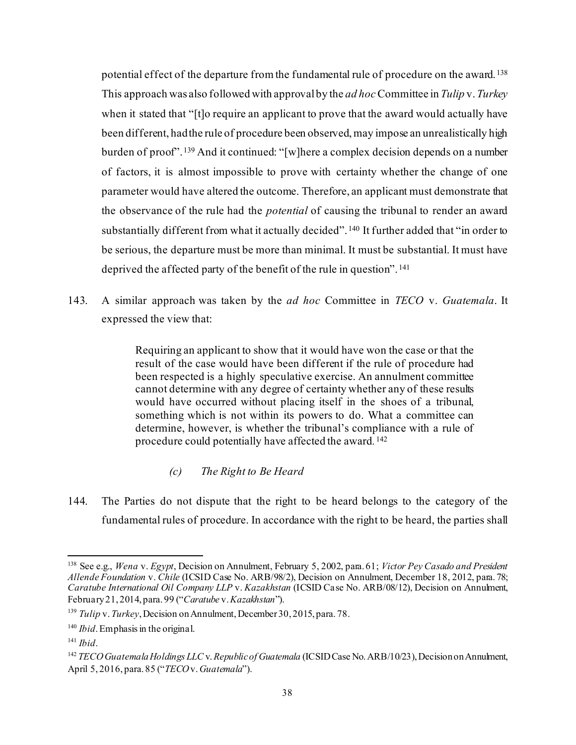potential effect of the departure from the fundamental rule of procedure on the award.  $138$ This approach was also followed with approval by the *ad hoc* Committee in *Tulip* v. *Turkey*  when it stated that "[t]o require an applicant to prove that the award would actually have been different, had the rule of procedure been observed, may impose an unrealistically high burden of proof". [139](#page-44-1) And it continued: "[w]here a complex decision depends on a number of factors, it is almost impossible to prove with certainty whether the change of one parameter would have altered the outcome. Therefore, an applicant must demonstrate that the observance of the rule had the *potential* of causing the tribunal to render an award substantially different from what it actually decided".[140](#page-44-2) It further added that "in order to be serious, the departure must be more than minimal. It must be substantial. It must have deprived the affected party of the benefit of the rule in question".<sup>[141](#page-44-3)</sup>

143. A similar approach was taken by the *ad hoc* Committee in *TECO* v. *Guatemala*. It expressed the view that:

> Requiring an applicant to show that it would have won the case or that the result of the case would have been different if the rule of procedure had been respected is a highly speculative exercise. An annulment committee cannot determine with any degree of certainty whether any of these results would have occurred without placing itself in the shoes of a tribunal, something which is not within its powers to do. What a committee can determine, however, is whether the tribunal's compliance with a rule of procedure could potentially have affected the award*.*[142](#page-44-4)

- *(c) The Right to Be Heard*
- 144. The Parties do not dispute that the right to be heard belongs to the category of the fundamental rules of procedure. In accordance with the right to be heard, the parties shall

<span id="page-44-0"></span><sup>138</sup> See e.g., *Wena* v. *Egypt*, Decision on Annulment, February 5, 2002, para. 61; *Victor Pey Casado and President Allende Foundation* v. *Chile* (ICSID Case No. ARB/98/2), Decision on Annulment, December 18, 2012, para. 78; *Caratube International Oil Company LLP* v. *Kazakhstan* (ICSID Case No. ARB/08/12), Decision on Annulment, February 21, 2014, para. 99 ("*Caratube* v.*Kazakhstan*").

<span id="page-44-1"></span><sup>139</sup> *Tulip* v.*Turkey*, Decision on Annulment, December 30, 2015, para. 78.

<span id="page-44-2"></span><sup>140</sup> *Ibid*. Emphasis in the original.

<span id="page-44-3"></span><sup>141</sup> *Ibid*.

<span id="page-44-4"></span><sup>142</sup> *TECO Guatemala Holdings LLC* v.*Republic of Guatemala* (ICSID Case No. ARB/10/23), Decision on Annulment, April 5, 2016, para. 85 ("*TECO* v.*Guatemala*").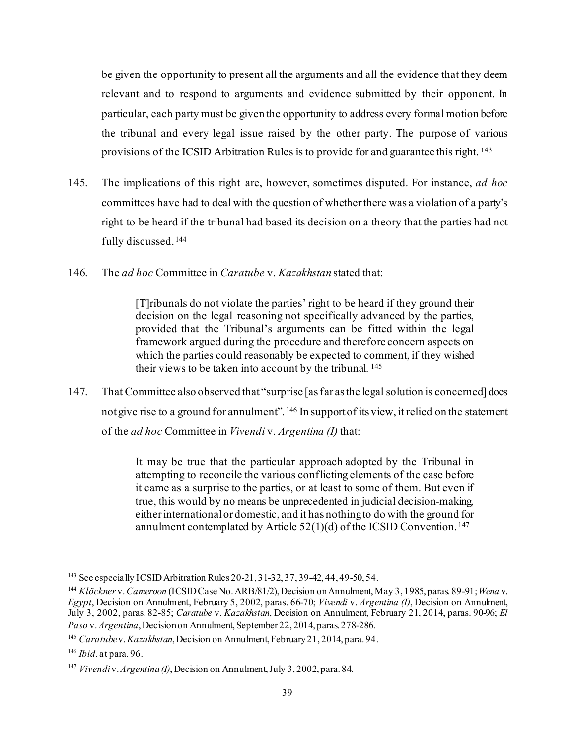be given the opportunity to present all the arguments and all the evidence that they deem relevant and to respond to arguments and evidence submitted by their opponent. In particular, each party must be given the opportunity to address every formal motion before the tribunal and every legal issue raised by the other party. The purpose of various provisions of the ICSID Arbitration Rules is to provide for and guarantee this right. [143](#page-45-0)

- 145. The implications of this right are, however, sometimes disputed. For instance, *ad hoc* committees have had to deal with the question of whether there was a violation of a party's right to be heard if the tribunal had based its decision on a theory that the parties had not fully discussed. [144](#page-45-1)
- 146. The *ad hoc* Committee in *Caratube* v. *Kazakhstan* stated that:

[T]ribunals do not violate the parties' right to be heard if they ground their decision on the legal reasoning not specifically advanced by the parties, provided that the Tribunal's arguments can be fitted within the legal framework argued during the procedure and therefore concern aspects on which the parties could reasonably be expected to comment, if they wished their views to be taken into account by the tribunal*.* [145](#page-45-2)

147. That Committee also observed that "surprise [as far as the legal solution is concerned] does not give rise to a ground for annulment". [146](#page-45-3) In support of its view, it relied on the statement of the *ad hoc* Committee in *Vivendi* v. *Argentina (I)* that:

> It may be true that the particular approach adopted by the Tribunal in attempting to reconcile the various conflicting elements of the case before it came as a surprise to the parties, or at least to some of them. But even if true, this would by no means be unprecedented in judicial decision-making, either international or domestic, and it has nothing to do with the ground for annulment contemplated by Article  $52(1)(d)$  of the ICSID Convention.<sup>[147](#page-45-4)</sup>

<span id="page-45-0"></span><sup>&</sup>lt;sup>143</sup> See especially ICSID Arbitration Rules 20-21, 31-32, 37, 39-42, 44, 49-50, 54.

<span id="page-45-1"></span><sup>144</sup> *Klöckner* v.*Cameroon* (ICSID Case No. ARB/81/2),Decision on Annulment, May 3, 1985, paras. 89-91; *Wena* v. *Egypt*, Decision on Annulment, February 5, 2002, paras. 66-70; *Vivendi* v. *Argentina (I)*, Decision on Annulment, July 3, 2002, paras. 82-85; *Caratube* v. *Kazakhstan*, Decision on Annulment, February 21, 2014, paras. 90-96; *El Paso* v. *Argentina*, Decision on Annulment, September 22, 2014, paras. 278-286.

<span id="page-45-2"></span><sup>145</sup> *Caratube* v.*Kazakhstan*, Decision on Annulment, February 21, 2014, para. 94.

<span id="page-45-3"></span><sup>146</sup> *Ibid*. at para. 96.

<span id="page-45-4"></span><sup>&</sup>lt;sup>147</sup> *Vivendiv. Argentina (I)*, Decision on Annulment, July 3, 2002, para. 84.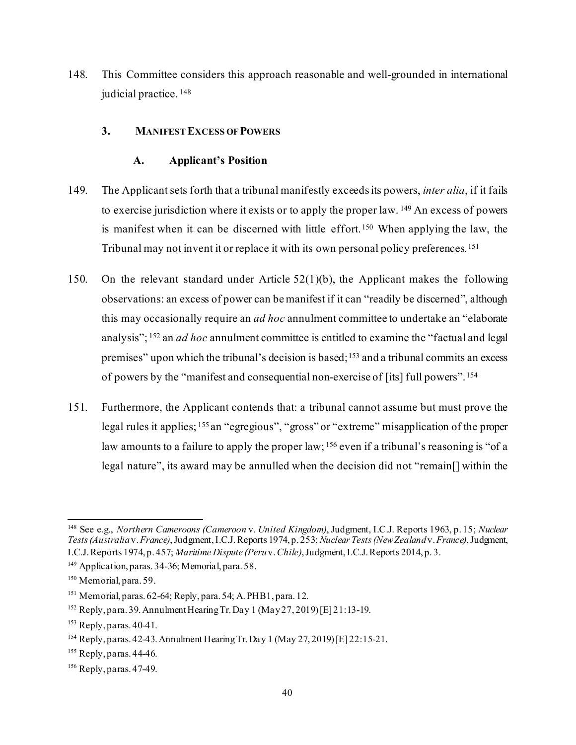148. This Committee considers this approach reasonable and well-grounded in international judicial practice. [148](#page-46-0)

## **3. MANIFEST EXCESS OF POWERS**

### **A. Applicant's Position**

- 149. The Applicant sets forth that a tribunal manifestly exceedsits powers, *inter alia*, if it fails to exercise jurisdiction where it exists or to apply the proper law. [149](#page-46-1) An excess of powers is manifest when it can be discerned with little effort.<sup>[150](#page-46-2)</sup> When applying the law, the Tribunal may not invent it or replace it with its own personal policy preferences. [151](#page-46-3)
- 150. On the relevant standard under Article 52(1)(b), the Applicant makes the following observations: an excess of power can be manifest if it can "readily be discerned", although this may occasionally require an *ad hoc* annulment committee to undertake an "elaborate analysis"; [152](#page-46-4) an *ad hoc* annulment committee is entitled to examine the "factual and legal premises" upon which the tribunal's decision is based;<sup>[153](#page-46-5)</sup> and a tribunal commits an excess of powers by the "manifest and consequential non-exercise of [its] full powers".[154](#page-46-6)
- 151. Furthermore, the Applicant contends that: a tribunal cannot assume but must prove the legal rules it applies; <sup>[155](#page-46-7)</sup> an "egregious", "gross" or "extreme" misapplication of the proper law amounts to a failure to apply the proper law; <sup>[156](#page-46-8)</sup> even if a tribunal's reasoning is "of a legal nature", its award may be annulled when the decision did not "remain[] within the

<span id="page-46-0"></span><sup>148</sup> See e.g., *Northern Cameroons (Cameroon* v. *United Kingdom)*, Judgment, I.C.J. Reports 1963, p. 15; *Nuclear Tests (Australia* v.*France)*, Judgment, I.C.J. Reports 1974, p. 253; *Nuclear Tests (New Zealand* v.*France)*, Judgment, I.C.J.Reports 1974, p. 457; *Maritime Dispute (Peru* v.*Chile)*, Judgment, I.C.J. Reports 2014, p. 3.

<span id="page-46-1"></span><sup>&</sup>lt;sup>149</sup> Application, paras. 34-36; Memorial, para. 58.

<span id="page-46-2"></span><sup>&</sup>lt;sup>150</sup> Memorial, para. 59.

<span id="page-46-3"></span><sup>151</sup> Memorial, paras. 62-64; Reply, para. 54; A. PHB1, para. 12.

<span id="page-46-4"></span><sup>&</sup>lt;sup>152</sup> Reply, para. 39. Annulment Hearing Tr. Day 1 (May 27, 2019) [E] 21:13-19.

<span id="page-46-5"></span><sup>153</sup> Reply, paras. 40-41.

<span id="page-46-6"></span><sup>154</sup> Reply, paras. 42-43. Annulment HearingTr. Day 1 (May 27, 2019) [E] 22:15-21.

<span id="page-46-7"></span><sup>&</sup>lt;sup>155</sup> Reply, paras. 44-46.

<span id="page-46-8"></span><sup>&</sup>lt;sup>156</sup> Reply, paras. 47-49.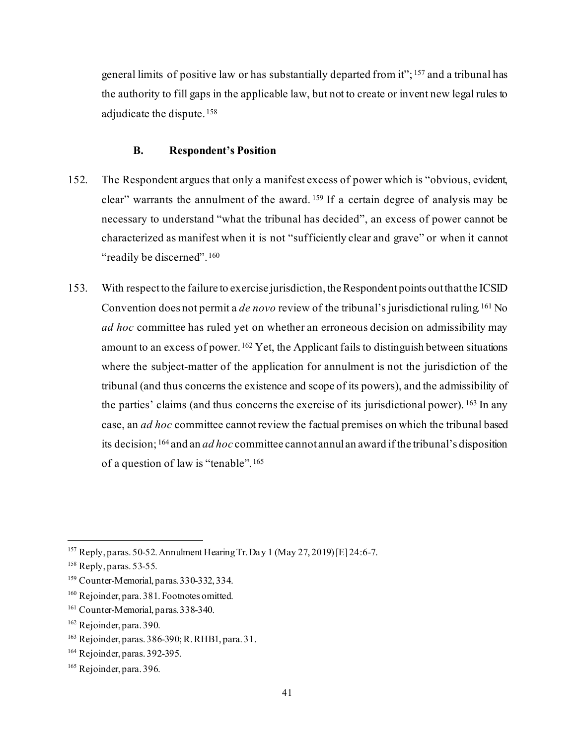general limits of positive law or has substantially departed from it"; [157](#page-47-0) and a tribunal has the authority to fill gaps in the applicable law, but not to create or invent new legal rules to adjudicate the dispute.[158](#page-47-1)

### **B. Respondent's Position**

- 152. The Respondent argues that only a manifest excess of power which is "obvious, evident, clear" warrants the annulment of the award. [159](#page-47-2) If a certain degree of analysis may be necessary to understand "what the tribunal has decided", an excess of power cannot be characterized as manifest when it is not "sufficiently clear and grave" or when it cannot "readily be discerned".<sup>[160](#page-47-3)</sup>
- 153. With respect to the failure to exercise jurisdiction, the Respondentpoints out thatthe ICSID Convention does not permit a *de novo* review of the tribunal's jurisdictional ruling. [161](#page-47-4) No *ad hoc* committee has ruled yet on whether an erroneous decision on admissibility may amount to an excess of power. [162](#page-47-5) Yet, the Applicant fails to distinguish between situations where the subject-matter of the application for annulment is not the jurisdiction of the tribunal (and thus concerns the existence and scope of its powers), and the admissibility of the parties' claims (and thus concerns the exercise of its jurisdictional power). [163](#page-47-6) In any case, an *ad hoc* committee cannot review the factual premises on which the tribunal based its decision; [164](#page-47-7) and an *ad hoc* committee cannot annul an award if the tribunal's disposition of a question of law is "tenable". [165](#page-47-8)

<span id="page-47-0"></span><sup>157</sup> Reply, paras. 50-52. Annulment HearingTr. Day 1 (May 27, 2019) [E] 24:6-7.

<span id="page-47-1"></span> $158$  Reply, paras. 53-55.

<span id="page-47-2"></span><sup>159</sup> Counter-Memorial, paras. 330-332, 334.

<span id="page-47-3"></span><sup>160</sup> Rejoinder, para. 381. Footnotes omitted.

<span id="page-47-4"></span><sup>&</sup>lt;sup>161</sup> Counter-Memorial, paras. 338-340.

<span id="page-47-5"></span><sup>162</sup> Rejoinder, para. 390.

<span id="page-47-6"></span><sup>163</sup> Rejoinder, paras. 386-390; R. RHB1, para. 31.

<span id="page-47-7"></span><sup>164</sup> Rejoinder, paras. 392-395.

<span id="page-47-8"></span><sup>&</sup>lt;sup>165</sup> Rejoinder, para. 396.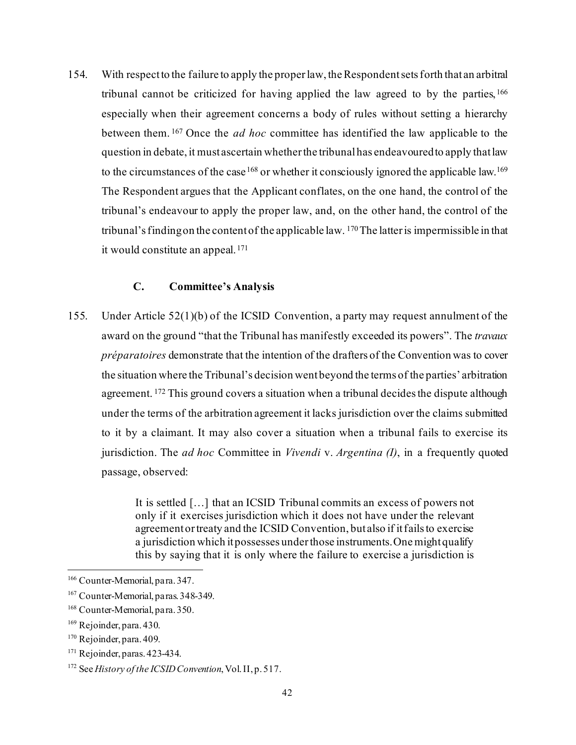154. With respect to the failure to apply the proper law, the Respondentsets forth that an arbitral tribunal cannot be criticized for having applied the law agreed to by the parties, [166](#page-48-0) especially when their agreement concerns a body of rules without setting a hierarchy between them. [167](#page-48-1) Once the *ad hoc* committee has identified the law applicable to the question in debate, it must ascertain whether the tribunal has endeavouredto apply that law to the circumstances of the case <sup>[168](#page-48-2)</sup> or whether it consciously ignored the applicable law.<sup>[169](#page-48-3)</sup> The Respondent argues that the Applicant conflates, on the one hand, the control of the tribunal's endeavour to apply the proper law, and, on the other hand, the control of the tribunal's finding on the content of the applicable law. <sup>[170](#page-48-4)</sup> The latter is impermissible in that it would constitute an appeal. [171](#page-48-5)

### **C. Committee's Analysis**

155. Under Article 52(1)(b) of the ICSID Convention, a party may request annulment of the award on the ground "that the Tribunal has manifestly exceeded its powers". The *travaux préparatoires* demonstrate that the intention of the drafters of the Convention was to cover the situation where the Tribunal's decision went beyond the terms of the parties' arbitration agreement. [172](#page-48-6) This ground covers a situation when a tribunal decides the dispute although under the terms of the arbitration agreement it lacks jurisdiction over the claims submitted to it by a claimant. It may also cover a situation when a tribunal fails to exercise its jurisdiction. The *ad hoc* Committee in *Vivendi* v. *Argentina (I)*, in a frequently quoted passage, observed:

> It is settled […] that an ICSID Tribunal commits an excess of powers not only if it exercises jurisdiction which it does not have under the relevant agreement or treaty and the ICSID Convention, but also if it fails to exercise a jurisdiction which it possesses under those instruments. One might qualify this by saying that it is only where the failure to exercise a jurisdiction is

<span id="page-48-0"></span><sup>166</sup> Counter-Memorial, para. 347.

<span id="page-48-1"></span><sup>167</sup> Counter-Memorial, paras. 348-349.

<span id="page-48-2"></span><sup>&</sup>lt;sup>168</sup> Counter-Memorial, para. 350.

<span id="page-48-3"></span><sup>169</sup> Rejoinder, para. 430.

<span id="page-48-4"></span> $170$  Rejoinder, para. 409.

<span id="page-48-5"></span><sup>171</sup> Rejoinder, paras. 423-434.

<span id="page-48-6"></span><sup>172</sup> See *History of the ICSID Convention*, Vol. II, p. 517.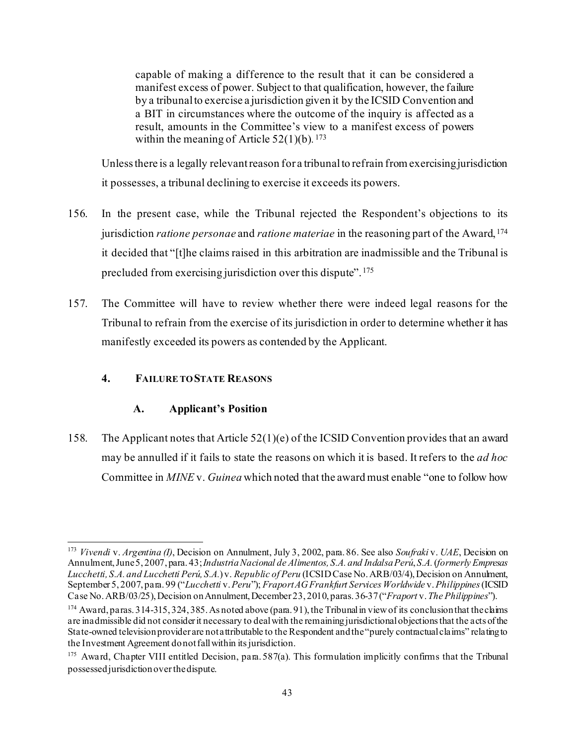capable of making a difference to the result that it can be considered a manifest excess of power. Subject to that qualification, however, the failure by a tribunal to exercise a jurisdiction given it by the ICSID Convention and a BIT in circumstances where the outcome of the inquiry is affected as a result, amounts in the Committee's view to a manifest excess of powers within the meaning of Article 52(1)(b)*.* [173](#page-49-0)

Unless there is a legally relevant reason for a tribunal to refrain from exercising jurisdiction it possesses, a tribunal declining to exercise it exceeds its powers.

- 156. In the present case, while the Tribunal rejected the Respondent's objections to its jurisdiction *ratione personae* and *ratione materiae* in the reasoning part of the Award, [174](#page-49-1) it decided that "[t]he claims raised in this arbitration are inadmissible and the Tribunal is precluded from exercising jurisdiction over this dispute". [175](#page-49-2)
- 157. The Committee will have to review whether there were indeed legal reasons for the Tribunal to refrain from the exercise of its jurisdiction in order to determine whether it has manifestly exceeded its powers as contended by the Applicant.

## **4. FAILURE TO STATE REASONS**

### **A. Applicant's Position**

158. The Applicant notes that Article 52(1)(e) of the ICSID Convention provides that an award may be annulled if it fails to state the reasons on which it is based. It refers to the *ad hoc*  Committee in *MINE* v. *Guinea* which noted that the award must enable "one to follow how

<span id="page-49-0"></span><sup>173</sup> *Vivendi* v. *Argentina (I)*, Decision on Annulment, July 3, 2002, para. 86. See also *Soufraki* v. *UAE*, Decision on Annulment, June 5, 2007, para. 43; *Industria Nacional de Alimentos, S.A. and Indalsa Perú*, *S.A.* (*formerly Empresas Lucchetti, S.A. and Lucchetti Perú, S.A.*) v. *Republic of Peru* (ICSID Case No. ARB/03/4), Decision on Annulment, September 5, 2007, para. 99 ("*Lucchetti* v. *Peru*"); *Fraport AG Frankfurt Services Worldwide* v.*Philippines* (ICSID Case No. ARB/03/25), Decision on Annulment, December 23, 2010, paras. 36-37 ("*Fraport* v.*The Philippines*").

<span id="page-49-1"></span><sup>&</sup>lt;sup>174</sup> Award, paras. 314-315, 324, 385. As noted above (para. 91), the Tribunal in view of its conclusion that the claims are inadmissible did not consider it necessary to deal with the remaining jurisdictional objections that the acts of the State-owned television provider are not attributable to the Respondent and the "purely contractual claims" relating to the Investment Agreement do not fall within its jurisdiction.

<span id="page-49-2"></span> $175$  Award, Chapter VIII entitled Decision, para. 587(a). This formulation implicitly confirms that the Tribunal possessed jurisdiction over the dispute.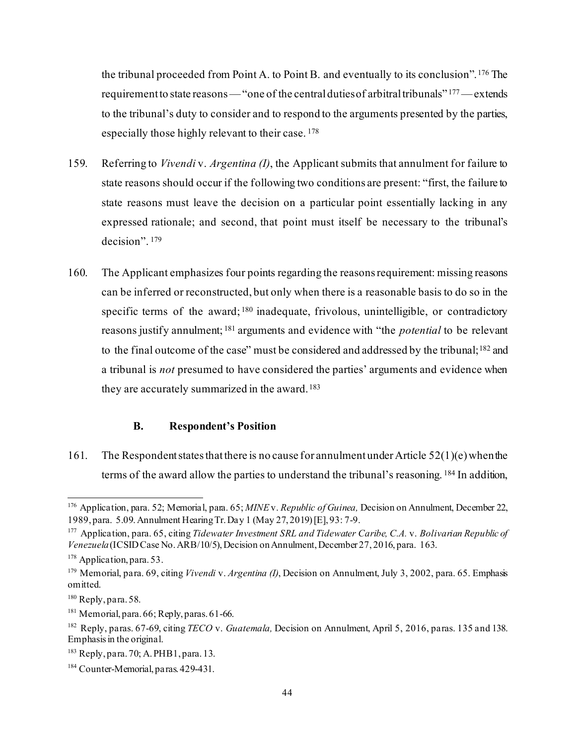the tribunal proceeded from Point A. to Point B. and eventually to its conclusion". [176](#page-50-0) The requirement to state reasons —"one of the central duties of arbitral tribunals" [177](#page-50-1)—extends to the tribunal's duty to consider and to respond to the arguments presented by the parties, especially those highly relevant to their case. [178](#page-50-2)

- 159. Referring to *Vivendi* v. *Argentina (I)*, the Applicantsubmits that annulment for failure to state reasons should occur if the following two conditions are present: "first, the failure to state reasons must leave the decision on a particular point essentially lacking in any expressed rationale; and second, that point must itself be necessary to the tribunal's decision". [179](#page-50-3)
- 160. The Applicant emphasizes four points regarding the reasons requirement: missing reasons can be inferred or reconstructed, but only when there is a reasonable basis to do so in the specific terms of the award;  $180$  inadequate, frivolous, unintelligible, or contradictory reasons justify annulment; [181](#page-50-5) arguments and evidence with "the *potential* to be relevant to the final outcome of the case" must be considered and addressed by the tribunal;<sup>[182](#page-50-6)</sup> and a tribunal is *not* presumed to have considered the parties' arguments and evidence when they are accurately summarized in the award.<sup>[183](#page-50-7)</sup>

#### **B. Respondent's Position**

161. The Respondentstates that there is no cause for annulment under Article 52(1)(e) when the terms of the award allow the parties to understand the tribunal's reasoning. [184](#page-50-8) In addition,

<span id="page-50-0"></span><sup>176</sup> Application, para. 52; Memorial, para. 65; *MINE* v. *Republic of Guinea,* Decision on Annulment, December 22, 1989, para. 5.09. Annulment HearingTr. Day 1 (May 27, 2019) [E], 93: 7-9.

<span id="page-50-1"></span><sup>177</sup> Application, para. 65, citing *Tidewater Investment SRL and Tidewater Caribe, C.A.* v. *Bolivarian Republic of Venezuela*(ICSID Case No. ARB/10/5), Decision on Annulment, December 27, 2016, para. 163.

<span id="page-50-2"></span><sup>&</sup>lt;sup>178</sup> Application, para. 53.

<span id="page-50-3"></span><sup>179</sup> Memorial, para. 69, citing *Vivendi* v. *Argentina (I)*, Decision on Annulment, July 3, 2002, para. 65. Emphasis omitted.

<span id="page-50-4"></span> $180$  Reply, para. 58.

<span id="page-50-5"></span><sup>&</sup>lt;sup>181</sup> Memorial, para. 66; Reply, paras. 61-66.

<span id="page-50-6"></span><sup>182</sup> Reply, paras. 67-69, citing *TECO* v. *Guatemala,* Decision on Annulment, April 5, 2016, paras. 135 and 138. Emphasis in the original.

<span id="page-50-7"></span><sup>183</sup> Reply, para. 70; A. PHB1, para. 13.

<span id="page-50-8"></span><sup>&</sup>lt;sup>184</sup> Counter-Memorial, paras. 429-431.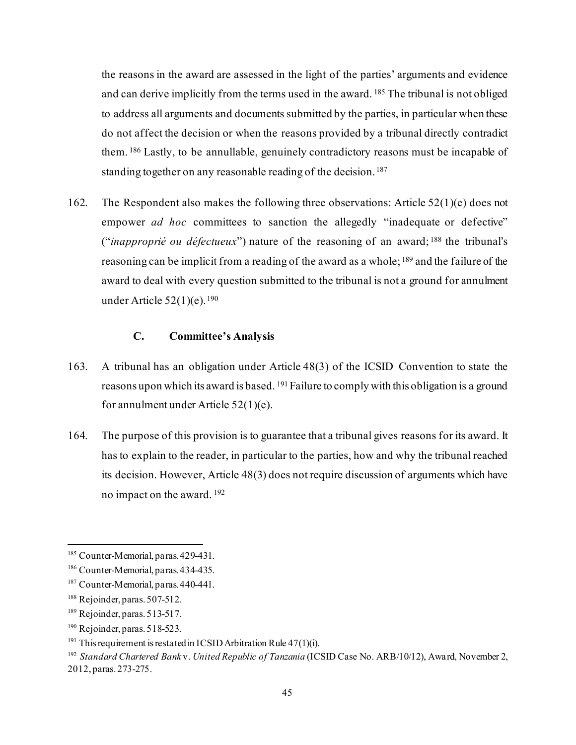the reasons in the award are assessed in the light of the parties' arguments and evidence and can derive implicitly from the terms used in the award. <sup>[185](#page-51-0)</sup> The tribunal is not obliged to address all arguments and documents submitted by the parties, in particular when these do not affect the decision or when the reasons provided by a tribunal directly contradict them. [186](#page-51-1) Lastly, to be annullable, genuinely contradictory reasons must be incapable of standing together on any reasonable reading of the decision.<sup>[187](#page-51-2)</sup>

162. The Respondent also makes the following three observations: Article 52(1)(e) does not empower *ad hoc* committees to sanction the allegedly "inadequate or defective" ("*inapproprié ou défectueux*") nature of the reasoning of an award; [188](#page-51-3) the tribunal's reasoning can be implicit from a reading of the award as a whole; <sup>[189](#page-51-4)</sup> and the failure of the award to deal with every question submitted to the tribunal is not a ground for annulment under Article  $52(1)(e)$ .<sup>[190](#page-51-5)</sup>

### **C. Committee's Analysis**

- 163. A tribunal has an obligation under Article 48(3) of the ICSID Convention to state the reasons upon which its award is based. <sup>[191](#page-51-6)</sup> Failure to comply with this obligation is a ground for annulment under Article 52(1)(e).
- 164. The purpose of this provision is to guarantee that a tribunal gives reasons for its award. It has to explain to the reader, in particular to the parties, how and why the tribunal reached its decision. However, Article 48(3) does not require discussion of arguments which have no impact on the award. [192](#page-51-7)

<span id="page-51-0"></span><sup>&</sup>lt;sup>185</sup> Counter-Memorial, paras. 429-431.

<span id="page-51-1"></span><sup>186</sup> Counter-Memorial, paras. 434-435.

<span id="page-51-2"></span><sup>&</sup>lt;sup>187</sup> Counter-Memorial, paras. 440-441.

<span id="page-51-3"></span><sup>188</sup> Rejoinder, paras. 507-512.

<span id="page-51-4"></span><sup>189</sup> Rejoinder, paras. 513-517.

<span id="page-51-5"></span> $190$  Rejoinder, paras.  $518-523$ .

<span id="page-51-6"></span><sup>&</sup>lt;sup>191</sup> This requirement is restated in ICSID Arbitration Rule  $47(1)(i)$ .

<span id="page-51-7"></span><sup>192</sup> *Standard Chartered Bank* v. *United Republic of Tanzania* (ICSID Case No. ARB/10/12), Award, November 2, 2012, paras. 273-275.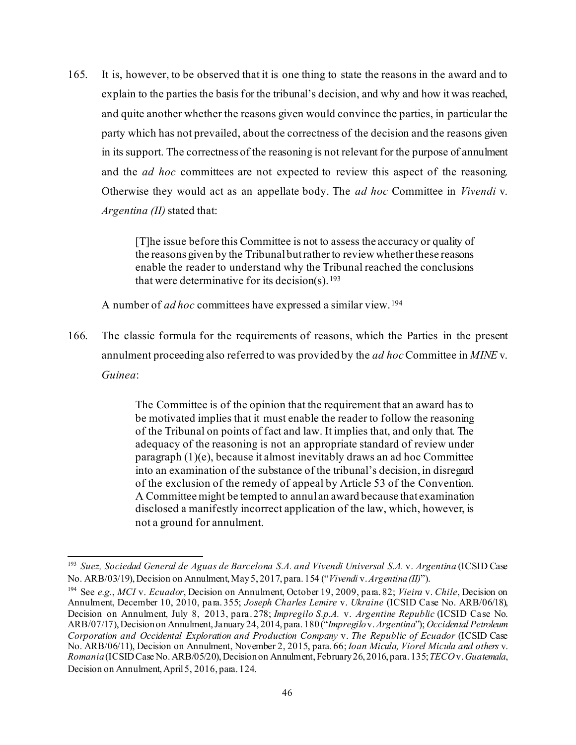165. It is, however, to be observed that it is one thing to state the reasons in the award and to explain to the parties the basis for the tribunal's decision, and why and how it was reached, and quite another whether the reasons given would convince the parties, in particular the party which has not prevailed, about the correctness of the decision and the reasons given in its support. The correctness of the reasoning is not relevant for the purpose of annulment and the *ad hoc* committees are not expected to review this aspect of the reasoning. Otherwise they would act as an appellate body. The *ad hoc* Committee in *Vivendi* v. *Argentina (II)* stated that:

> [T]he issue before this Committee is not to assess the accuracy or quality of the reasons given by the Tribunal but rather to review whether these reasons enable the reader to understand why the Tribunal reached the conclusions that were determinative for its decision(s).<sup>[193](#page-52-0)</sup>

A number of *ad hoc* committees have expressed a similar view.[194](#page-52-1)

166. The classic formula for the requirements of reasons, which the Parties in the present annulment proceeding also referred to was provided by the *ad hoc*Committee in *MINE* v. *Guinea*:

> The Committee is of the opinion that the requirement that an award has to be motivated implies that it must enable the reader to follow the reasoning of the Tribunal on points of fact and law. It implies that, and only that. The adequacy of the reasoning is not an appropriate standard of review under paragraph (1)(e), because it almost inevitably draws an ad hoc Committee into an examination of the substance of the tribunal's decision, in disregard of the exclusion of the remedy of appeal by Article 53 of the Convention. A Committee might be tempted to annul an award because that examination disclosed a manifestly incorrect application of the law, which, however, is not a ground for annulment.

<span id="page-52-0"></span><sup>193</sup> *Suez, Sociedad General de Aguas de Barcelona S.A. and Vivendi Universal S.A.* v. *Argentina* (ICSID Case No. ARB/03/19), Decision on Annulment, May 5, 2017, para. 154 ("*Vivendi* v.*Argentina (II)*").

<span id="page-52-1"></span><sup>194</sup> See *e.g.*, *MCI* v. *Ecuador*, Decision on Annulment, October 19, 2009, para. 82; *Vieira* v. *Chile*, Decision on Annulment, December 10, 2010, para. 355; *Joseph Charles Lemire* v. *Ukraine* (ICSID Case No. ARB/06/18), Decision on Annulment, July 8, 2013, para. 278; *Impregilo S.p.A.* v. *Argentine Republic* (ICSID Case No. ARB/07/17), Decision on Annulment, January 24, 2014, para. 180 ("*Impregilo* v.*Argentina*"); *Occidental Petroleum Corporation and Occidental Exploration and Production Company* v. *The Republic of Ecuador* (ICSID Case No. ARB/06/11), Decision on Annulment, November 2, 2015, para. 66; *Ioan Micula, Viorel Micula and others* v. *Romania*(ICSID Case No. ARB/05/20), Decision on Annulment, February 26, 2016, para. 135; *TECO* v.*Guatemala*, Decision on Annulment, April 5, 2016, para. 124.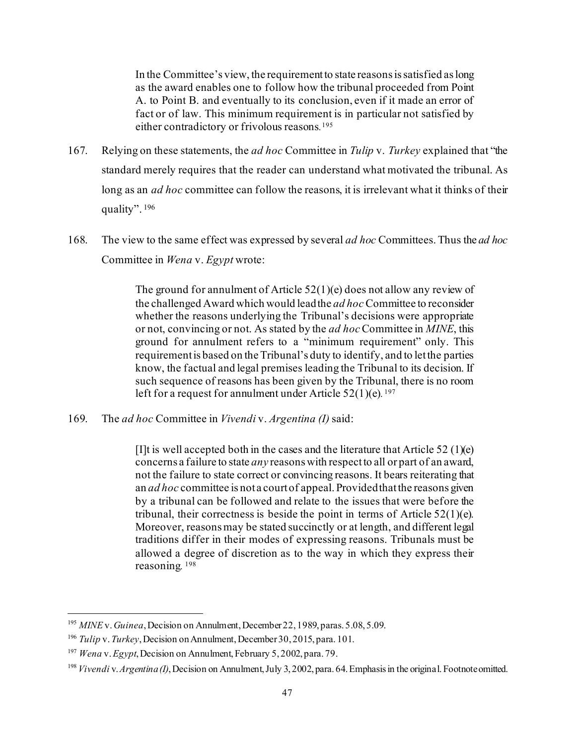In the Committee's view, the requirement to state reasons is satisfied as long as the award enables one to follow how the tribunal proceeded from Point A. to Point B. and eventually to its conclusion, even if it made an error of fact or of law. This minimum requirement is in particular not satisfied by either contradictory or frivolous reasons*.*[195](#page-53-0)

- 167. Relying on these statements, the *ad hoc* Committee in *Tulip* v. *Turkey* explained that "the standard merely requires that the reader can understand what motivated the tribunal. As long as an *ad hoc* committee can follow the reasons, it is irrelevant what it thinks of their quality". [196](#page-53-1)
- 168. The view to the same effect was expressed by several *ad hoc* Committees. Thus the *ad hoc* Committee in *Wena* v. *Egypt* wrote:

The ground for annulment of Article 52(1)(e) does not allow any review of the challenged Award which would lead the *ad hoc*Committee to reconsider whether the reasons underlying the Tribunal's decisions were appropriate or not, convincing or not. As stated by the *ad hoc*Committee in *MINE*, this ground for annulment refers to a "minimum requirement" only. This requirement is based on the Tribunal's duty to identify, and to let the parties know, the factual and legal premises leading the Tribunal to its decision. If such sequence of reasons has been given by the Tribunal, there is no room left for a request for annulment under Article 52(1)(e)*.* [197](#page-53-2)

169. The *ad hoc* Committee in *Vivendi* v. *Argentina (I)* said:

[I]t is well accepted both in the cases and the literature that Article  $52 \,(1)$ (e) concerns a failure to state *any* reasons with respect to all or part of an award, not the failure to state correct or convincing reasons. It bears reiterating that an *ad hoc* committee is not a court of appeal. Provided thatthe reasons given by a tribunal can be followed and relate to the issues that were before the tribunal, their correctness is beside the point in terms of Article 52(1)(e). Moreover, reasons may be stated succinctly or at length, and different legal traditions differ in their modes of expressing reasons. Tribunals must be allowed a degree of discretion as to the way in which they express their reasoning*.* [198](#page-53-3)

<span id="page-53-0"></span><sup>195</sup> *MINE* v.*Guinea*,Decision on Annulment, December 22, 1989, paras. 5.08, 5.09.

<span id="page-53-1"></span><sup>196</sup> *Tulip* v.*Turkey*, Decision on Annulment, December 30, 2015, para. 101.

<span id="page-53-2"></span><sup>197</sup> *Wena* v. *Egypt*, Decision on Annulment, February 5, 2002, para. 79.

<span id="page-53-3"></span><sup>198</sup> *Vivendi* v.*Argentina(I)*, Decision on Annulment, July 3, 2002, para. 64. Emphasis in the original. Footnote omitted.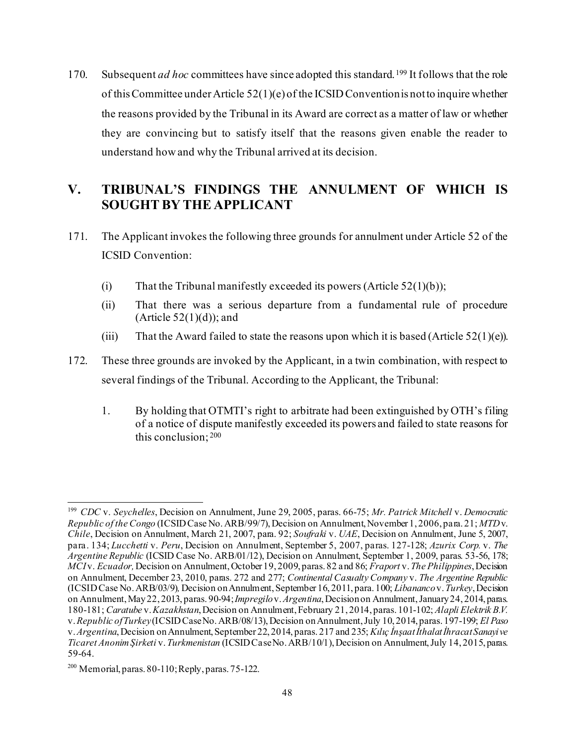170. Subsequent *ad hoc* committees have since adopted this standard.[199](#page-54-0) It follows that the role of this Committee under Article 52(1)(e) of the ICSID Convention is not to inquire whether the reasons provided by the Tribunal in its Award are correct as a matter of law or whether they are convincing but to satisfy itself that the reasons given enable the reader to understand how and why the Tribunal arrived at its decision.

# **V. TRIBUNAL'S FINDINGS THE ANNULMENT OF WHICH IS SOUGHT BY THE APPLICANT**

- 171. The Applicant invokes the following three grounds for annulment under Article 52 of the ICSID Convention:
	- (i) That the Tribunal manifestly exceeded its powers (Article  $52(1)(b)$ );
	- (ii) That there was a serious departure from a fundamental rule of procedure (Article  $52(1)(d)$ ); and
	- (iii) That the Award failed to state the reasons upon which it is based (Article  $52(1)(e)$ ).
- 172. These three grounds are invoked by the Applicant, in a twin combination, with respect to several findings of the Tribunal. According to the Applicant, the Tribunal:
	- 1. By holding that OTMTI's right to arbitrate had been extinguished by OTH's filing of a notice of dispute manifestly exceeded its powers and failed to state reasons for this conclusion; [200](#page-54-1)

<span id="page-54-0"></span><sup>199</sup> *CDC* v. *Seychelles*, Decision on Annulment, June 29, 2005, paras. 66-75; *Mr. Patrick Mitchell* v. *Democratic Republic of the Congo* (ICSID Case No. ARB/99/7),Decision on Annulment, November 1, 2006, para. 21; *MTD* v. *Chile*, Decision on Annulment, March 21, 2007, para. 92; *Soufraki* v. *UAE*, Decision on Annulment, June 5, 2007, para. 134; *Lucchetti* v. *Peru*, Decision on Annulment, September 5, 2007, paras. 127-128; *Azurix Corp.* v. *The Argentine Republic* (ICSID Case No. ARB/01/12), Decision on Annulment, September 1, 2009, paras. 53-56, 178; *MCI* v. *Ecuador,* Decision on Annulment, October 19, 2009, paras. 82 and 86; *Fraport* v. *The Philippines*, Decision on Annulment, December 23, 2010, paras. 272 and 277; *Continental Casualty Company* v. *The Argentine Republic* (ICSID Case No. ARB/03/9)*,*Decision on Annulment, September 16, 2011, para. 100; *Libananco*v. *Turkey*, Decision on Annulment, May 22, 2013, paras. 90-94; *Impregilo*v. *Argentina*, Decision on Annulment, January 24, 2014, paras. 180-181; *Caratube* v. *Kazakhstan*, Decision on Annulment, February 21, 2014, paras. 101-102; *Alapli Elektrik B.V.*  v. *Republic of Turkey* (ICSID Case No. ARB/08/13), Decision on Annulment, July 10, 2014, paras. 197-199; *El Paso* v. *Argentina*, Decision on Annulment, September 22, 2014, paras. 217 and 235; *Kılıç İnşaat İthalat İhracat Sanayi ve Ticaret Anonim Şirketi* v.*Turkmenistan* (ICSID Case No. ARB/10/1), Decision on Annulment, July 14, 2015, paras. 59-64.

<span id="page-54-1"></span><sup>200</sup> Memorial, paras. 80-110; Reply, paras. 75-122.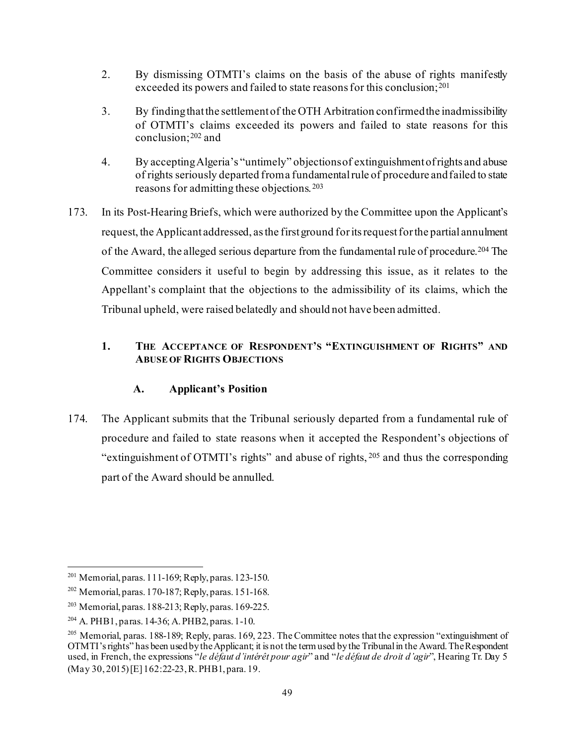- 2. By dismissing OTMTI's claims on the basis of the abuse of rights manifestly exceeded its powers and failed to state reasons for this conclusion;<sup>[201](#page-55-0)</sup>
- 3. By finding that the settlement of the OTH Arbitration confirmed the inadmissibility of OTMTI's claims exceeded its powers and failed to state reasons for this conclusion;[202](#page-55-1) and
- 4. By accepting Algeria's "untimely" objections of extinguishment of rights and abuse of rights seriously departed from a fundamental rule of procedure and failed to state reasons for admitting these objections. [203](#page-55-2)
- 173. In its Post-Hearing Briefs, which were authorized by the Committee upon the Applicant's request, the Applicant addressed, as the first ground for its request for the partial annulment of the Award, the alleged serious departure from the fundamental rule of procedure.[204](#page-55-3) The Committee considers it useful to begin by addressing this issue, as it relates to the Appellant's complaint that the objections to the admissibility of its claims, which the Tribunal upheld, were raised belatedly and should not have been admitted.

## **1. THE ACCEPTANCE OF RESPONDENT'S "EXTINGUISHMENT OF RIGHTS" AND ABUSE OF RIGHTS OBJECTIONS**

## **A. Applicant's Position**

174. The Applicant submits that the Tribunal seriously departed from a fundamental rule of procedure and failed to state reasons when it accepted the Respondent's objections of "extinguishment of OTMTI's rights" and abuse of rights, [205](#page-55-4) and thus the corresponding part of the Award should be annulled.

<span id="page-55-0"></span> $201$  Memorial, paras. 111-169; Reply, paras. 123-150.

<span id="page-55-1"></span><sup>202</sup> Memorial, paras. 170-187; Reply, paras. 151-168.

<span id="page-55-2"></span><sup>203</sup> Memorial, paras. 188-213; Reply, paras. 169-225.

<span id="page-55-3"></span><sup>204</sup> A. PHB1, paras. 14-36; A. PHB2, paras. 1-10.

<span id="page-55-4"></span><sup>&</sup>lt;sup>205</sup> Memorial, paras. 188-189; Reply, paras. 169, 223. The Committee notes that the expression "extinguishment of OTMTI's rights" has been used by the Applicant; it is not the term used by the Tribunal in the Award. The Respondent used, in French, the expressions "*le défaut d'intérêt pour agir*" and "*le défaut de droit d'agir*", Hearing Tr. Day 5 (May 30, 2015) [E] 162:22-23, R. PHB1, para. 19.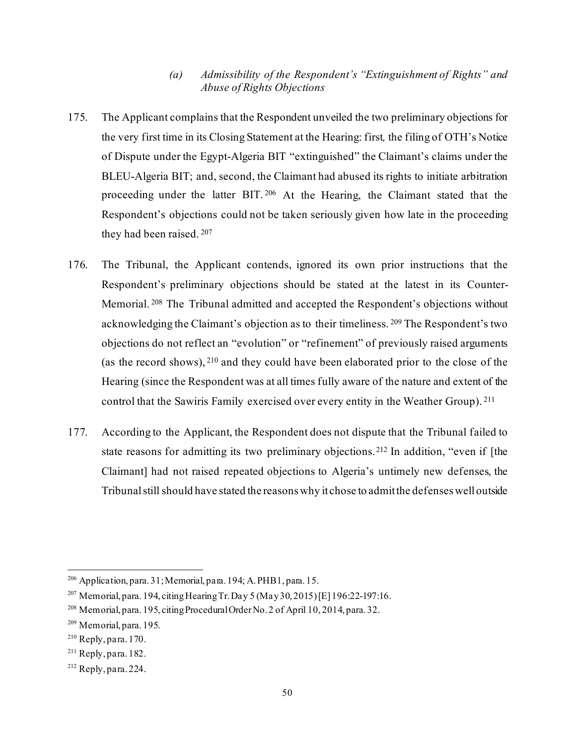## *(a) Admissibility of the Respondent's "Extinguishment of Rights" and Abuse of Rights Objections*

- 175. The Applicant complains that the Respondent unveiled the two preliminary objections for the very first time in its Closing Statement at the Hearing: first*,* the filing of OTH's Notice of Dispute under the Egypt-Algeria BIT "extinguished" the Claimant's claims under the BLEU-Algeria BIT; and, second, the Claimant had abused its rights to initiate arbitration proceeding under the latter BIT. [206](#page-56-0) At the Hearing, the Claimant stated that the Respondent's objections could not be taken seriously given how late in the proceeding they had been raised. [207](#page-56-1)
- 176. The Tribunal, the Applicant contends, ignored its own prior instructions that the Respondent's preliminary objections should be stated at the latest in its Counter-Memorial. [208](#page-56-2) The Tribunal admitted and accepted the Respondent's objections without acknowledging the Claimant's objection as to their timeliness. [209](#page-56-3) The Respondent's two objections do not reflect an "evolution" or "refinement" of previously raised arguments (as the record shows), [210](#page-56-4) and they could have been elaborated prior to the close of the Hearing (since the Respondent was at all times fully aware of the nature and extent of the control that the Sawiris Family exercised over every entity in the Weather Group). [211](#page-56-5)
- 177. According to the Applicant, the Respondent does not dispute that the Tribunal failed to state reasons for admitting its two preliminary objections. [212](#page-56-6) In addition, "even if [the Claimant] had not raised repeated objections to Algeria's untimely new defenses, the Tribunal still should have stated the reasons why it chose to admit the defenses well outside

<span id="page-56-0"></span><sup>206</sup> Application, para. 31; Memorial, para. 194; A. PHB1, para. 15.

<span id="page-56-1"></span><sup>207</sup> Memorial, para. 194, citing HearingTr. Day 5 (May 30, 2015) [E] 196:22-197:16.

<span id="page-56-2"></span><sup>208</sup> Memorial, para. 195, citing Procedural Order No. 2 of April 10, 2014, para. 32.

<span id="page-56-3"></span><sup>209</sup> Memorial, para. 195.

<span id="page-56-4"></span> $210$  Reply, para. 170.

<span id="page-56-5"></span> $211$  Reply, para. 182.

<span id="page-56-6"></span> $212$  Reply, para. 224.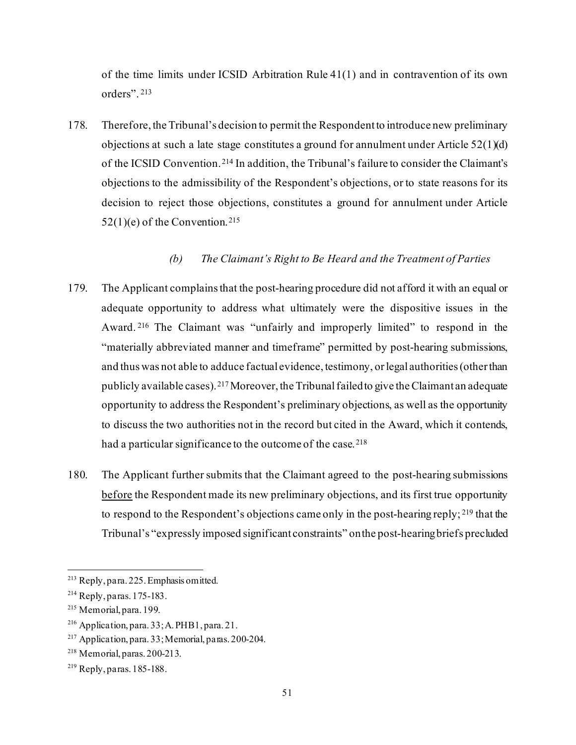of the time limits under ICSID Arbitration Rule 41(1) and in contravention of its own orders". [213](#page-57-0)

178. Therefore, the Tribunal's decision to permit the Respondentto introduce new preliminary objections at such a late stage constitutes a ground for annulment under Article 52(1)(d) of the ICSID Convention. [214](#page-57-1) In addition, the Tribunal's failure to consider the Claimant's objections to the admissibility of the Respondent's objections, or to state reasons for its decision to reject those objections, constitutes a ground for annulment under Article  $52(1)(e)$  of the Convention.<sup>[215](#page-57-2)</sup>

### *(b) The Claimant's Right to Be Heard and the Treatment of Parties*

- 179. The Applicant complains that the post-hearing procedure did not afford it with an equal or adequate opportunity to address what ultimately were the dispositive issues in the Award.<sup>[216](#page-57-3)</sup> The Claimant was "unfairly and improperly limited" to respond in the "materially abbreviated manner and timeframe" permitted by post-hearing submissions, and thus was not able to adduce factual evidence, testimony, or legal authorities (other than publicly available cases).<sup>[217](#page-57-4)</sup> Moreover, the Tribunal failed to give the Claimant an adequate opportunity to address the Respondent's preliminary objections, as well as the opportunity to discuss the two authorities not in the record but cited in the Award, which it contends, had a particular significance to the outcome of the case.<sup>[218](#page-57-5)</sup>
- 180. The Applicant further submits that the Claimant agreed to the post-hearing submissions before the Respondent made its new preliminary objections, and its first true opportunity to respond to the Respondent's objections came only in the post-hearing reply; <sup>[219](#page-57-6)</sup> that the Tribunal's "expressly imposed significant constraints" on the post-hearing briefs precluded

<span id="page-57-0"></span><sup>213</sup> Reply, para. 225. Emphasis omitted.

<span id="page-57-1"></span><sup>214</sup> Reply, paras. 175-183.

<span id="page-57-2"></span><sup>215</sup> Memorial, para. 199.

<span id="page-57-3"></span><sup>216</sup> Application, para. 33; A. PHB1, para. 21.

<span id="page-57-4"></span><sup>217</sup> Application, para. 33; Memorial, paras. 200-204.

<span id="page-57-5"></span><sup>218</sup> Memorial, paras. 200-213.

<span id="page-57-6"></span><sup>219</sup> Reply, paras. 185-188.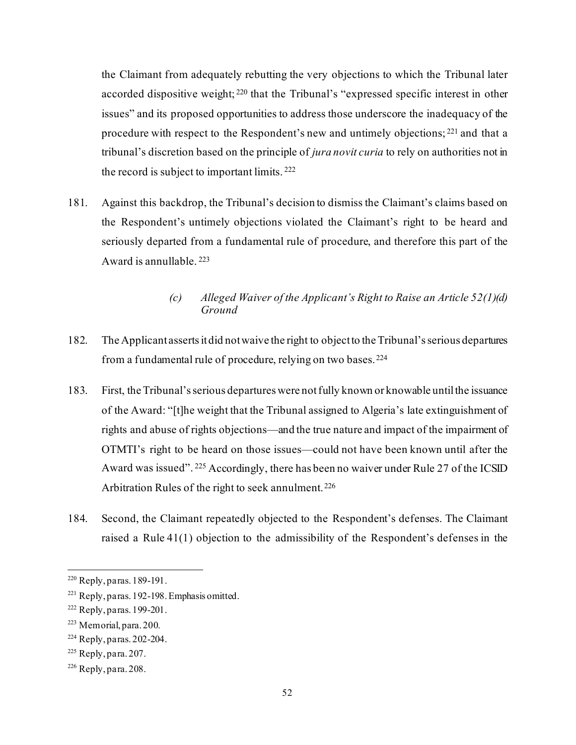the Claimant from adequately rebutting the very objections to which the Tribunal later accorded dispositive weight; [220](#page-58-0) that the Tribunal's "expressed specific interest in other issues" and its proposed opportunities to address those underscore the inadequacy of the procedure with respect to the Respondent's new and untimely objections; [221](#page-58-1) and that a tribunal's discretion based on the principle of *jura novit curia* to rely on authorities not in the record is subject to important limits. [222](#page-58-2)

181. Against this backdrop, the Tribunal's decision to dismiss the Claimant's claims based on the Respondent's untimely objections violated the Claimant's right to be heard and seriously departed from a fundamental rule of procedure, and therefore this part of the Award is annullable. [223](#page-58-3)

## *(c) Alleged Waiver of the Applicant's Right to Raise an Article 52(1)(d) Ground*

- 182. The Applicant asserts it did not waive the right to object to the Tribunal's serious departures from a fundamental rule of procedure, relying on two bases. [224](#page-58-4)
- 183. First, the Tribunal's serious departures were not fully known or knowable until the issuance of the Award: "[t]he weight that the Tribunal assigned to Algeria's late extinguishment of rights and abuse of rights objections—and the true nature and impact of the impairment of OTMTI's right to be heard on those issues—could not have been known until after the Award was issued". <sup>[225](#page-58-5)</sup> Accordingly, there has been no waiver under Rule 27 of the ICSID Arbitration Rules of the right to seek annulment.<sup>[226](#page-58-6)</sup>
- 184. Second, the Claimant repeatedly objected to the Respondent's defenses. The Claimant raised a Rule 41(1) objection to the admissibility of the Respondent's defenses in the

<span id="page-58-0"></span><sup>220</sup> Reply, paras. 189-191.

<span id="page-58-1"></span><sup>&</sup>lt;sup>221</sup> Reply, paras. 192-198. Emphasis omitted.

<span id="page-58-2"></span><sup>222</sup> Reply, paras. 199-201.

<span id="page-58-3"></span><sup>223</sup> Memorial, para. 200.

<span id="page-58-4"></span><sup>224</sup> Reply, paras. 202-204.

<span id="page-58-5"></span> $225$  Reply, para. 207.

<span id="page-58-6"></span> $226$  Reply, para. 208.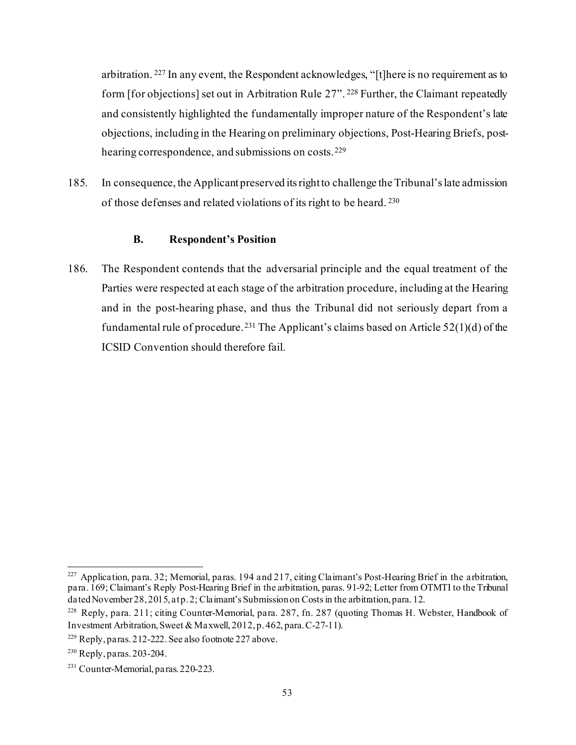arbitration. [227](#page-59-0) In any event, the Respondent acknowledges, "[t]here is no requirement as to form [for objections] set out in Arbitration Rule 27". [228](#page-59-1) Further, the Claimant repeatedly and consistently highlighted the fundamentally improper nature of the Respondent's late objections, including in the Hearing on preliminary objections, Post-Hearing Briefs, post-hearing correspondence, and submissions on costs.<sup>[229](#page-59-2)</sup>

185. In consequence, the Applicantpreserved its right to challenge the Tribunal's late admission of those defenses and related violations of its right to be heard. [230](#page-59-3)

### **B. Respondent's Position**

186. The Respondent contends that the adversarial principle and the equal treatment of the Parties were respected at each stage of the arbitration procedure, including at the Hearing and in the post-hearing phase, and thus the Tribunal did not seriously depart from a fundamental rule of procedure.<sup>[231](#page-59-4)</sup> The Applicant's claims based on Article  $52(1)(d)$  of the ICSID Convention should therefore fail.

<span id="page-59-0"></span><sup>&</sup>lt;sup>227</sup> Application, para. 32; Memorial, paras. 194 and 217, citing Claimant's Post-Hearing Brief in the arbitration, para. 169; Claimant's Reply Post-Hearing Brief in the arbitration, paras. 91-92; Letter from OTMTI to the Tribunal dated November 28, 2015, at p. 2; Claimant's Submission on Costs in the arbitration, para. 12.

<span id="page-59-1"></span><sup>228</sup> Reply, para. 211; citing Counter-Memorial, para. 287, fn. 287 (quoting Thomas H. Webster, Handbook of Investment Arbitration, Sweet & Maxwell, 2012, p. 462, para. C-27-11).

<span id="page-59-2"></span> $229$  Reply, paras. 212-222. See also footnote 227 above.

<span id="page-59-3"></span><sup>230</sup> Reply, paras. 203-204.

<span id="page-59-4"></span><sup>&</sup>lt;sup>231</sup> Counter-Memorial, paras. 220-223.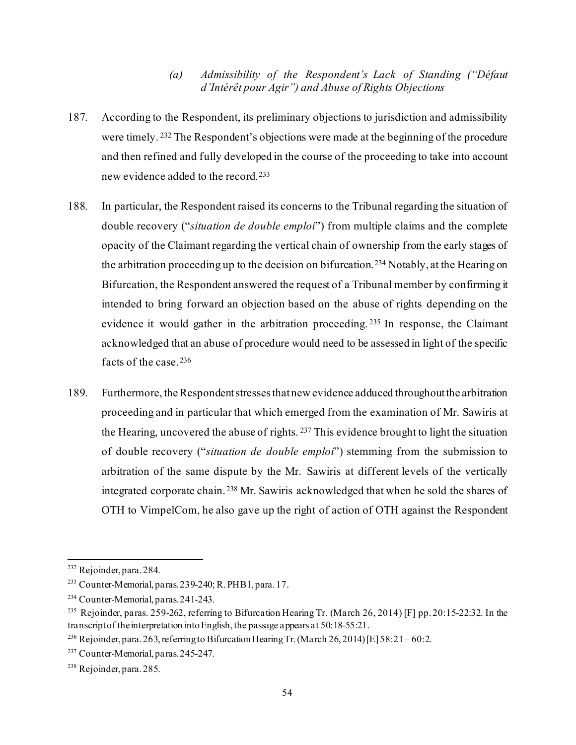### *(a) Admissibility of the Respondent's Lack of Standing ("Défaut d'Intérêt pour Agir") and Abuse of Rights Objections*

- 187. According to the Respondent, its preliminary objections to jurisdiction and admissibility were timely. [232](#page-60-0) The Respondent's objections were made at the beginning of the procedure and then refined and fully developed in the course of the proceeding to take into account new evidence added to the record.<sup>[233](#page-60-1)</sup>
- 188. In particular, the Respondent raised its concerns to the Tribunal regarding the situation of double recovery ("*situation de double emploi*") from multiple claims and the complete opacity of the Claimant regarding the vertical chain of ownership from the early stages of the arbitration proceeding up to the decision on bifurcation. [234](#page-60-2) Notably, at the Hearing on Bifurcation, the Respondent answered the request of a Tribunal member by confirming it intended to bring forward an objection based on the abuse of rights depending on the evidence it would gather in the arbitration proceeding. <sup>[235](#page-60-3)</sup> In response, the Claimant acknowledged that an abuse of procedure would need to be assessed in light of the specific facts of the case.[236](#page-60-4)
- 189. Furthermore, the Respondentstresses that new evidence adduced throughout the arbitration proceeding and in particular that which emerged from the examination of Mr. Sawiris at the Hearing, uncovered the abuse of rights. [237](#page-60-5) This evidence brought to light the situation of double recovery ("*situation de double emploi*") stemming from the submission to arbitration of the same dispute by the Mr. Sawiris at different levels of the vertically integrated corporate chain.[238](#page-60-6) Mr. Sawiris acknowledged that when he sold the shares of OTH to VimpelCom, he also gave up the right of action of OTH against the Respondent

<span id="page-60-0"></span> $232$  Rejoinder, para. 284.

<span id="page-60-1"></span><sup>233</sup> Counter-Memorial, paras. 239-240; R. PHB1, para. 17.

<span id="page-60-2"></span><sup>234</sup> Counter-Memorial, paras. 241-243.

<span id="page-60-3"></span><sup>&</sup>lt;sup>235</sup> Rejoinder, paras. 259-262, referring to Bifurcation Hearing Tr. (March 26, 2014) [F] pp. 20:15-22:32. In the transcript of the interpretation into English, the passage appears at 50:18-55:21.

<span id="page-60-4"></span><sup>&</sup>lt;sup>236</sup> Rejoinder, para. 263, referring to Bifurcation Hearing Tr. (March 26, 2014) [E] 58:21 – 60:2.

<span id="page-60-5"></span><sup>237</sup> Counter-Memorial, paras. 245-247.

<span id="page-60-6"></span><sup>238</sup> Rejoinder, para. 285.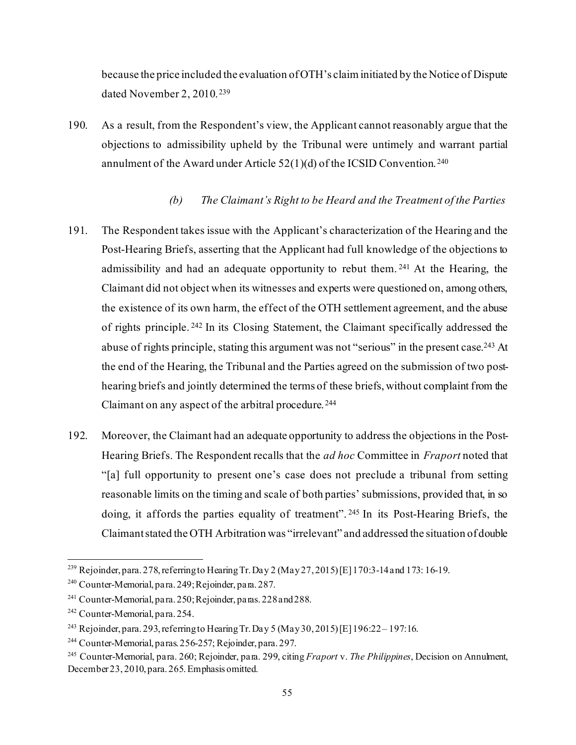because the price included the evaluation of OTH's claim initiated by the Notice of Dispute dated November 2, 2010.[239](#page-61-0)

190. As a result, from the Respondent's view, the Applicant cannot reasonably argue that the objections to admissibility upheld by the Tribunal were untimely and warrant partial annulment of the Award under Article  $52(1)(d)$  of the ICSID Convention.<sup>[240](#page-61-1)</sup>

### *(b) The Claimant's Right to be Heard and the Treatment of the Parties*

- 191. The Respondent takes issue with the Applicant's characterization of the Hearing and the Post-Hearing Briefs, asserting that the Applicant had full knowledge of the objections to admissibility and had an adequate opportunity to rebut them. [241](#page-61-2) At the Hearing, the Claimant did not object when its witnesses and experts were questioned on, among others, the existence of its own harm, the effect of the OTH settlement agreement, and the abuse of rights principle. [242](#page-61-3) In its Closing Statement, the Claimant specifically addressed the abuse of rights principle, stating this argument was not "serious" in the present case.<sup>243</sup> At the end of the Hearing, the Tribunal and the Parties agreed on the submission of two posthearing briefs and jointly determined the terms of these briefs, without complaint from the Claimant on any aspect of the arbitral procedure.[244](#page-61-5)
- 192. Moreover, the Claimant had an adequate opportunity to address the objections in the Post-Hearing Briefs. The Respondent recalls that the *ad hoc* Committee in *Fraport* noted that "[a] full opportunity to present one's case does not preclude a tribunal from setting reasonable limits on the timing and scale of both parties' submissions, provided that, in so doing, it affords the parties equality of treatment". [245](#page-61-6) In its Post-Hearing Briefs, the Claimantstated the OTH Arbitration was "irrelevant" and addressed the situation of double

<span id="page-61-0"></span><sup>&</sup>lt;sup>239</sup> Rejoinder, para. 278, referring to Hearing Tr. Day 2 (May 27, 2015) [E] 170:3-14 and 173: 16-19.

<span id="page-61-1"></span><sup>240</sup> Counter-Memorial, para. 249; Rejoinder, para. 287.

<span id="page-61-2"></span><sup>&</sup>lt;sup>241</sup> Counter-Memorial, para. 250; Rejoinder, paras. 228 and 288.

<span id="page-61-3"></span><sup>242</sup> Counter-Memorial, para. 254.

<span id="page-61-4"></span><sup>&</sup>lt;sup>243</sup> Rejoinder, para. 293, referring to Hearing Tr. Day 5 (May 30, 2015) [E] 196:22 – 197:16.

<span id="page-61-5"></span><sup>244</sup> Counter-Memorial, paras. 256-257; Rejoinder, para. 297.

<span id="page-61-6"></span><sup>245</sup> Counter-Memorial, para. 260; Rejoinder, para. 299, citing *Fraport* v. *The Philippines*, Decision on Annulment, December 23, 2010, para. 265. Emphasis omitted.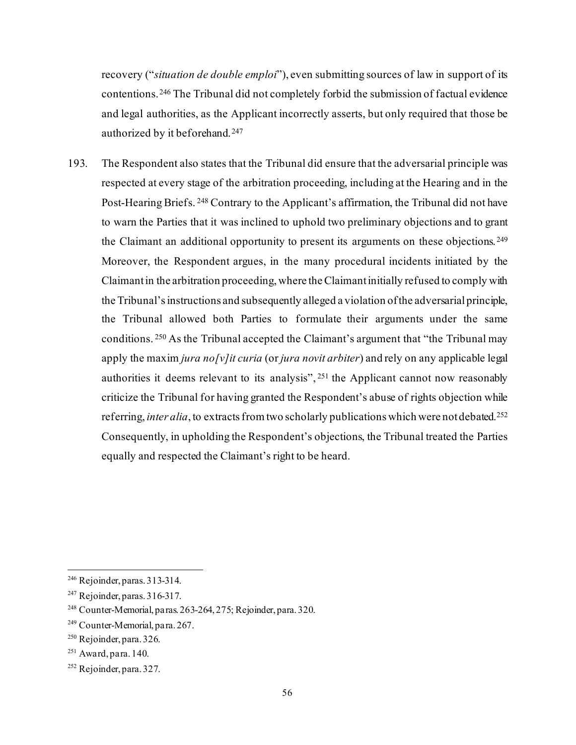recovery ("*situation de double emploi*"), even submitting sources of law in support of its contentions. [246](#page-62-0) The Tribunal did not completely forbid the submission of factual evidence and legal authorities, as the Applicant incorrectly asserts, but only required that those be authorized by it beforehand. [247](#page-62-1)

193. The Respondent also states that the Tribunal did ensure that the adversarial principle was respected at every stage of the arbitration proceeding, including at the Hearing and in the Post-Hearing Briefs. [248](#page-62-2) Contrary to the Applicant's affirmation, the Tribunal did not have to warn the Parties that it was inclined to uphold two preliminary objections and to grant the Claimant an additional opportunity to present its arguments on these objections. [249](#page-62-3) Moreover, the Respondent argues, in the many procedural incidents initiated by the Claimantin the arbitration proceeding, where the Claimantinitially refused to comply with the Tribunal's instructions and subsequently alleged a violation of the adversarial principle, the Tribunal allowed both Parties to formulate their arguments under the same conditions. [250](#page-62-4) As the Tribunal accepted the Claimant's argument that "the Tribunal may apply the maxim *jura no[v]it curia* (or *jura novit arbiter*) and rely on any applicable legal authorities it deems relevant to its analysis", [251](#page-62-5) the Applicant cannot now reasonably criticize the Tribunal for having granted the Respondent's abuse of rights objection while referring, *inter alia*, to extracts from two scholarly publications which were not debated.[252](#page-62-6) Consequently, in upholding the Respondent's objections, the Tribunal treated the Parties equally and respected the Claimant's right to be heard.

<span id="page-62-0"></span><sup>246</sup> Rejoinder, paras. 313-314.

<span id="page-62-1"></span> $247$  Rejoinder, paras. 316-317.

<span id="page-62-2"></span><sup>248</sup> Counter-Memorial, paras. 263-264, 275; Rejoinder, para. 320.

<span id="page-62-3"></span><sup>&</sup>lt;sup>249</sup> Counter-Memorial, para. 267.

<span id="page-62-4"></span> $250$  Rejoinder, para. 326.

<span id="page-62-5"></span> $251$  Award, para. 140.

<span id="page-62-6"></span><sup>252</sup> Rejoinder, para. 327.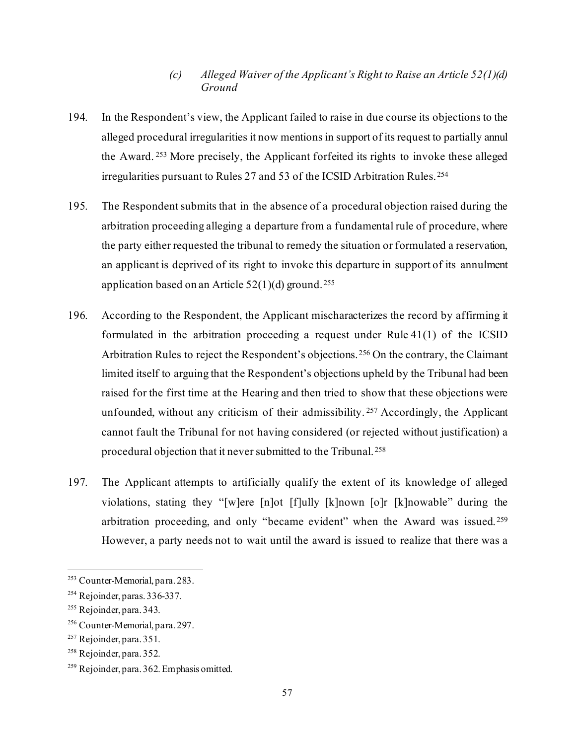## *(c) Alleged Waiver of the Applicant's Right to Raise an Article 52(1)(d) Ground*

- 194. In the Respondent's view, the Applicant failed to raise in due course its objections to the alleged procedural irregularities it now mentions in support of its request to partially annul the Award. [253](#page-63-0) More precisely, the Applicant forfeited its rights to invoke these alleged irregularities pursuant to Rules 27 and 53 of the ICSID Arbitration Rules.<sup>[254](#page-63-1)</sup>
- 195. The Respondent submits that in the absence of a procedural objection raised during the arbitration proceeding alleging a departure from a fundamental rule of procedure, where the party either requested the tribunal to remedy the situation or formulated a reservation, an applicant is deprived of its right to invoke this departure in support of its annulment application based on an Article  $52(1)(d)$  ground.<sup>[255](#page-63-2)</sup>
- 196. According to the Respondent, the Applicant mischaracterizes the record by affirming it formulated in the arbitration proceeding a request under Rule 41(1) of the ICSID Arbitration Rules to reject the Respondent's objections.[256](#page-63-3) On the contrary, the Claimant limited itself to arguing that the Respondent's objections upheld by the Tribunal had been raised for the first time at the Hearing and then tried to show that these objections were unfounded, without any criticism of their admissibility.<sup>[257](#page-63-4)</sup> Accordingly, the Applicant cannot fault the Tribunal for not having considered (or rejected without justification) a procedural objection that it never submitted to the Tribunal.<sup>[258](#page-63-5)</sup>
- 197. The Applicant attempts to artificially qualify the extent of its knowledge of alleged violations, stating they "[w]ere [n]ot [f]ully [k]nown [o]r [k]nowable" during the arbitration proceeding, and only "became evident" when the Award was issued. [259](#page-63-6) However, a party needs not to wait until the award is issued to realize that there was a

<span id="page-63-0"></span><sup>253</sup> Counter-Memorial, para. 283.

<span id="page-63-1"></span> $254$  Rejoinder, paras. 336-337.

<span id="page-63-2"></span> $255$  Rejoinder, para. 343.

<span id="page-63-3"></span><sup>256</sup> Counter-Memorial, para. 297.

<span id="page-63-4"></span> $257$  Rejoinder, para. 351.

<span id="page-63-5"></span><sup>258</sup> Rejoinder, para. 352.

<span id="page-63-6"></span><sup>&</sup>lt;sup>259</sup> Rejoinder, para. 362. Emphasis omitted.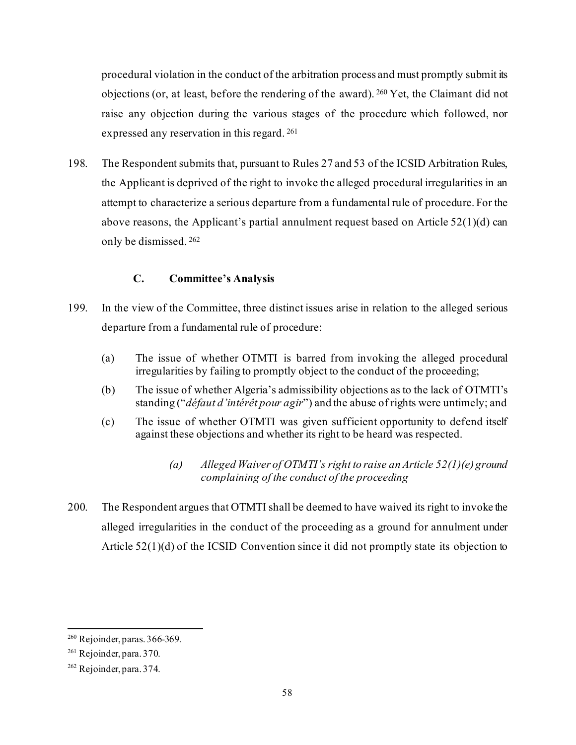procedural violation in the conduct of the arbitration process and must promptly submit its objections (or, at least, before the rendering of the award). [260](#page-64-0) Yet, the Claimant did not raise any objection during the various stages of the procedure which followed, nor expressed any reservation in this regard. [261](#page-64-1)

198. The Respondent submits that, pursuant to Rules 27 and 53 of the ICSID Arbitration Rules, the Applicant is deprived of the right to invoke the alleged procedural irregularities in an attempt to characterize a serious departure from a fundamental rule of procedure. For the above reasons, the Applicant's partial annulment request based on Article 52(1)(d) can only be dismissed. [262](#page-64-2)

# **C. Committee's Analysis**

- 199. In the view of the Committee, three distinct issues arise in relation to the alleged serious departure from a fundamental rule of procedure:
	- (a) The issue of whether OTMTI is barred from invoking the alleged procedural irregularities by failing to promptly object to the conduct of the proceeding;
	- (b) The issue of whether Algeria's admissibility objections as to the lack of OTMTI's standing ("*défaut d'intérêt pour agir*") and the abuse of rights were untimely; and
	- (c) The issue of whether OTMTI was given sufficient opportunity to defend itself against these objections and whether its right to be heard was respected.
		- *(a) Alleged Waiver of OTMTI's right to raise an Article 52(1)(e) ground complaining of the conduct of the proceeding*
- 200. The Respondent argues that OTMTI shall be deemed to have waived its right to invoke the alleged irregularities in the conduct of the proceeding as a ground for annulment under Article 52(1)(d) of the ICSID Convention since it did not promptly state its objection to

<span id="page-64-0"></span> $260$  Rejoinder, paras. 366-369.

<span id="page-64-1"></span><sup>&</sup>lt;sup>261</sup> Rejoinder, para. 370.

<span id="page-64-2"></span><sup>&</sup>lt;sup>262</sup> Rejoinder, para. 374.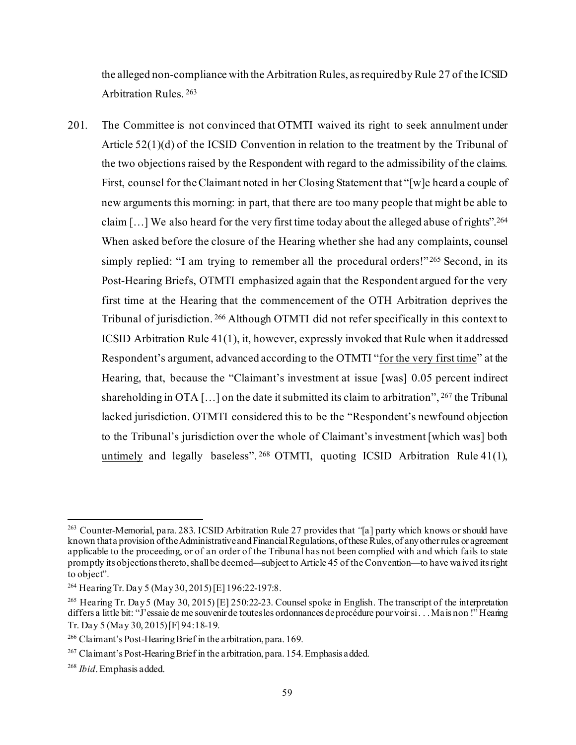the alleged non-compliance with the Arbitration Rules, as required by Rule 27 of the ICSID Arbitration Rules. [263](#page-65-0)

201. The Committee is not convinced that OTMTI waived its right to seek annulment under Article 52(1)(d) of the ICSID Convention in relation to the treatment by the Tribunal of the two objections raised by the Respondent with regard to the admissibility of the claims. First, counsel for the Claimant noted in her Closing Statement that "[w]e heard a couple of new arguments this morning: in part, that there are too many people that might be able to claim [...] We also heard for the very first time today about the alleged abuse of rights".<sup>[264](#page-65-1)</sup> When asked before the closure of the Hearing whether she had any complaints, counsel simply replied: "I am trying to remember all the procedural orders!"<sup>[265](#page-65-2)</sup> Second, in its Post-Hearing Briefs, OTMTI emphasized again that the Respondent argued for the very first time at the Hearing that the commencement of the OTH Arbitration deprives the Tribunal of jurisdiction. [266](#page-65-3) Although OTMTI did not refer specifically in this context to ICSID Arbitration Rule 41(1), it, however, expressly invoked that Rule when it addressed Respondent's argument, advanced according to the OTMTI "for the very first time" at the Hearing, that, because the "Claimant's investment at issue [was] 0.05 percent indirect shareholding in OTA […] on the date it submitted its claim to arbitration", [267](#page-65-4) the Tribunal lacked jurisdiction. OTMTI considered this to be the "Respondent's newfound objection to the Tribunal's jurisdiction over the whole of Claimant's investment [which was] both untimely and legally baseless".<sup>[268](#page-65-5)</sup> OTMTI, quoting ICSID Arbitration Rule 41(1),

<span id="page-65-0"></span><sup>263</sup> Counter-Memorial, para. 283. ICSID Arbitration Rule 27 provides that *"*[a] party which knows or should have known that a provision of the Administrative and Financial Regulations, of these Rules, of any other rules or agreement applicable to the proceeding, or of an order of the Tribunal has not been complied with and which fails to state promptly its objections thereto, shall be deemed—subject to Article 45 of the Convention—to have waived its right to object".

<span id="page-65-1"></span><sup>&</sup>lt;sup>264</sup> Hearing Tr. Day 5 (May 30, 2015) [E] 196:22-197:8.

<span id="page-65-2"></span><sup>&</sup>lt;sup>265</sup> Hearing Tr. Day 5 (May 30, 2015) [E] 250:22-23. Counsel spoke in English. The transcript of the interpretation differs a little bit: "J'essaie de me souvenir de toutes les ordonnances de procédure pour voir si. . . Mais non !" Hearing Tr. Day 5 (May 30, 2015) [F] 94:18-19.

<span id="page-65-3"></span><sup>266</sup> Claimant's Post-Hearing Brief in the arbitration, para. 169.

<span id="page-65-4"></span><sup>&</sup>lt;sup>267</sup> Claimant's Post-Hearing Brief in the arbitration, para. 154. Emphasis added.

<span id="page-65-5"></span><sup>268</sup> *Ibid*. Emphasis added.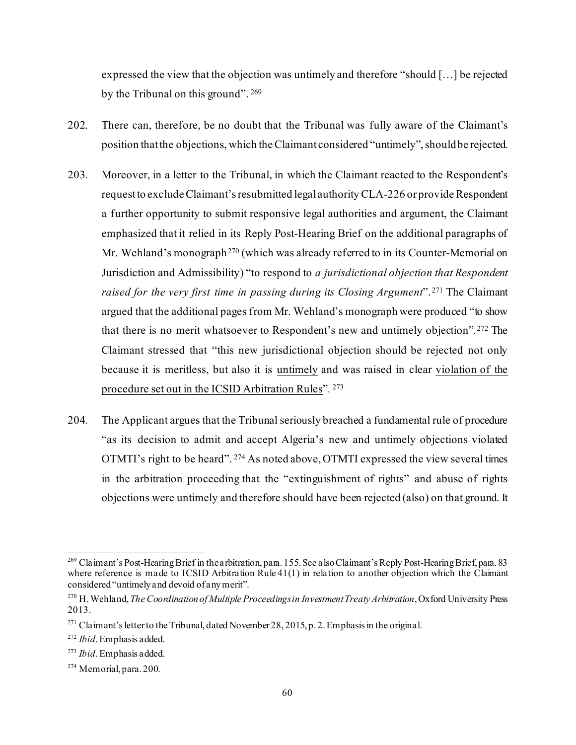expressed the view that the objection was untimely and therefore "should […] be rejected by the Tribunal on this ground". [269](#page-66-0)

- 202. There can, therefore, be no doubt that the Tribunal was fully aware of the Claimant's position that the objections, which the Claimant considered "untimely", should be rejected.
- 203. Moreover, in a letter to the Tribunal, in which the Claimant reacted to the Respondent's request to exclude Claimant's resubmitted legal authority CLA-226 or provide Respondent a further opportunity to submit responsive legal authorities and argument, the Claimant emphasized that it relied in its Reply Post-Hearing Brief on the additional paragraphs of Mr. Wehland's monograph<sup>[270](#page-66-1)</sup> (which was already referred to in its Counter-Memorial on Jurisdiction and Admissibility) "to respond to *a jurisdictional objection that Respondent raised for the very first time in passing during its Closing Argument*".[271](#page-66-2) The Claimant argued that the additional pages from Mr. Wehland's monograph were produced "to show that there is no merit whatsoever to Respondent's new and untimely objection".[272](#page-66-3) The Claimant stressed that "this new jurisdictional objection should be rejected not only because it is meritless, but also it is untimely and was raised in clear violation of the procedure set out in the ICSID Arbitration Rules"*.* [273](#page-66-4)
- 204. The Applicant argues that the Tribunal seriously breached a fundamental rule of procedure "as its decision to admit and accept Algeria's new and untimely objections violated OTMTI's right to be heard". [274](#page-66-5) As noted above, OTMTI expressed the view several times in the arbitration proceeding that the "extinguishment of rights" and abuse of rights objections were untimely and therefore should have been rejected (also) on that ground. It

<span id="page-66-0"></span><sup>&</sup>lt;sup>269</sup> Claimant's Post-Hearing Brief in the arbitration, para. 155. See also Claimant's Reply Post-Hearing Brief, para. 83 where reference is made to ICSID Arbitration Rule 41(1) in relation to another objection which the Claimant considered "untimely and devoid of any merit".

<span id="page-66-1"></span><sup>270</sup> H. Wehland, *The Coordination of Multiple Proceedings in Investment Treaty Arbitration*, Oxford University Press 2013.

<span id="page-66-2"></span><sup>&</sup>lt;sup>271</sup> Claimant's letter to the Tribunal, dated November 28, 2015, p. 2. Emphasis in the original.

<span id="page-66-3"></span><sup>272</sup> *Ibid*. Emphasis added.

<span id="page-66-4"></span><sup>273</sup> *Ibid*. Emphasis added.

<span id="page-66-5"></span> $274$  Memorial, para. 200.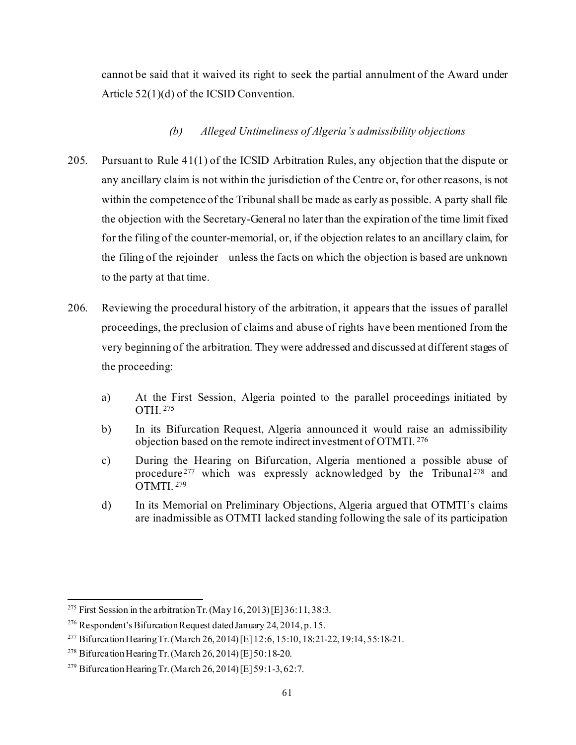cannot be said that it waived its right to seek the partial annulment of the Award under Article 52(1)(d) of the ICSID Convention.

### *(b) Alleged Untimeliness of Algeria's admissibility objections*

- 205. Pursuant to Rule 41(1) of the ICSID Arbitration Rules, any objection that the dispute or any ancillary claim is not within the jurisdiction of the Centre or, for other reasons, is not within the competence of the Tribunal shall be made as early as possible. A party shall file the objection with the Secretary-General no later than the expiration of the time limit fixed for the filing of the counter-memorial, or, if the objection relates to an ancillary claim, for the filing of the rejoinder – unless the facts on which the objection is based are unknown to the party at that time.
- 206. Reviewing the procedural history of the arbitration, it appears that the issues of parallel proceedings, the preclusion of claims and abuse of rights have been mentioned from the very beginning of the arbitration. They were addressed and discussed at different stages of the proceeding:
	- a) At the First Session, Algeria pointed to the parallel proceedings initiated by OTH. [275](#page-67-0)
	- b) In its Bifurcation Request, Algeria announced it would raise an admissibility objection based on the remote indirect investment of OTMTI. [276](#page-67-1)
	- c) During the Hearing on Bifurcation, Algeria mentioned a possible abuse of procedure<sup>[277](#page-67-2)</sup> which was expressly acknowledged by the Tribunal<sup>[278](#page-67-3)</sup> and OTMTI. [279](#page-67-4)
	- d) In its Memorial on Preliminary Objections, Algeria argued that OTMTI's claims are inadmissible as OTMTI lacked standing following the sale of its participation

<span id="page-67-3"></span><span id="page-67-2"></span><span id="page-67-1"></span><span id="page-67-0"></span><sup>&</sup>lt;sup>275</sup> First Session in the arbitration Tr. (May 16, 2013) [E] 36:11, 38:3.

<span id="page-67-4"></span><sup>276</sup> Respondent's Bifurcation Request dated January 24, 2014, p. 15.

<sup>277</sup> Bifurcation HearingTr. (March 26, 2014) [E] 12:6, 15:10, 18:21-22, 19:14, 55:18-21.

<sup>278</sup> Bifurcation HearingTr. (March 26, 2014) [E] 50:18-20.

<sup>&</sup>lt;sup>279</sup> Bifurcation Hearing Tr. (March 26, 2014) [E] 59:1-3, 62:7.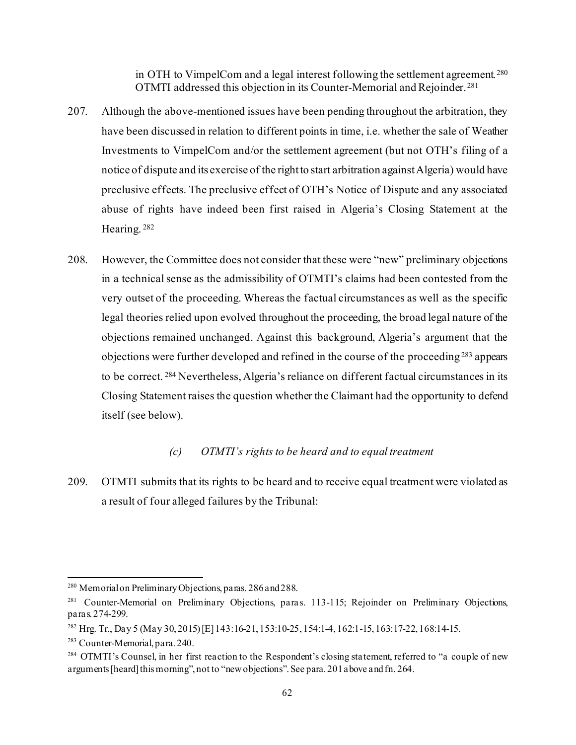in OTH to VimpelCom and a legal interest following the settlement agreement.<sup>[280](#page-68-0)</sup> OTMTI addressed this objection in its Counter-Memorial and Rejoinder. [281](#page-68-1)

- 207. Although the above-mentioned issues have been pending throughout the arbitration, they have been discussed in relation to different points in time, i.e. whether the sale of Weather Investments to VimpelCom and/or the settlement agreement (but not OTH's filing of a notice of dispute and its exercise of the right to start arbitration against Algeria) would have preclusive effects. The preclusive effect of OTH's Notice of Dispute and any associated abuse of rights have indeed been first raised in Algeria's Closing Statement at the Hearing. [282](#page-68-2)
- 208. However, the Committee does not consider that these were "new" preliminary objections in a technical sense as the admissibility of OTMTI's claims had been contested from the very outset of the proceeding. Whereas the factual circumstances as well as the specific legal theories relied upon evolved throughout the proceeding, the broad legal nature of the objections remained unchanged. Against this background, Algeria's argument that the objections were further developed and refined in the course of the proceeding<sup>[283](#page-68-3)</sup> appears to be correct. [284](#page-68-4) Nevertheless, Algeria's reliance on different factual circumstances in its Closing Statement raises the question whether the Claimant had the opportunity to defend itself (see below).

### *(c) OTMTI's rights to be heard and to equal treatment*

209. OTMTI submits that its rights to be heard and to receive equal treatment were violated as a result of four alleged failures by the Tribunal:

<span id="page-68-0"></span><sup>280</sup> Memorial on Preliminary Objections, paras. 286and288.

<span id="page-68-1"></span><sup>&</sup>lt;sup>281</sup> Counter-Memorial on Preliminary Objections, paras. 113-115; Rejoinder on Preliminary Objections, paras. 274-299.

<span id="page-68-2"></span><sup>282</sup> Hrg. Tr., Day 5 (May 30, 2015) [E] 143:16-21, 153:10-25, 154:1-4, 162:1-15, 163:17-22, 168:14-15.

<span id="page-68-3"></span><sup>283</sup> Counter-Memorial, para. 240.

<span id="page-68-4"></span><sup>&</sup>lt;sup>284</sup> OTMTI's Counsel, in her first reaction to the Respondent's closing statement, referred to "a couple of new arguments [heard] this morning", not to "new objections". See para. 201 above and fn. 264.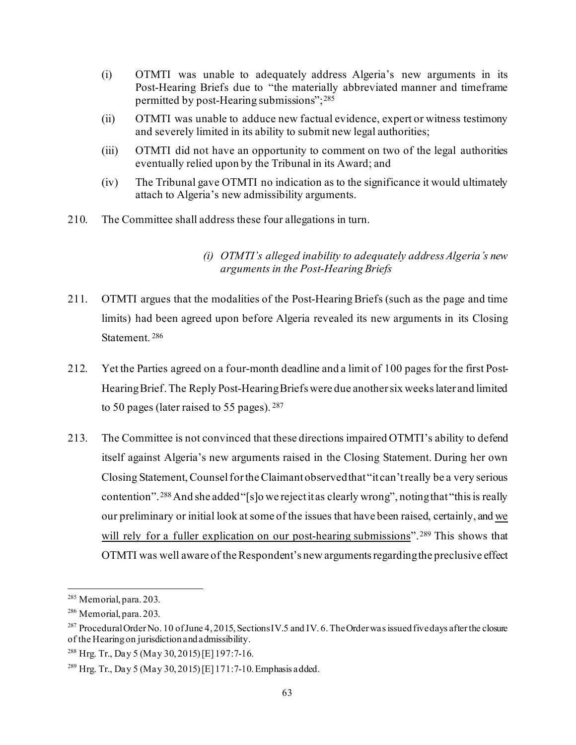- (i) OTMTI was unable to adequately address Algeria's new arguments in its Post-Hearing Briefs due to "the materially abbreviated manner and timeframe permitted by post-Hearing submissions";[285](#page-69-0)
- (ii) OTMTI was unable to adduce new factual evidence, expert or witness testimony and severely limited in its ability to submit new legal authorities;
- (iii) OTMTI did not have an opportunity to comment on two of the legal authorities eventually relied upon by the Tribunal in its Award; and
- (iv) The Tribunal gave OTMTI no indication as to the significance it would ultimately attach to Algeria's new admissibility arguments.
- 210. The Committee shall address these four allegations in turn.

# *(i) OTMTI's alleged inability to adequately address Algeria's new arguments in the Post-Hearing Briefs*

- 211. OTMTI argues that the modalities of the Post-Hearing Briefs (such as the page and time limits) had been agreed upon before Algeria revealed its new arguments in its Closing Statement. [286](#page-69-1)
- 212. Yet the Parties agreed on a four-month deadline and a limit of 100 pages for the first Post-Hearing Brief. The Reply Post-Hearing Briefs were due another six weeks later and limited to 50 pages (later raised to 55 pages). [287](#page-69-2)
- 213. The Committee is not convinced that these directions impaired OTMTI's ability to defend itself against Algeria's new arguments raised in the Closing Statement. During her own Closing Statement, Counsel for the Claimant observed that "it can't really be a very serious contention". <sup>[288](#page-69-3)</sup> And she added "[s]o we reject it as clearly wrong", noting that "this is really our preliminary or initial look at some of the issues that have been raised, certainly, and we will rely for a fuller explication on our post-hearing submissions".<sup>[289](#page-69-4)</sup> This shows that OTMTI was well aware of the Respondent's new arguments regarding the preclusive effect

<span id="page-69-0"></span><sup>285</sup> Memorial, para. 203.

<span id="page-69-1"></span><sup>286</sup> Memorial, para. 203.

<span id="page-69-2"></span><sup>&</sup>lt;sup>287</sup> Procedural Order No. 10 of June 4, 2015, Sections IV.5 and IV.6. The Order was issued five days after the closure of the Hearing on jurisdiction and admissibility.

<span id="page-69-3"></span><sup>&</sup>lt;sup>288</sup> Hrg. Tr., Day 5 (May 30, 2015) [E] 197:7-16.

<span id="page-69-4"></span><sup>&</sup>lt;sup>289</sup> Hrg. Tr., Day 5 (May 30, 2015) [E] 171:7-10. Emphasis added.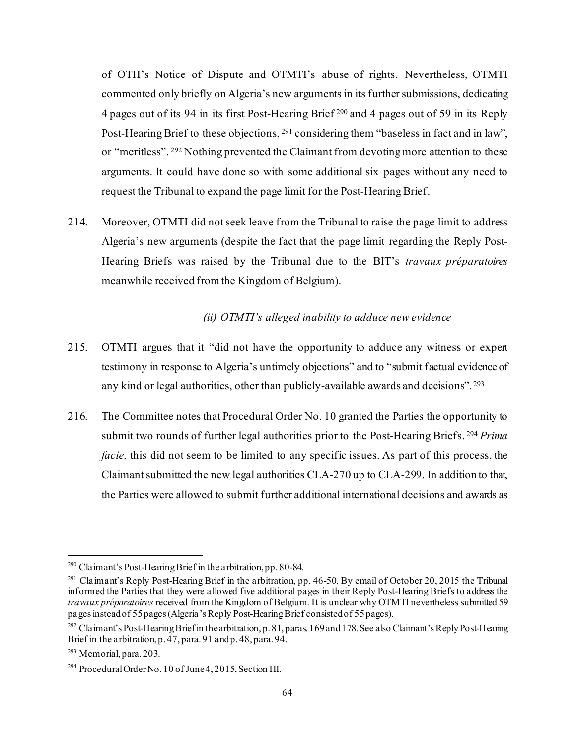of OTH's Notice of Dispute and OTMTI's abuse of rights. Nevertheless, OTMTI commented only briefly on Algeria's new arguments in its further submissions, dedicating 4 pages out of its 94 in its first Post-Hearing Brief [290](#page-70-0) and 4 pages out of 59 in its Reply Post-Hearing Brief to these objections, <sup>[291](#page-70-1)</sup> considering them "baseless in fact and in law", or "meritless". <sup>[292](#page-70-2)</sup> Nothing prevented the Claimant from devoting more attention to these arguments. It could have done so with some additional six pages without any need to request the Tribunal to expand the page limit for the Post-Hearing Brief.

214. Moreover, OTMTI did not seek leave from the Tribunal to raise the page limit to address Algeria's new arguments (despite the fact that the page limit regarding the Reply Post-Hearing Briefs was raised by the Tribunal due to the BIT's *travaux préparatoires*  meanwhile received from the Kingdom of Belgium).

## *(ii) OTMTI's alleged inability to adduce new evidence*

- 215. OTMTI argues that it "did not have the opportunity to adduce any witness or expert testimony in response to Algeria's untimely objections" and to "submit factual evidence of any kind or legal authorities, other than publicly-available awards and decisions"*.* [293](#page-70-3)
- 216. The Committee notes that Procedural Order No. 10 granted the Parties the opportunity to submit two rounds of further legal authorities prior to the Post-Hearing Briefs. [294](#page-70-4) *Prima facie*, this did not seem to be limited to any specific issues. As part of this process, the Claimant submitted the new legal authorities CLA-270 up to CLA-299. In addition to that, the Parties were allowed to submit further additional international decisions and awards as

<span id="page-70-0"></span><sup>&</sup>lt;sup>290</sup> Claimant's Post-Hearing Brief in the arbitration, pp. 80-84.

<span id="page-70-1"></span><sup>&</sup>lt;sup>291</sup> Claimant's Reply Post-Hearing Brief in the arbitration, pp. 46-50. By email of October 20, 2015 the Tribunal informed the Parties that they were allowed five additional pages in their Reply Post-Hearing Briefs to address the *travaux préparatoires* received from the Kingdom of Belgium. It is unclear why OTMTI nevertheless submitted 59 pages instead of 55 pages (Algeria's Reply Post-Hearing Brief consisted of 55 pages).

<span id="page-70-2"></span><sup>&</sup>lt;sup>292</sup> Claimant's Post-Hearing Brief in the arbitration, p. 81, paras. 169 and 178. See also Claimant's Reply Post-Hearing Brief in the arbitration, p. 47, para. 91 and p. 48, para. 94.

<span id="page-70-3"></span><sup>293</sup> Memorial, para. 203.

<span id="page-70-4"></span><sup>&</sup>lt;sup>294</sup> Procedural Order No. 10 of June 4, 2015, Section III.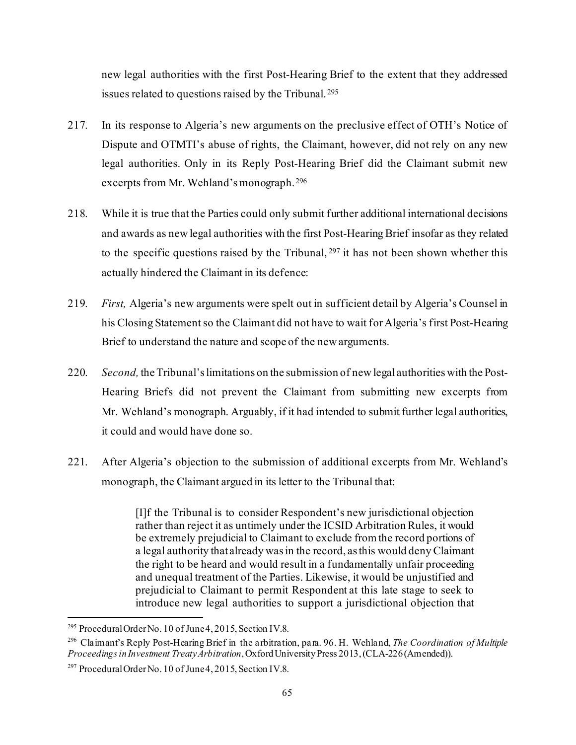new legal authorities with the first Post-Hearing Brief to the extent that they addressed issues related to questions raised by the Tribunal. [295](#page-71-0)

- 217. In its response to Algeria's new arguments on the preclusive effect of OTH's Notice of Dispute and OTMTI's abuse of rights, the Claimant, however, did not rely on any new legal authorities. Only in its Reply Post-Hearing Brief did the Claimant submit new excerpts from Mr. Wehland's monograph. [296](#page-71-1)
- 218. While it is true that the Parties could only submit further additional international decisions and awards as new legal authorities with the first Post-Hearing Brief insofar as they related to the specific questions raised by the Tribunal,  $297$  it has not been shown whether this actually hindered the Claimant in its defence:
- 219. *First,* Algeria's new arguments were spelt out in sufficient detail by Algeria's Counsel in his Closing Statement so the Claimant did not have to wait for Algeria's first Post-Hearing Brief to understand the nature and scope of the new arguments.
- 220. *Second,* the Tribunal's limitations on the submission of new legal authorities with the Post-Hearing Briefs did not prevent the Claimant from submitting new excerpts from Mr. Wehland's monograph. Arguably, if it had intended to submit further legal authorities, it could and would have done so.
- 221. After Algeria's objection to the submission of additional excerpts from Mr. Wehland's monograph, the Claimant argued in its letter to the Tribunal that:

[I]f the Tribunal is to consider Respondent's new jurisdictional objection rather than reject it as untimely under the ICSID Arbitration Rules, it would be extremely prejudicial to Claimant to exclude from the record portions of a legal authority that already was in the record, as this would deny Claimant the right to be heard and would result in a fundamentally unfair proceeding and unequal treatment of the Parties. Likewise, it would be unjustified and prejudicial to Claimant to permit Respondent at this late stage to seek to introduce new legal authorities to support a jurisdictional objection that

<span id="page-71-0"></span><sup>&</sup>lt;sup>295</sup> Procedural Order No. 10 of June 4, 2015, Section IV.8.

<span id="page-71-1"></span><sup>296</sup> Claimant's Reply Post-Hearing Brief in the arbitration, para. 96. H. Wehland, *The Coordination of Multiple Proceedings in Investment Treaty Arbitration*, Oxford University Press 2013, (CLA-226 (Amended)).

<span id="page-71-2"></span><sup>&</sup>lt;sup>297</sup> Procedural Order No. 10 of June 4, 2015, Section IV.8.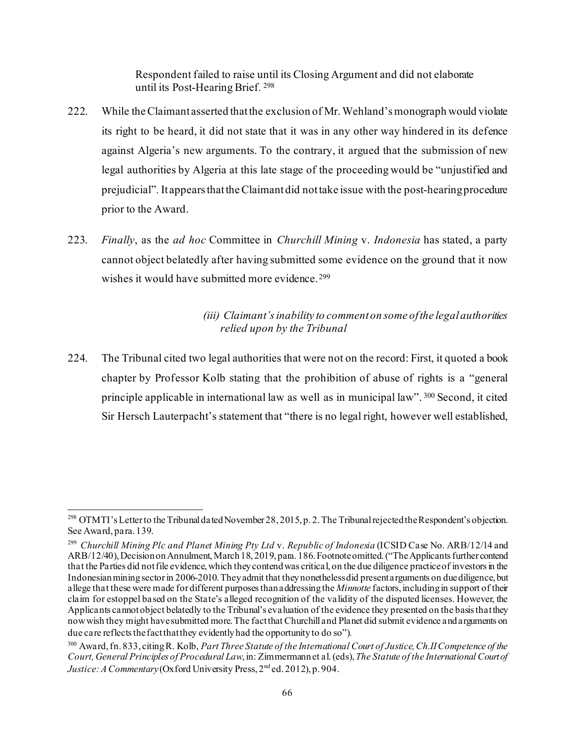Respondent failed to raise until its Closing Argument and did not elaborate until its Post-Hearing Brief*.* [298](#page-72-0)

- 222. While the Claimant asserted that the exclusion of Mr. Wehland's monograph would violate its right to be heard, it did not state that it was in any other way hindered in its defence against Algeria's new arguments. To the contrary, it argued that the submission of new legal authorities by Algeria at this late stage of the proceeding would be "unjustified and prejudicial"*.* It appears that the Claimant did not take issue with the post-hearing procedure prior to the Award.
- 223. *Finally*, as the *ad hoc* Committee in *Churchill Mining* v. *Indonesia* has stated, a party cannot object belatedly after having submitted some evidence on the ground that it now wishes it would have submitted more evidence. [299](#page-72-1)

# *(iii) Claimant's inability to comment on some of the legal authorities relied upon by the Tribunal*

224. The Tribunal cited two legal authorities that were not on the record: First, it quoted a book chapter by Professor Kolb stating that the prohibition of abuse of rights is a "general principle applicable in international law as well as in municipal law". [300](#page-72-2) Second, it cited Sir Hersch Lauterpacht's statement that "there is no legal right, however well established,

<span id="page-72-0"></span><sup>&</sup>lt;sup>298</sup> OTMTI's Letter to the Tribunal dated November 28, 2015, p. 2. The Tribunal rejected the Respondent's objection. See Award, para. 139.

<span id="page-72-1"></span><sup>299</sup> *Churchill Mining Plc and Planet Mining Pty Ltd* v. *Republic of Indonesia* (ICSID Case No. ARB/12/14 and ARB/12/40), Decision on Annulment,March 18, 2019, para. 186. Footnote omitted. ("The Applicants further contend that the Parties did not file evidence, which they contend was critical, on the due diligence practice of investors in the Indonesian mining sector in 2006-2010. They admit that they nonetheless did present arguments on due diligence, but allege that these were made for different purposes than addressing the *Minnotte* factors, including in support of their claim for estoppel based on the State's alleged recognition of the validity of the disputed licenses. However, the Applicants cannot object belatedly to the Tribunal's evaluation of the evidence they presented on the basis that they now wish they might have submitted more. The fact that Churchill and Planet did submit evidence and arguments on due care reflects the fact that they evidently had the opportunity to do so")*.*

<span id="page-72-2"></span><sup>300</sup> Award, fn. 833, citing R. Kolb, *Part Three Statute of the International Court of Justice, Ch.II Competence of the Court, General Principles of Procedural Law*, in: Zimmermann et al. (eds), *The Statute of the International Court of Justice: A Commentary* (Oxford University Press, 2<sup>nd</sup> ed. 2012), p. 904.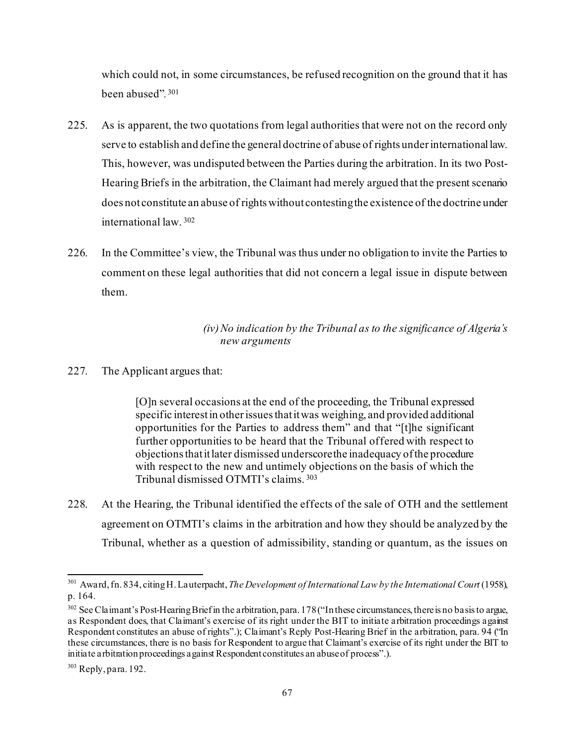which could not, in some circumstances, be refused recognition on the ground that it has been abused"*.* [301](#page-73-0)

- 225. As is apparent, the two quotations from legal authorities that were not on the record only serve to establish and define the general doctrine of abuse of rights under international law. This, however, was undisputed between the Parties during the arbitration. In its two Post-Hearing Briefs in the arbitration, the Claimant had merely argued that the present scenario does not constitute an abuse of rights without contesting the existence of the doctrine under international law. [302](#page-73-1)
- 226. In the Committee's view, the Tribunal was thus under no obligation to invite the Parties to comment on these legal authorities that did not concern a legal issue in dispute between them.

# *(iv)No indication by the Tribunal as to the significance of Algeria's new arguments*

# 227. The Applicant argues that:

[O]n several occasions at the end of the proceeding, the Tribunal expressed specific interest in other issues that it was weighing, and provided additional opportunities for the Parties to address them" and that "[t]he significant further opportunities to be heard that the Tribunal offered with respect to objections that it later dismissed underscore the inadequacy of the procedure with respect to the new and untimely objections on the basis of which the Tribunal dismissed OTMTI's claims. [303](#page-73-2)

228. At the Hearing, the Tribunal identified the effects of the sale of OTH and the settlement agreement on OTMTI's claims in the arbitration and how they should be analyzed by the Tribunal, whether as a question of admissibility, standing or quantum, as the issues on

<span id="page-73-0"></span><sup>301</sup> Award, fn. 834, citing H.Lauterpacht, *The Development of International Law by the International Court* (1958), p. 164.

<span id="page-73-1"></span> $302$  See Claimant's Post-Hearing Brief in the arbitration, para. 178 ("In these circumstances, there is no basis to argue, as Respondent does, that Claimant's exercise of its right under the BIT to initiate arbitration proceedings against Respondent constitutes an abuse of rights".); Claimant's Reply Post-Hearing Brief in the arbitration, para. 94 ("In these circumstances, there is no basis for Respondent to argue that Claimant's exercise of its right under the BIT to initiate arbitration proceedings against Respondent constitutes an abuse of process".).

<span id="page-73-2"></span> $303$  Reply, para. 192.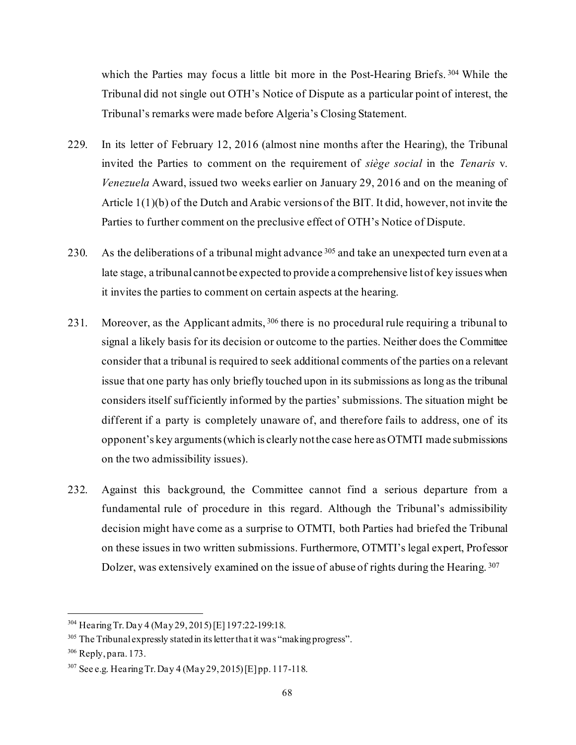which the Parties may focus a little bit more in the Post-Hearing Briefs.<sup>[304](#page-74-0)</sup> While the Tribunal did not single out OTH's Notice of Dispute as a particular point of interest, the Tribunal's remarks were made before Algeria's Closing Statement.

- 229. In its letter of February 12, 2016 (almost nine months after the Hearing), the Tribunal invited the Parties to comment on the requirement of *siège social* in the *Tenaris* v. *Venezuela* Award, issued two weeks earlier on January 29, 2016 and on the meaning of Article 1(1)(b) of the Dutch and Arabic versions of the BIT. It did, however, not invite the Parties to further comment on the preclusive effect of OTH's Notice of Dispute.
- 230. As the deliberations of a tribunal might advance [305](#page-74-1) and take an unexpected turn even at a late stage, a tribunal cannot be expected to provide a comprehensive list of key issues when it invites the parties to comment on certain aspects at the hearing.
- 231. Moreover, as the Applicant admits, [306](#page-74-2) there is no procedural rule requiring a tribunal to signal a likely basis for its decision or outcome to the parties. Neither does the Committee consider that a tribunal is required to seek additional comments of the parties on a relevant issue that one party has only briefly touched upon in its submissions as long as the tribunal considers itself sufficiently informed by the parties' submissions. The situation might be different if a party is completely unaware of, and therefore fails to address, one of its opponent's key arguments (which is clearly not the case here as OTMTI made submissions on the two admissibility issues).
- 232. Against this background, the Committee cannot find a serious departure from a fundamental rule of procedure in this regard. Although the Tribunal's admissibility decision might have come as a surprise to OTMTI, both Parties had briefed the Tribunal on these issues in two written submissions. Furthermore, OTMTI's legal expert, Professor Dolzer, was extensively examined on the issue of abuse of rights during the Hearing. [307](#page-74-3)

<span id="page-74-0"></span><sup>304</sup> HearingTr. Day 4 (May 29, 2015) [E] 197:22-199:18.

<span id="page-74-1"></span> $305$  The Tribunal expressly stated in its letter that it was "making progress".

<span id="page-74-2"></span><sup>306</sup> Reply, para. 173.

<span id="page-74-3"></span><sup>307</sup> See e.g. HearingTr.Day 4 (May 29, 2015) [E] pp. 117-118.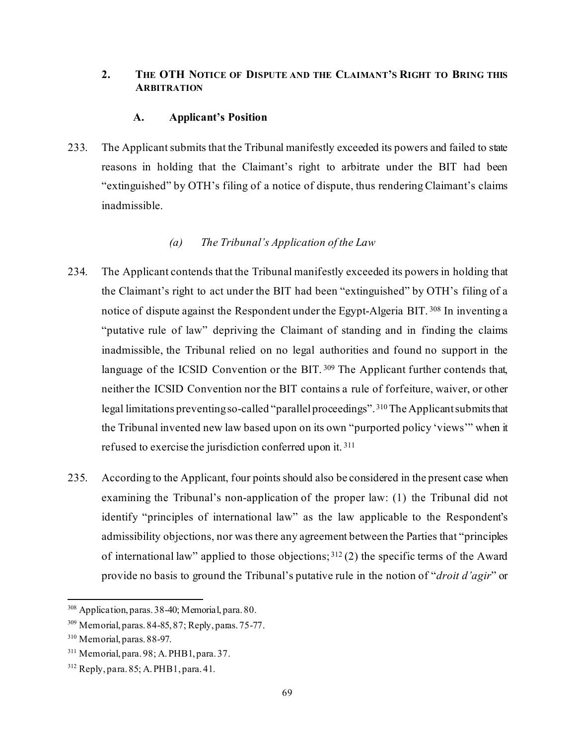## **2. THE OTH NOTICE OF DISPUTE AND THE CLAIMANT'S RIGHT TO BRING THIS ARBITRATION**

### **A. Applicant's Position**

233. The Applicant submits that the Tribunal manifestly exceeded its powers and failed to state reasons in holding that the Claimant's right to arbitrate under the BIT had been "extinguished" by OTH's filing of a notice of dispute, thus rendering Claimant's claims inadmissible.

## *(a) The Tribunal's Application of the Law*

- 234. The Applicant contends that the Tribunal manifestly exceeded its powers in holding that the Claimant's right to act under the BIT had been "extinguished" by OTH's filing of a notice of dispute against the Respondent under the Egypt-Algeria BIT. [308](#page-75-0) In inventing a "putative rule of law" depriving the Claimant of standing and in finding the claims inadmissible, the Tribunal relied on no legal authorities and found no support in the language of the ICSID Convention or the BIT.<sup>[309](#page-75-1)</sup> The Applicant further contends that, neither the ICSID Convention nor the BIT contains a rule of forfeiture, waiver, or other legal limitations preventing so-called "parallel proceedings". [310](#page-75-2) The Applicant submits that the Tribunal invented new law based upon on its own "purported policy 'views'" when it refused to exercise the jurisdiction conferred upon it. [311](#page-75-3)
- 235. According to the Applicant, four points should also be considered in the present case when examining the Tribunal's non-application of the proper law: (1) the Tribunal did not identify "principles of international law" as the law applicable to the Respondent's admissibility objections, nor was there any agreement between the Parties that "principles of international law" applied to those objections;  $312(2)$  $312(2)$  the specific terms of the Award provide no basis to ground the Tribunal's putative rule in the notion of "*droit d'agir*" or

<span id="page-75-0"></span><sup>308</sup> Application, paras. 38-40; Memorial, para. 80.

<span id="page-75-1"></span><sup>309</sup> Memorial, paras. 84-85, 87; Reply, paras. 75-77.

<span id="page-75-2"></span><sup>310</sup> Memorial, paras. 88-97.

<span id="page-75-3"></span><sup>311</sup> Memorial, para. 98; A. PHB1, para. 37.

<span id="page-75-4"></span><sup>312</sup> Reply, para. 85; A. PHB1, para. 41.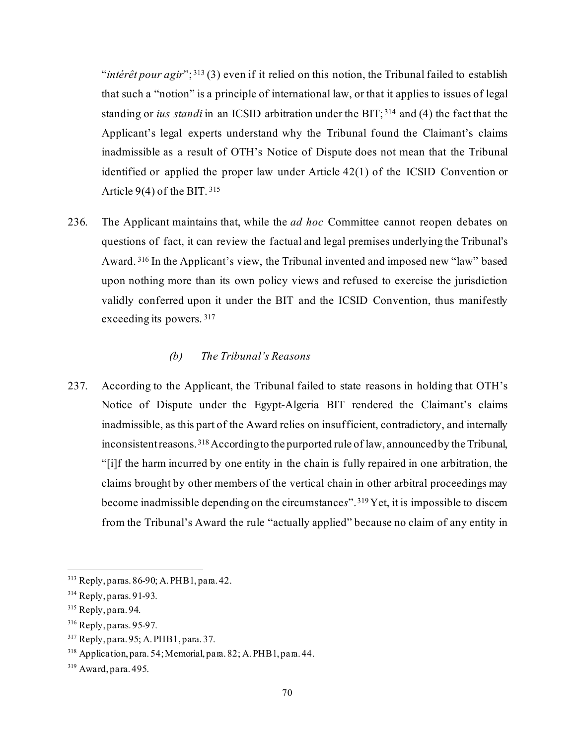"*intérêt pour agir*"; [313](#page-76-0) (3) even if it relied on this notion, the Tribunal failed to establish that such a "notion" is a principle of international law, or that it applies to issues of legal standing or *ius standi* in an ICSID arbitration under the BIT; [314](#page-76-1) and (4) the fact that the Applicant's legal experts understand why the Tribunal found the Claimant's claims inadmissible as a result of OTH's Notice of Dispute does not mean that the Tribunal identified or applied the proper law under Article 42(1) of the ICSID Convention or Article 9(4) of the BIT. [315](#page-76-2)

236. The Applicant maintains that, while the *ad hoc* Committee cannot reopen debates on questions of fact, it can review the factual and legal premises underlying the Tribunal's Award. [316](#page-76-3) In the Applicant's view, the Tribunal invented and imposed new "law" based upon nothing more than its own policy views and refused to exercise the jurisdiction validly conferred upon it under the BIT and the ICSID Convention, thus manifestly exceeding its powers. [317](#page-76-4)

### *(b) The Tribunal's Reasons*

237. According to the Applicant, the Tribunal failed to state reasons in holding that OTH's Notice of Dispute under the Egypt-Algeria BIT rendered the Claimant's claims inadmissible, as this part of the Award relies on insufficient, contradictory, and internally inconsistent reasons.<sup>[318](#page-76-5)</sup> According to the purported rule of law, announced by the Tribunal, "[i]f the harm incurred by one entity in the chain is fully repaired in one arbitration, the claims brought by other members of the vertical chain in other arbitral proceedings may become inadmissible depending on the circumstance*s*". [319](#page-76-6)Yet, it is impossible to discern from the Tribunal's Award the rule "actually applied" because no claim of any entity in

<span id="page-76-0"></span><sup>313</sup> Reply, paras. 86-90; A. PHB1, para. 42.

<span id="page-76-1"></span><sup>314</sup> Reply, paras. 91-93.

<span id="page-76-2"></span><sup>&</sup>lt;sup>315</sup> Reply, para. 94.

<span id="page-76-3"></span><sup>316</sup> Reply, paras. 95-97.

<span id="page-76-4"></span><sup>317</sup> Reply, para. 95; A. PHB1, para. 37.

<span id="page-76-5"></span><sup>318</sup> Application, para. 54; Memorial, para. 82; A. PHB1, para. 44.

<span id="page-76-6"></span><sup>319</sup> Award, para. 495.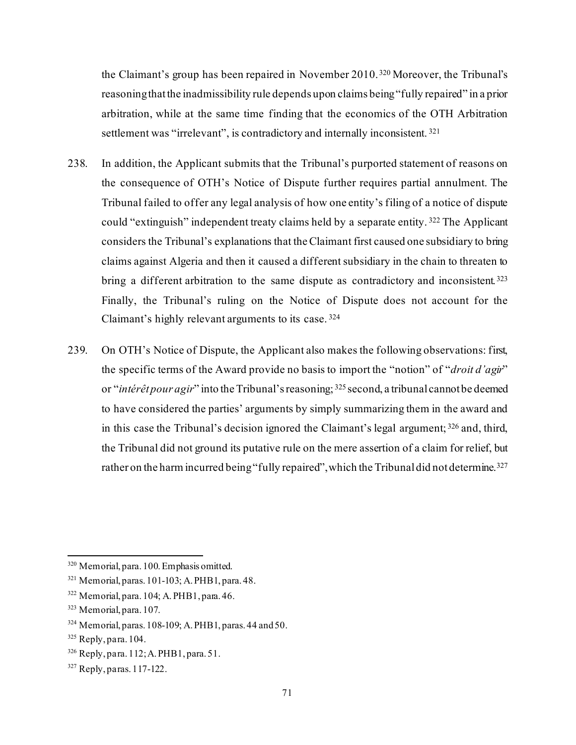the Claimant's group has been repaired in November 2010. [320](#page-77-0) Moreover, the Tribunal's reasoning that the inadmissibility rule depends upon claims being "fully repaired" in a prior arbitration, while at the same time finding that the economics of the OTH Arbitration settlement was "irrelevant", is contradictory and internally inconsistent. <sup>[321](#page-77-1)</sup>

- 238. In addition, the Applicant submits that the Tribunal's purported statement of reasons on the consequence of OTH's Notice of Dispute further requires partial annulment. The Tribunal failed to offer any legal analysis of how one entity's filing of a notice of dispute could "extinguish" independent treaty claims held by a separate entity. [322](#page-77-2) The Applicant considers the Tribunal's explanations that the Claimant first caused one subsidiary to bring claims against Algeria and then it caused a different subsidiary in the chain to threaten to bring a different arbitration to the same dispute as contradictory and inconsistent.<sup>[323](#page-77-3)</sup> Finally, the Tribunal's ruling on the Notice of Dispute does not account for the Claimant's highly relevant arguments to its case. [324](#page-77-4)
- 239. On OTH's Notice of Dispute, the Applicant also makes the following observations: first, the specific terms of the Award provide no basis to import the "notion" of "*droit d'agir*" or "*intérêt pour agir*" into the Tribunal's reasoning; [325](#page-77-5) second, a tribunal cannot be deemed to have considered the parties' arguments by simply summarizing them in the award and in this case the Tribunal's decision ignored the Claimant's legal argument; [326](#page-77-6) and, third, the Tribunal did not ground its putative rule on the mere assertion of a claim for relief, but rather on the harm incurred being "fully repaired", which the Tribunal did not determine.<sup>[327](#page-77-7)</sup>

<span id="page-77-0"></span><sup>320</sup> Memorial, para. 100. Emphasis omitted.

<span id="page-77-1"></span><sup>321</sup> Memorial, paras. 101-103; A. PHB1, para. 48.

<span id="page-77-2"></span> $322$  Memorial, para. 104; A. PHB1, para. 46.

<span id="page-77-3"></span><sup>323</sup> Memorial, para. 107.

<span id="page-77-4"></span><sup>324</sup> Memorial, paras. 108-109; A. PHB1, paras. 44 and 50.

<span id="page-77-5"></span> $325$  Reply, para. 104.

<span id="page-77-6"></span><sup>326</sup> Reply, para. 112; A. PHB1, para. 51.

<span id="page-77-7"></span><sup>327</sup> Reply, paras. 117-122.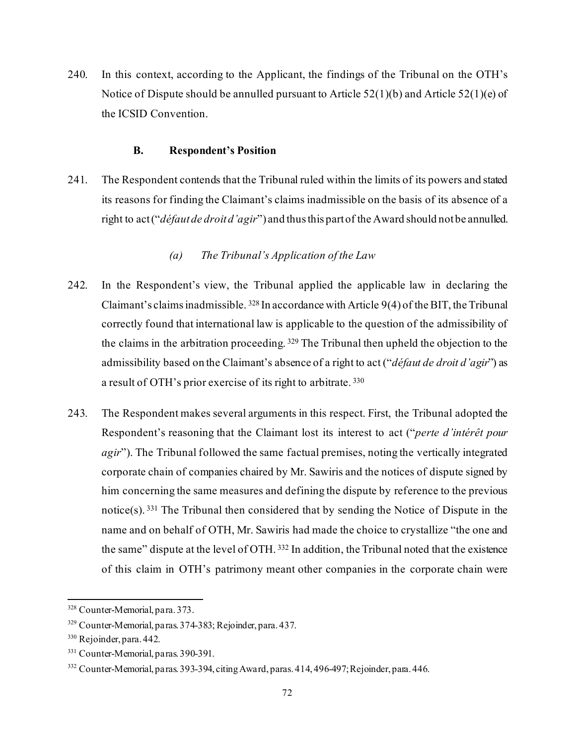240. In this context, according to the Applicant, the findings of the Tribunal on the OTH's Notice of Dispute should be annulled pursuant to Article  $52(1)(b)$  and Article  $52(1)(e)$  of the ICSID Convention.

### **B. Respondent's Position**

241. The Respondent contends that the Tribunal ruled within the limits of its powers and stated its reasons for finding the Claimant's claims inadmissible on the basis of its absence of a right to act ("*défaut de droit d'agir*") and thus this part of the Award should not be annulled.

## *(a) The Tribunal's Application of the Law*

- 242. In the Respondent's view, the Tribunal applied the applicable law in declaring the Claimant's claims inadmissible.  $328$  In accordance with Article 9(4) of the BIT, the Tribunal correctly found that international law is applicable to the question of the admissibility of the claims in the arbitration proceeding. [329](#page-78-1) The Tribunal then upheld the objection to the admissibility based on the Claimant's absence of a right to act ("*défaut de droit d'agir*") as a result of OTH's prior exercise of its right to arbitrate. [330](#page-78-2)
- 243. The Respondent makes several arguments in this respect. First, the Tribunal adopted the Respondent's reasoning that the Claimant lost its interest to act ("*perte d'intérêt pour agir*"). The Tribunal followed the same factual premises, noting the vertically integrated corporate chain of companies chaired by Mr. Sawiris and the notices of dispute signed by him concerning the same measures and defining the dispute by reference to the previous notice(s). [331](#page-78-3) The Tribunal then considered that by sending the Notice of Dispute in the name and on behalf of OTH, Mr. Sawiris had made the choice to crystallize "the one and the same" dispute at the level of OTH.<sup>[332](#page-78-4)</sup> In addition, the Tribunal noted that the existence of this claim in OTH's patrimony meant other companies in the corporate chain were

<span id="page-78-0"></span><sup>328</sup> Counter-Memorial, para. 373.

<span id="page-78-1"></span><sup>329</sup> Counter-Memorial, paras. 374-383; Rejoinder, para. 437.

<span id="page-78-2"></span><sup>330</sup> Rejoinder, para. 442.

<span id="page-78-3"></span><sup>&</sup>lt;sup>331</sup> Counter-Memorial, paras. 390-391.

<span id="page-78-4"></span><sup>332</sup> Counter-Memorial, paras. 393-394, citing Award, paras. 414, 496-497; Rejoinder, para. 446.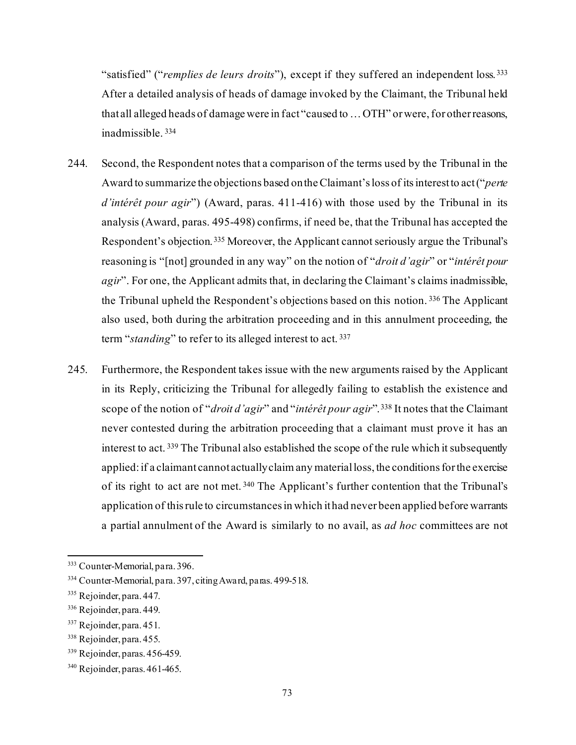"satisfied" ("*remplies de leurs droits*"), except if they suffered an independent loss.<sup>[333](#page-79-0)</sup> After a detailed analysis of heads of damage invoked by the Claimant, the Tribunal held that all alleged heads of damage were in fact "caused to…OTH" or were, for other reasons, inadmissible. [334](#page-79-1)

- 244. Second, the Respondent notes that a comparison of the terms used by the Tribunal in the Award to summarize the objections based on the Claimant's loss of its interest to act ("*perte d'intérêt pour agir*") (Award, paras. 411-416) with those used by the Tribunal in its analysis (Award, paras. 495-498) confirms, if need be, that the Tribunal has accepted the Respondent's objection. [335](#page-79-2) Moreover, the Applicant cannot seriously argue the Tribunal's reasoning is "[not] grounded in any way" on the notion of "*droit d'agir*" or "*intérêt pour agir*". For one, the Applicant admits that, in declaring the Claimant's claims inadmissible, the Tribunal upheld the Respondent's objections based on this notion. [336](#page-79-3) The Applicant also used, both during the arbitration proceeding and in this annulment proceeding, the term "*standing*" to refer to its alleged interest to act. [337](#page-79-4)
- 245. Furthermore, the Respondent takes issue with the new arguments raised by the Applicant in its Reply, criticizing the Tribunal for allegedly failing to establish the existence and scope of the notion of "*droit d'agir*" and "*intérêt pour agir*".[338](#page-79-5) It notes that the Claimant never contested during the arbitration proceeding that a claimant must prove it has an interest to act. [339](#page-79-6) The Tribunal also established the scope of the rule which it subsequently applied: if a claimant cannot actually claim any material loss, the conditions for the exercise of its right to act are not met. [340](#page-79-7) The Applicant's further contention that the Tribunal's application of thisrule to circumstances in which it had never been applied before warrants a partial annulment of the Award is similarly to no avail, as *ad hoc* committees are not

<span id="page-79-0"></span><sup>333</sup> Counter-Memorial, para. 396.

<span id="page-79-1"></span><sup>334</sup> Counter-Memorial, para. 397, citing Award, paras. 499-518.

<span id="page-79-2"></span> $335$  Rejoinder, para. 447.

<span id="page-79-3"></span><sup>336</sup> Rejoinder, para. 449.

<span id="page-79-4"></span><sup>&</sup>lt;sup>337</sup> Rejoinder, para. 451.

<span id="page-79-5"></span><sup>&</sup>lt;sup>338</sup> Rejoinder, para. 455.

<span id="page-79-6"></span><sup>339</sup> Rejoinder, paras. 456-459.

<span id="page-79-7"></span> $340$  Rejoinder, paras. 461-465.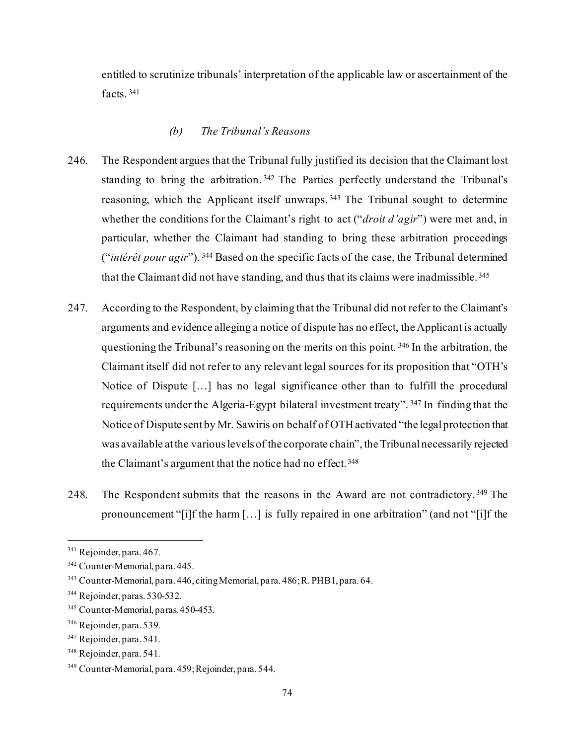entitled to scrutinize tribunals' interpretation of the applicable law or ascertainment of the facts. [341](#page-80-0)

### *(b) The Tribunal's Reasons*

- 246. The Respondent argues that the Tribunal fully justified its decision that the Claimant lost standing to bring the arbitration.<sup>[342](#page-80-1)</sup> The Parties perfectly understand the Tribunal's reasoning, which the Applicant itself unwraps. [343](#page-80-2) The Tribunal sought to determine whether the conditions for the Claimant's right to act ("*droit d'agir*") were met and, in particular, whether the Claimant had standing to bring these arbitration proceedings ("*intérêt pour agir*"). [344](#page-80-3) Based on the specific facts of the case, the Tribunal determined that the Claimant did not have standing, and thus that its claims were inadmissible. [345](#page-80-4)
- 247. According to the Respondent, by claiming that the Tribunal did not refer to the Claimant's arguments and evidence alleging a notice of dispute has no effect, the Applicant is actually questioning the Tribunal's reasoning on the merits on this point. [346](#page-80-5) In the arbitration, the Claimant itself did not refer to any relevant legal sources for its proposition that "OTH's Notice of Dispute […] has no legal significance other than to fulfill the procedural requirements under the Algeria-Egypt bilateral investment treaty". [347](#page-80-6) In finding that the Notice of Dispute sent by Mr. Sawiris on behalf of OTH activated "the legal protection that was available at the various levels of the corporate chain", the Tribunal necessarily rejected the Claimant's argument that the notice had no effect. [348](#page-80-7)
- 248. The Respondent submits that the reasons in the Award are not contradictory. [349](#page-80-8) The pronouncement "[i]f the harm […] is fully repaired in one arbitration" (and not "[i]f the

<span id="page-80-0"></span><sup>&</sup>lt;sup>341</sup> Rejoinder, para. 467.

<span id="page-80-1"></span><sup>342</sup> Counter-Memorial, para. 445.

<span id="page-80-2"></span><sup>343</sup> Counter-Memorial, para. 446, citing Memorial, para. 486; R. PHB1, para. 64.

<span id="page-80-3"></span><sup>344</sup> Rejoinder, paras. 530-532.

<span id="page-80-4"></span><sup>&</sup>lt;sup>345</sup> Counter-Memorial, paras. 450-453.

<span id="page-80-5"></span><sup>346</sup> Rejoinder, para. 539.

<span id="page-80-6"></span> $347$  Rejoinder, para. 541.

<span id="page-80-7"></span><sup>&</sup>lt;sup>348</sup> Rejoinder, para. 541.

<span id="page-80-8"></span><sup>&</sup>lt;sup>349</sup> Counter-Memorial, para. 459; Rejoinder, para. 544.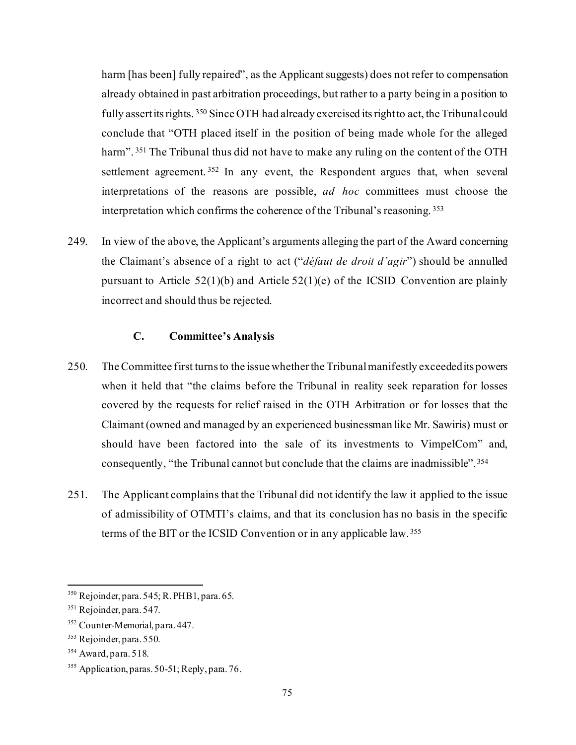harm [has been] fully repaired", as the Applicant suggests) does not refer to compensation already obtained in past arbitration proceedings, but rather to a party being in a position to fully assert its rights. [350](#page-81-0) Since OTH had already exercised its right to act, the Tribunal could conclude that "OTH placed itself in the position of being made whole for the alleged harm". [351](#page-81-1) The Tribunal thus did not have to make any ruling on the content of the OTH settlement agreement.<sup>[352](#page-81-2)</sup> In any event, the Respondent argues that, when several interpretations of the reasons are possible, *ad hoc* committees must choose the interpretation which confirms the coherence of the Tribunal's reasoning. [353](#page-81-3)

249. In view of the above, the Applicant's arguments alleging the part of the Award concerning the Claimant's absence of a right to act ("*défaut de droit d'agir*") should be annulled pursuant to Article 52(1)(b) and Article 52(1)(e) of the ICSID Convention are plainly incorrect and should thus be rejected.

### **C. Committee's Analysis**

- 250. The Committee first turns to the issue whether the Tribunal manifestly exceeded its powers when it held that "the claims before the Tribunal in reality seek reparation for losses covered by the requests for relief raised in the OTH Arbitration or for losses that the Claimant (owned and managed by an experienced businessman like Mr. Sawiris) must or should have been factored into the sale of its investments to VimpelCom" and, consequently, "the Tribunal cannot but conclude that the claims are inadmissible".<sup>[354](#page-81-4)</sup>
- 251. The Applicant complains that the Tribunal did not identify the law it applied to the issue of admissibility of OTMTI's claims, and that its conclusion has no basis in the specific terms of the BIT or the ICSID Convention or in any applicable law. [355](#page-81-5)

<span id="page-81-0"></span><sup>350</sup> Rejoinder, para. 545; R. PHB1, para. 65.

<span id="page-81-1"></span><sup>&</sup>lt;sup>351</sup> Rejoinder, para. 547.

<span id="page-81-2"></span><sup>352</sup> Counter-Memorial, para. 447.

<span id="page-81-3"></span><sup>&</sup>lt;sup>353</sup> Rejoinder, para. 550.

<span id="page-81-4"></span><sup>354</sup> Award, para. 518.

<span id="page-81-5"></span><sup>&</sup>lt;sup>355</sup> Application, paras. 50-51; Reply, para. 76.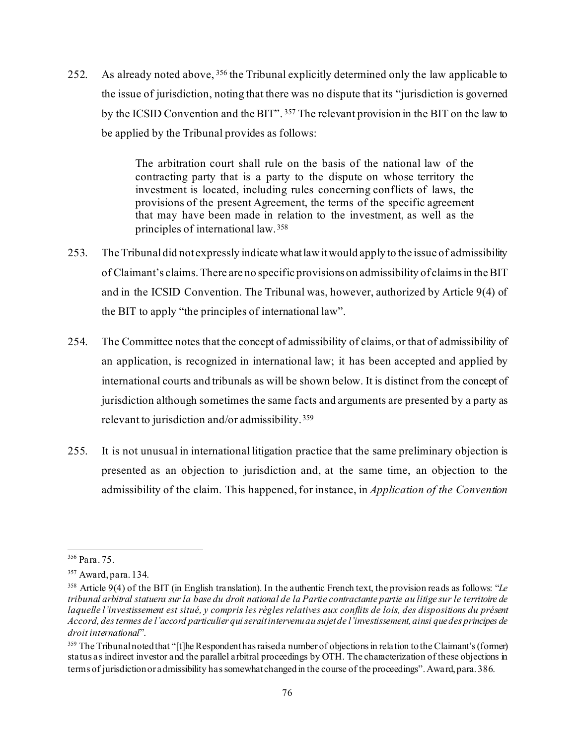252. As already noted above, <sup>[356](#page-82-0)</sup> the Tribunal explicitly determined only the law applicable to the issue of jurisdiction, noting that there was no dispute that its "jurisdiction is governed by the ICSID Convention and the BIT". [357](#page-82-1) The relevant provision in the BIT on the law to be applied by the Tribunal provides as follows:

> The arbitration court shall rule on the basis of the national law of the contracting party that is a party to the dispute on whose territory the investment is located, including rules concerning conflicts of laws, the provisions of the present Agreement, the terms of the specific agreement that may have been made in relation to the investment, as well as the principles of international law.[358](#page-82-2)

- 253. The Tribunal did not expressly indicate what law it would apply to the issue of admissibility of Claimant's claims. There are no specific provisions on admissibility of claims in the BIT and in the ICSID Convention. The Tribunal was, however, authorized by Article 9(4) of the BIT to apply "the principles of international law".
- 254. The Committee notes that the concept of admissibility of claims, or that of admissibility of an application, is recognized in international law; it has been accepted and applied by international courts and tribunals as will be shown below. It is distinct from the concept of jurisdiction although sometimes the same facts and arguments are presented by a party as relevant to jurisdiction and/or admissibility.[359](#page-82-3)
- 255. It is not unusual in international litigation practice that the same preliminary objection is presented as an objection to jurisdiction and, at the same time, an objection to the admissibility of the claim. This happened, for instance, in *Application of the Convention*

<span id="page-82-0"></span><sup>356</sup> Para. 75.

<span id="page-82-1"></span><sup>357</sup> Award, para. 134.

<span id="page-82-2"></span><sup>358</sup> Article 9(4) of the BIT (in English translation). In the authentic French text, the provision reads as follows: "*Le tribunal arbitral statuera sur la base du droit national de la Partie contractante partie au litige sur le territoire de laquelle l'investissement est situé, y compris les règles relatives aux conflits de lois, des dispositions du présent Accord, des termes de l'accord particulier qui serait intervenu au sujet de l'investissement, ainsi que des principes de droit international*".

<span id="page-82-3"></span><sup>&</sup>lt;sup>359</sup> The Tribunal noted that "[t]he Respondent has raised a number of objections in relation to the Claimant's (former) status as indirect investor and the parallel arbitral proceedings by OTH. The characterization of these objections in terms of jurisdiction or admissibility has somewhat changed in the course of the proceedings". Award, para. 386.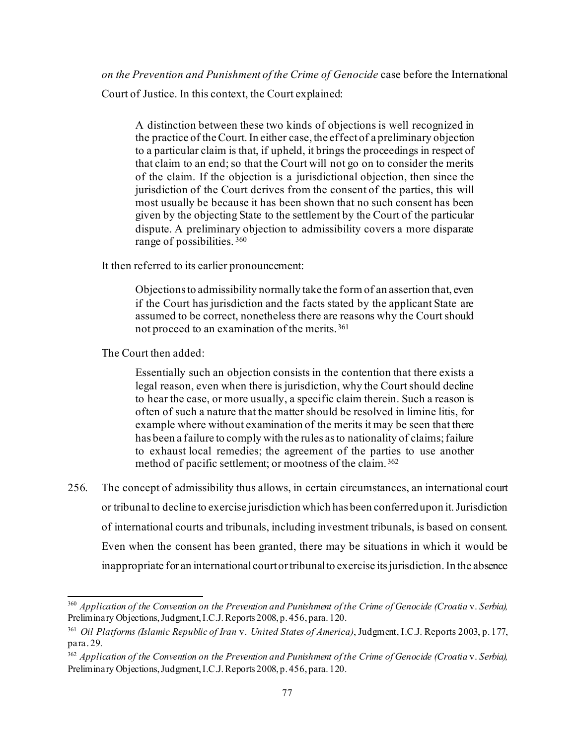*on the Prevention and Punishment of the Crime of Genocide* case before the International

Court of Justice. In this context, the Court explained:

A distinction between these two kinds of objections is well recognized in the practice of the Court. In either case, the effect of a preliminary objection to a particular claim is that, if upheld, it brings the proceedings in respect of that claim to an end; so that the Court will not go on to consider the merits of the claim. If the objection is a jurisdictional objection, then since the jurisdiction of the Court derives from the consent of the parties, this will most usually be because it has been shown that no such consent has been given by the objecting State to the settlement by the Court of the particular dispute. A preliminary objection to admissibility covers a more disparate range of possibilities. [360](#page-83-0)

It then referred to its earlier pronouncement:

Objections to admissibility normally take the form of an assertion that, even if the Court has jurisdiction and the facts stated by the applicant State are assumed to be correct, nonetheless there are reasons why the Court should not proceed to an examination of the merits. [361](#page-83-1)

The Court then added:

Essentially such an objection consists in the contention that there exists a legal reason, even when there is jurisdiction, why the Court should decline to hear the case, or more usually, a specific claim therein. Such a reason is often of such a nature that the matter should be resolved in limine litis, for example where without examination of the merits it may be seen that there has been a failure to comply with the rules as to nationality of claims; failure to exhaust local remedies; the agreement of the parties to use another method of pacific settlement; or mootness of the claim.[362](#page-83-2)

256. The concept of admissibility thus allows, in certain circumstances, an international court or tribunal to decline to exercise jurisdiction which has been conferred upon it. Jurisdiction of international courts and tribunals, including investment tribunals, is based on consent. Even when the consent has been granted, there may be situations in which it would be inappropriate for an international court or tribunal to exercise its jurisdiction. In the absence

<span id="page-83-0"></span><sup>360</sup> *Application of the Convention on the Prevention and Punishment of the Crime of Genocide (Croatia* v. *Serbia),*  Preliminary Objections, Judgment, I.C.J. Reports 2008, p. 456, para. 120.

<span id="page-83-1"></span><sup>361</sup> *Oil Platforms (Islamic Republic of Iran* v. *United States of America)*, Judgment, I.C.J. Reports 2003, p. 177, para. 29.

<span id="page-83-2"></span><sup>362</sup> *Application of the Convention on the Prevention and Punishment of the Crime of Genocide (Croatia* v. *Serbia),*  Preliminary Objections, Judgment, I.C.J. Reports 2008, p. 456, para. 120.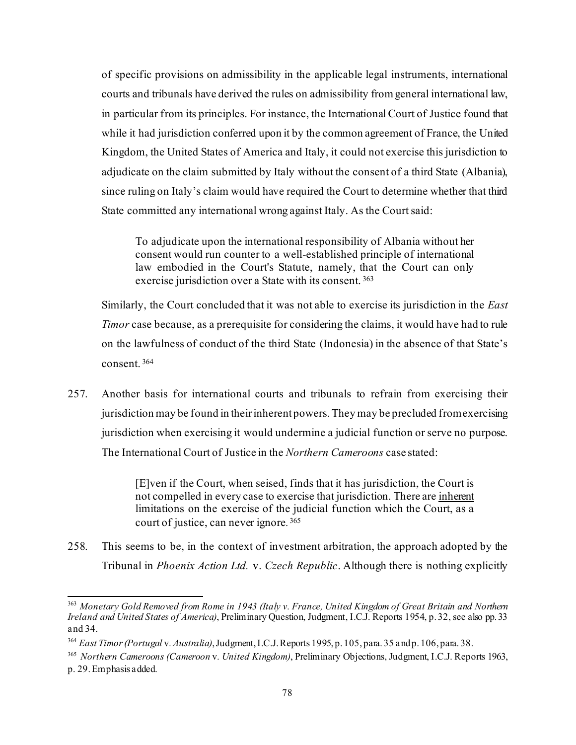of specific provisions on admissibility in the applicable legal instruments, international courts and tribunals have derived the rules on admissibility from general international law, in particular from its principles. For instance, the International Court of Justice found that while it had jurisdiction conferred upon it by the common agreement of France, the United Kingdom, the United States of America and Italy, it could not exercise this jurisdiction to adjudicate on the claim submitted by Italy without the consent of a third State (Albania), since ruling on Italy's claim would have required the Court to determine whether that third State committed any international wrong against Italy. As the Court said:

To adjudicate upon the international responsibility of Albania without her consent would run counter to a well-established principle of international law embodied in the Court's Statute, namely, that the Court can only exercise jurisdiction over a State with its consent.<sup>[363](#page-84-0)</sup>

Similarly, the Court concluded that it was not able to exercise its jurisdiction in the *East Timor* case because, as a prerequisite for considering the claims, it would have had to rule on the lawfulness of conduct of the third State (Indonesia) in the absence of that State's consent. [364](#page-84-1)

257. Another basis for international courts and tribunals to refrain from exercising their jurisdiction may be found in their inherent powers. They may be precluded from exercising jurisdiction when exercising it would undermine a judicial function or serve no purpose. The International Court of Justice in the *Northern Cameroons* case stated:

> [E]ven if the Court, when seised, finds that it has jurisdiction, the Court is not compelled in every case to exercise that jurisdiction. There are inherent limitations on the exercise of the judicial function which the Court, as a court of justice, can never ignore*.* [365](#page-84-2)

258. This seems to be, in the context of investment arbitration, the approach adopted by the Tribunal in *Phoenix Action Ltd.* v. *Czech Republic*. Although there is nothing explicitly

<span id="page-84-0"></span><sup>363</sup> *Monetary Gold Removed from Rome in 1943 (Italy v. France, United Kingdom of Great Britain and Northern Ireland and United States of America)*, Preliminary Question, Judgment, I.C.J. Reports 1954, p. 32, see also pp. 33 and 34.

<span id="page-84-1"></span><sup>364</sup> *East Timor (Portugal* v*. Australia)*, Judgment, I.C.J. Reports 1995, p. 105, para. 35 and p. 106, para. 38.

<span id="page-84-2"></span><sup>365</sup> *Northern Cameroons (Cameroon* v*. United Kingdom)*, Preliminary Objections, Judgment, I.C.J. Reports 1963, p. 29.Emphasis added.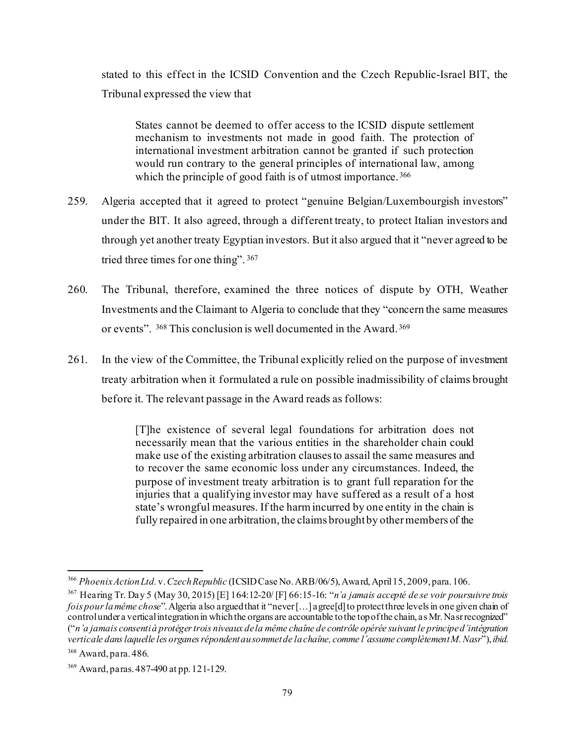stated to this effect in the ICSID Convention and the Czech Republic-Israel BIT, the Tribunal expressed the view that

States cannot be deemed to offer access to the ICSID dispute settlement mechanism to investments not made in good faith. The protection of international investment arbitration cannot be granted if such protection would run contrary to the general principles of international law, among which the principle of good faith is of utmost importance.<sup>[366](#page-85-0)</sup>

- 259. Algeria accepted that it agreed to protect "genuine Belgian/Luxembourgish investors" under the BIT. It also agreed, through a different treaty, to protect Italian investors and through yet another treaty Egyptian investors. But it also argued that it "never agreed to be tried three times for one thing". [367](#page-85-1)
- 260. The Tribunal, therefore, examined the three notices of dispute by OTH, Weather Investments and the Claimant to Algeria to conclude that they "concern the same measures or events". [368](#page-85-2) This conclusion is well documented in the Award. [369](#page-85-3)
- 261. In the view of the Committee, the Tribunal explicitly relied on the purpose of investment treaty arbitration when it formulated a rule on possible inadmissibility of claims brought before it. The relevant passage in the Award reads as follows:

[T]he existence of several legal foundations for arbitration does not necessarily mean that the various entities in the shareholder chain could make use of the existing arbitration clauses to assail the same measures and to recover the same economic loss under any circumstances. Indeed, the purpose of investment treaty arbitration is to grant full reparation for the injuries that a qualifying investor may have suffered as a result of a host state's wrongful measures. If the harm incurred by one entity in the chain is fully repaired in one arbitration, the claims brought by other members of the

<span id="page-85-0"></span><sup>366</sup> *Phoenix Action Ltd.* v. *Czech Republic* (ICSID Case No. ARB/06/5), Award, April 15, 2009, para. 106.

<span id="page-85-1"></span><sup>367</sup> Hearing Tr. Day 5 (May 30, 2015) [E] 164:12-20/ [F] 66:15-16: "*n'a jamais accepté de se voir poursuivre trois fois pour la même chose*". Algeria also argued that it "never[...] a gree[d] to protect three levels in one given chain of control under a vertical integration in which the organs are accountable to the top of the chain, as Mr. Nasr recognized" ("*n'a jamais consenti à protéger trois niveaux de la même chaîne de contrôle opérée suivant le principe d'intégration verticale dans laquelle les organes répondent au sommet de la chaîne, comme l'assume complètement M. Nasr*"), *ibid.* <sup>368</sup> Award, para. 486.

<span id="page-85-3"></span><span id="page-85-2"></span><sup>369</sup> Award, paras. 487-490 at pp. 121-129.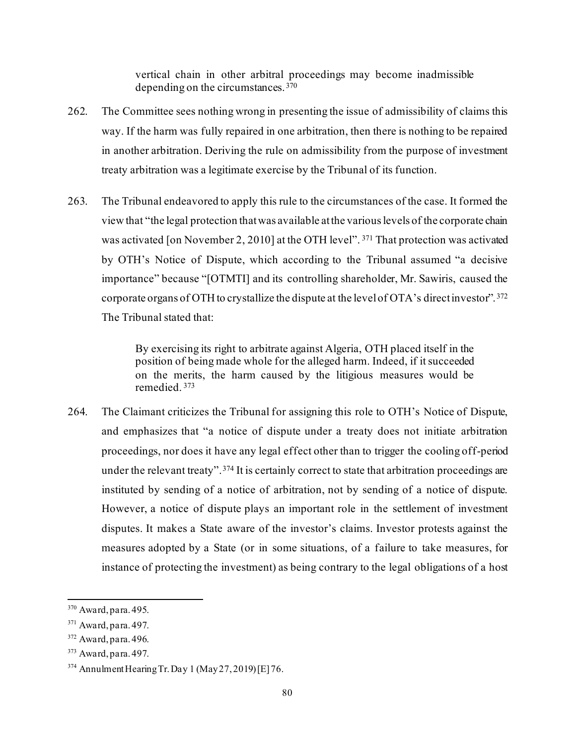vertical chain in other arbitral proceedings may become inadmissible depending on the circumstances.<sup>[370](#page-86-0)</sup>

- 262. The Committee sees nothing wrong in presenting the issue of admissibility of claims this way. If the harm was fully repaired in one arbitration, then there is nothing to be repaired in another arbitration. Deriving the rule on admissibility from the purpose of investment treaty arbitration was a legitimate exercise by the Tribunal of its function.
- 263. The Tribunal endeavored to apply this rule to the circumstances of the case. It formed the view that "the legal protection that was available at the various levels of the corporate chain was activated [on November 2, 2010] at the OTH level". [371](#page-86-1) That protection was activated by OTH's Notice of Dispute, which according to the Tribunal assumed "a decisive importance" because "[OTMTI] and its controlling shareholder, Mr. Sawiris, caused the corporate organs of OTH to crystallize the dispute at the level of OTA's direct investor".<sup>[372](#page-86-2)</sup> The Tribunal stated that:

By exercising its right to arbitrate against Algeria, OTH placed itself in the position of being made whole for the alleged harm. Indeed, if it succeeded on the merits, the harm caused by the litigious measures would be remedied. [373](#page-86-3)

264. The Claimant criticizes the Tribunal for assigning this role to OTH's Notice of Dispute, and emphasizes that "a notice of dispute under a treaty does not initiate arbitration proceedings, nor does it have any legal effect other than to trigger the cooling off-period under the relevant treaty".<sup>[374](#page-86-4)</sup> It is certainly correct to state that arbitration proceedings are instituted by sending of a notice of arbitration, not by sending of a notice of dispute. However, a notice of dispute plays an important role in the settlement of investment disputes. It makes a State aware of the investor's claims. Investor protests against the measures adopted by a State (or in some situations, of a failure to take measures, for instance of protecting the investment) as being contrary to the legal obligations of a host

<span id="page-86-0"></span><sup>370</sup> Award, para. 495.

<span id="page-86-1"></span><sup>371</sup> Award, para. 497.

<span id="page-86-2"></span><sup>372</sup> Award, para. 496.

<span id="page-86-3"></span><sup>373</sup> Award, para. 497.

<span id="page-86-4"></span> $374$  Annulment Hearing Tr. Day 1 (May 27, 2019) [E] 76.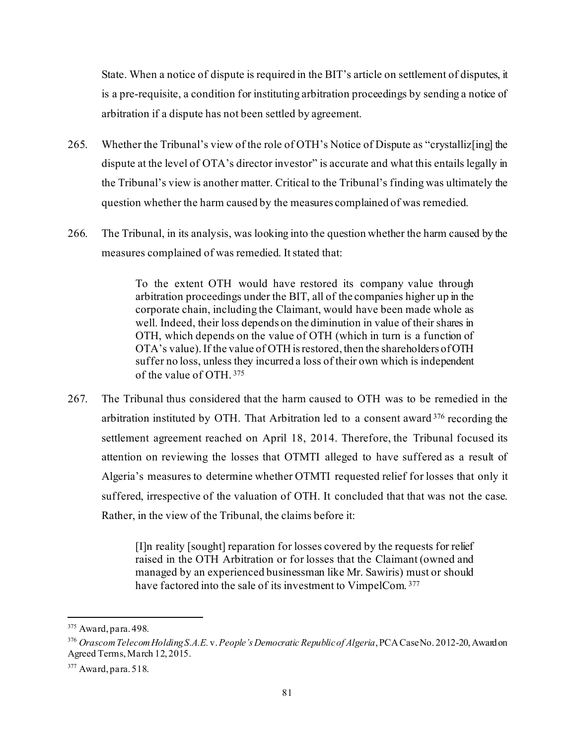State. When a notice of dispute is required in the BIT's article on settlement of disputes, it is a pre-requisite, a condition for instituting arbitration proceedings by sending a notice of arbitration if a dispute has not been settled by agreement.

- 265. Whether the Tribunal's view of the role of OTH's Notice of Dispute as "crystalliz[ing] the dispute at the level of OTA's director investor" is accurate and what this entails legally in the Tribunal's view is another matter. Critical to the Tribunal's finding was ultimately the question whether the harm caused by the measures complained of was remedied.
- 266. The Tribunal, in its analysis, was looking into the question whether the harm caused by the measures complained of was remedied. It stated that:

To the extent OTH would have restored its company value through arbitration proceedings under the BIT, all of the companies higher up in the corporate chain, including the Claimant, would have been made whole as well. Indeed, their loss depends on the diminution in value of their shares in OTH, which depends on the value of OTH (which in turn is a function of OTA's value). If the value of OTH is restored, then the shareholders of OTH suffer no loss, unless they incurred a loss of their own which is independent of the value of OTH. [375](#page-87-0)

267. The Tribunal thus considered that the harm caused to OTH was to be remedied in the arbitration instituted by OTH. That Arbitration led to a consent award [376](#page-87-1) recording the settlement agreement reached on April 18, 2014. Therefore, the Tribunal focused its attention on reviewing the losses that OTMTI alleged to have suffered as a result of Algeria's measures to determine whether OTMTI requested relief for losses that only it suffered, irrespective of the valuation of OTH. It concluded that that was not the case. Rather, in the view of the Tribunal, the claims before it:

> [I]n reality [sought] reparation for losses covered by the requests for relief raised in the OTH Arbitration or for losses that the Claimant (owned and managed by an experienced businessman like Mr. Sawiris) must or should have factored into the sale of its investment to VimpelCom.<sup>[377](#page-87-2)</sup>

<span id="page-87-0"></span><sup>375</sup> Award, para. 498.

<span id="page-87-1"></span><sup>376</sup> *Orascom Telecom Holding S.A.E.* v. *People's Democratic Republic of Algeria*, PCA Case No. 2012-20, Award on Agreed Terms, March 12, 2015.

<span id="page-87-2"></span> $377$  Award, para. 518.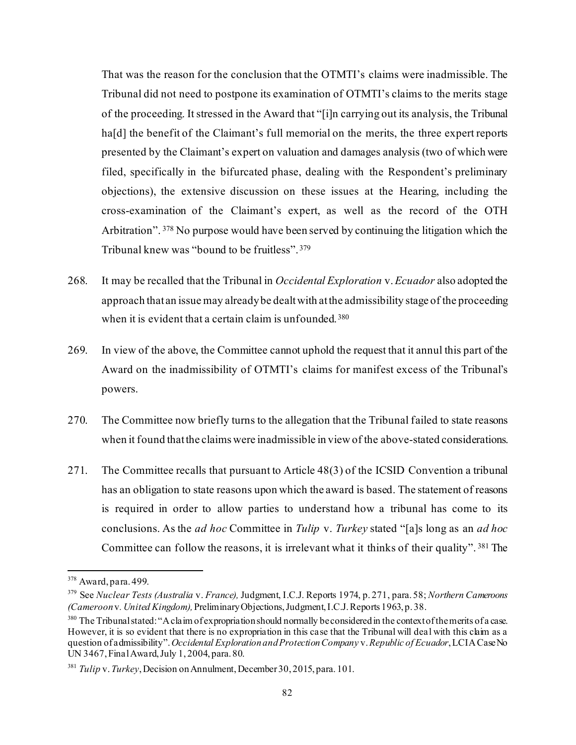That was the reason for the conclusion that the OTMTI's claims were inadmissible. The Tribunal did not need to postpone its examination of OTMTI's claims to the merits stage of the proceeding. It stressed in the Award that "[i]n carrying out its analysis, the Tribunal ha<sup>[d]</sup> the benefit of the Claimant's full memorial on the merits, the three expert reports presented by the Claimant's expert on valuation and damages analysis (two of which were filed, specifically in the bifurcated phase, dealing with the Respondent's preliminary objections), the extensive discussion on these issues at the Hearing, including the cross-examination of the Claimant's expert, as well as the record of the OTH Arbitration". [378](#page-88-0) No purpose would have been served by continuing the litigation which the Tribunal knew was "bound to be fruitless". [379](#page-88-1)

- 268. It may be recalled that the Tribunal in *Occidental Exploration* v. *Ecuador* also adopted the approach that an issue may already be dealt with at the admissibility stage of the proceeding when it is evident that a certain claim is unfounded.<sup>[380](#page-88-2)</sup>
- 269. In view of the above, the Committee cannot uphold the request that it annul this part of the Award on the inadmissibility of OTMTI's claims for manifest excess of the Tribunal's powers.
- 270. The Committee now briefly turns to the allegation that the Tribunal failed to state reasons when it found that the claims were inadmissible in view of the above-stated considerations.
- 271. The Committee recalls that pursuant to Article 48(3) of the ICSID Convention a tribunal has an obligation to state reasons upon which the award is based. The statement of reasons is required in order to allow parties to understand how a tribunal has come to its conclusions. As the *ad hoc* Committee in *Tulip* v. *Turkey* stated "[a]s long as an *ad hoc*  Committee can follow the reasons, it is irrelevant what it thinks of their quality". [381](#page-88-3) The

<span id="page-88-0"></span><sup>378</sup> Award, para. 499.

<span id="page-88-1"></span><sup>379</sup> See *Nuclear Tests (Australia* v. *France),* Judgment, I.C.J. Reports 1974, p. 271, para. 58; *Northern Cameroons (Cameroon* v*. United Kingdom),* Preliminary Objections, Judgment, I.C.J. Reports 1963, p. 38.

<span id="page-88-2"></span><sup>&</sup>lt;sup>380</sup> The Tribunal stated: "A claim of expropriation should normally be considered in the context of the merits of a case. However, it is so evident that there is no expropriation in this case that the Tribunal will deal with this chim as a question of admissibility". *Occidental Exploration and Protection Company* v. *Republic of Ecuador*, LCIA Case No UN 3467, Final Award, July 1, 2004, para. 80.

<span id="page-88-3"></span><sup>381</sup> *Tulip* v. *Turkey*, Decision on Annulment, December 30, 2015, para. 101.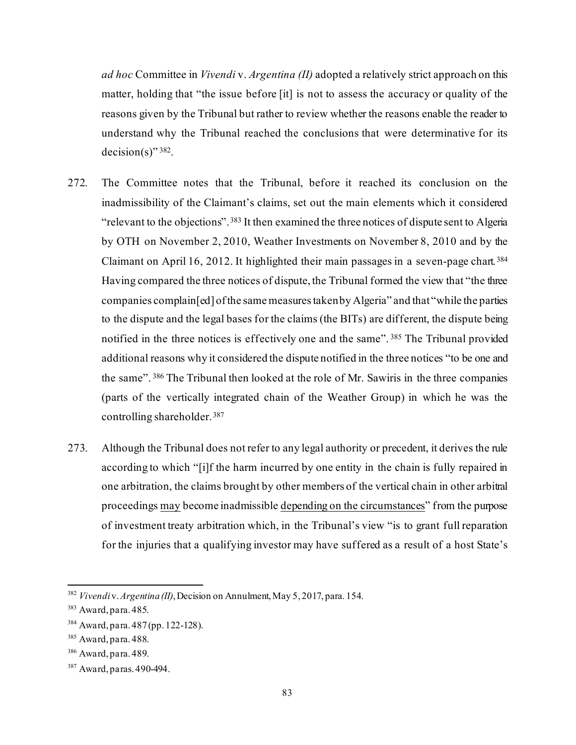*ad hoc* Committee in *Vivendi* v. *Argentina (II)* adopted a relatively strict approach on this matter, holding that "the issue before [it] is not to assess the accuracy or quality of the reasons given by the Tribunal but rather to review whether the reasons enable the reader to understand why the Tribunal reached the conclusions that were determinative for its  $decision(s)$ " [382.](#page-89-0)

- 272. The Committee notes that the Tribunal, before it reached its conclusion on the inadmissibility of the Claimant's claims, set out the main elements which it considered "relevant to the objections".<sup>[383](#page-89-1)</sup> It then examined the three notices of dispute sent to Algeria by OTH on November 2, 2010, Weather Investments on November 8, 2010 and by the Claimant on April 16, 2012. It highlighted their main passages in a seven-page chart.<sup>[384](#page-89-2)</sup> Having compared the three notices of dispute, the Tribunal formed the view that "the three companies complain[ed] of the same measures taken by Algeria" and that "while the parties to the dispute and the legal bases for the claims (the BITs) are different, the dispute being notified in the three notices is effectively one and the same".<sup>[385](#page-89-3)</sup> The Tribunal provided additional reasons why it considered the dispute notified in the three notices "to be one and the same". [386](#page-89-4) The Tribunal then looked at the role of Mr. Sawiris in the three companies (parts of the vertically integrated chain of the Weather Group) in which he was the controlling shareholder. [387](#page-89-5)
- 273. Although the Tribunal does not refer to any legal authority or precedent, it derives the rule according to which "[i]f the harm incurred by one entity in the chain is fully repaired in one arbitration, the claims brought by other members of the vertical chain in other arbitral proceedings may become inadmissible depending on the circumstances" from the purpose of investment treaty arbitration which, in the Tribunal's view "is to grant full reparation for the injuries that a qualifying investor may have suffered as a result of a host State's

<span id="page-89-0"></span><sup>382</sup> *Vivendi* v.*Argentina(II)*, Decision on Annulment, May 5, 2017, para. 154.

<span id="page-89-1"></span> $383$  Award, para. 485.

<span id="page-89-2"></span><sup>384</sup> Award, para. 487 (pp. 122-128).

<span id="page-89-3"></span><sup>385</sup> Award, para. 488.

<span id="page-89-4"></span><sup>386</sup> Award, para. 489.

<span id="page-89-5"></span><sup>387</sup> Award, paras. 490-494.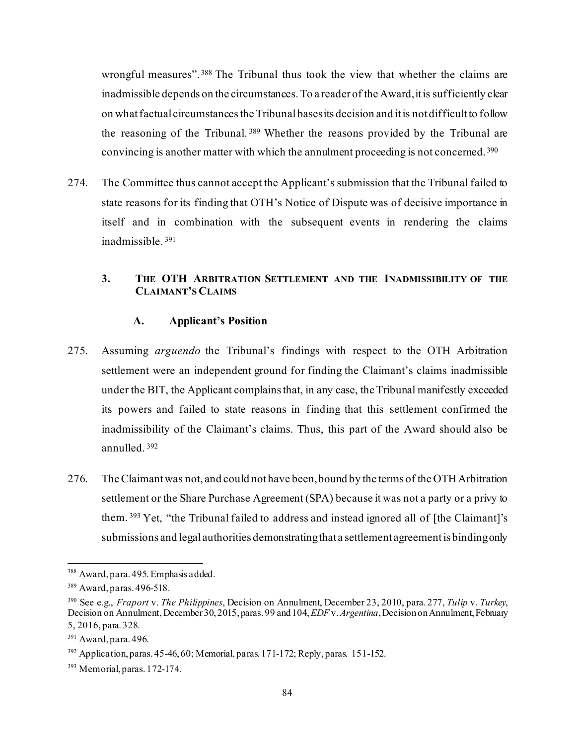wrongful measures".<sup>[388](#page-90-0)</sup> The Tribunal thus took the view that whether the claims are inadmissible depends on the circumstances. To a reader of the Award, it is sufficiently clear on what factual circumstances the Tribunal bases its decision and it is not difficult to follow the reasoning of the Tribunal. [389](#page-90-1) Whether the reasons provided by the Tribunal are convincing is another matter with which the annulment proceeding is not concerned. [390](#page-90-2)

274. The Committee thus cannot accept the Applicant's submission that the Tribunal failed to state reasons for its finding that OTH's Notice of Dispute was of decisive importance in itself and in combination with the subsequent events in rendering the claims inadmissible. [391](#page-90-3)

### **3. THE OTH ARBITRATION SETTLEMENT AND THE INADMISSIBILITY OF THE CLAIMANT'S CLAIMS**

### **A. Applicant's Position**

- 275. Assuming *arguendo* the Tribunal's findings with respect to the OTH Arbitration settlement were an independent ground for finding the Claimant's claims inadmissible under the BIT, the Applicant complains that, in any case, the Tribunal manifestly exceeded its powers and failed to state reasons in finding that this settlement confirmed the inadmissibility of the Claimant's claims. Thus, this part of the Award should also be annulled. [392](#page-90-4)
- 276. The Claimantwas not, and could not have been,bound by the terms of the OTH Arbitration settlement or the Share Purchase Agreement (SPA) because it was not a party or a privy to them. [393](#page-90-5) Yet, "the Tribunal failed to address and instead ignored all of [the Claimant]'s submissions and legal authorities demonstrating that a settlement agreement is binding only

<span id="page-90-0"></span><sup>388</sup> Award, para. 495. Emphasis added.

<span id="page-90-1"></span><sup>389</sup> Award, paras. 496-518.

<span id="page-90-2"></span><sup>390</sup> See e.g., *Fraport* v. *The Philippines*, Decision on Annulment, December 23, 2010, para. 277, *Tulip* v. *Turkey*, Decision on Annulment, December 30, 2015, paras. 99 and 104, *EDF* v.*Argentina*, Decision on Annulment, February 5, 2016, para. 328.

<span id="page-90-3"></span> $391$  Award, para. 496.

<span id="page-90-4"></span> $392$  Application, paras. 45-46, 60; Memorial, paras. 171-172; Reply, paras. 151-152.

<span id="page-90-5"></span><sup>393</sup> Memorial, paras. 172-174.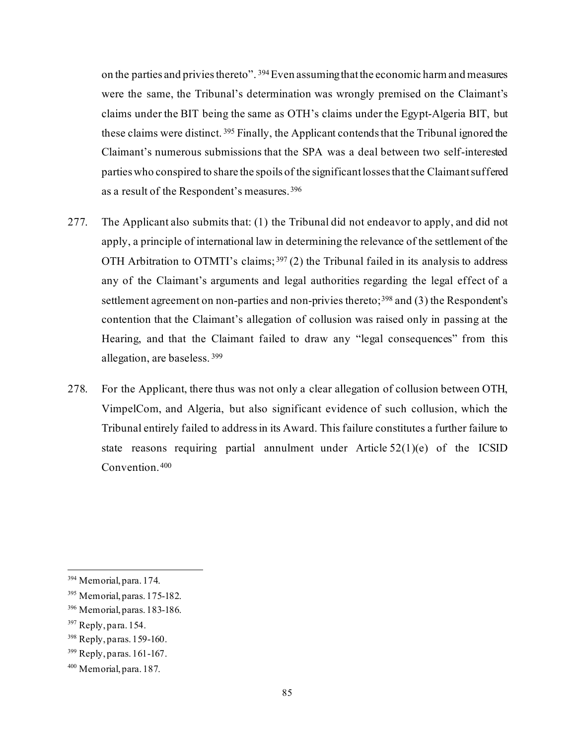on the parties and privies thereto". <sup>[394](#page-91-0)</sup> Even assuming that the economic harm and measures were the same, the Tribunal's determination was wrongly premised on the Claimant's claims under the BIT being the same as OTH's claims under the Egypt-Algeria BIT, but these claims were distinct. [395](#page-91-1) Finally, the Applicant contends that the Tribunal ignored the Claimant's numerous submissions that the SPA was a deal between two self-interested parties who conspired to share the spoils of the significant losses that the Claimantsuffered as a result of the Respondent's measures.<sup>[396](#page-91-2)</sup>

- 277. The Applicant also submits that: (1) the Tribunal did not endeavor to apply, and did not apply, a principle of international law in determining the relevance of the settlement of the OTH Arbitration to OTMTI's claims;  $397(2)$  $397(2)$  the Tribunal failed in its analysis to address any of the Claimant's arguments and legal authorities regarding the legal effect of a settlement agreement on non-parties and non-privies thereto;<sup>[398](#page-91-4)</sup> and  $(3)$  the Respondent's contention that the Claimant's allegation of collusion was raised only in passing at the Hearing, and that the Claimant failed to draw any "legal consequences" from this allegation, are baseless. [399](#page-91-5)
- 278. For the Applicant, there thus was not only a clear allegation of collusion between OTH, VimpelCom, and Algeria, but also significant evidence of such collusion, which the Tribunal entirely failed to address in its Award. This failure constitutes a further failure to state reasons requiring partial annulment under Article  $52(1)(e)$  of the ICSID Convention. [400](#page-91-6)

<span id="page-91-0"></span><sup>394</sup> Memorial, para. 174.

<span id="page-91-1"></span><sup>395</sup> Memorial, paras. 175-182.

<span id="page-91-2"></span><sup>396</sup> Memorial, paras. 183-186.

<span id="page-91-3"></span> $397$  Reply, para. 154.

<span id="page-91-4"></span><sup>398</sup> Reply, paras. 159-160.

<span id="page-91-5"></span><sup>399</sup> Reply, paras. 161-167.

<span id="page-91-6"></span><sup>400</sup> Memorial, para. 187.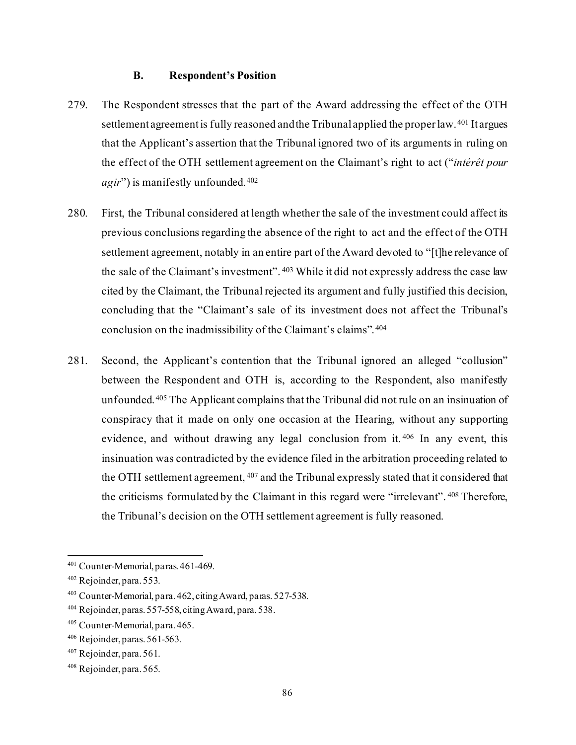#### **B. Respondent's Position**

- 279. The Respondent stresses that the part of the Award addressing the effect of the OTH settlement agreementis fully reasoned and the Tribunal applied the properlaw. [401](#page-92-0) It argues that the Applicant's assertion that the Tribunal ignored two of its arguments in ruling on the effect of the OTH settlement agreement on the Claimant's right to act ("*intérêt pour agir*") is manifestly unfounded. [402](#page-92-1)
- 280. First, the Tribunal considered at length whether the sale of the investment could affect its previous conclusions regarding the absence of the right to act and the effect of the OTH settlement agreement, notably in an entire part of the Award devoted to "[t]he relevance of the sale of the Claimant's investment".  $403$  While it did not expressly address the case law cited by the Claimant, the Tribunal rejected its argument and fully justified this decision, concluding that the "Claimant's sale of its investment does not affect the Tribunal's conclusion on the inadmissibility of the Claimant's claims". [404](#page-92-3)
- 281. Second, the Applicant's contention that the Tribunal ignored an alleged "collusion" between the Respondent and OTH is, according to the Respondent, also manifestly unfounded. [405](#page-92-4) The Applicant complains that the Tribunal did not rule on an insinuation of conspiracy that it made on only one occasion at the Hearing, without any supporting evidence, and without drawing any legal conclusion from it. [406](#page-92-5) In any event, this insinuation was contradicted by the evidence filed in the arbitration proceeding related to the OTH settlement agreement, [407](#page-92-6) and the Tribunal expressly stated that it considered that the criticisms formulated by the Claimant in this regard were "irrelevant". [408](#page-92-7) Therefore, the Tribunal's decision on the OTH settlement agreement is fully reasoned.

<span id="page-92-0"></span><sup>401</sup> Counter-Memorial, paras. 461-469.

<span id="page-92-1"></span><sup>&</sup>lt;sup>402</sup> Rejoinder, para. 553.

<span id="page-92-2"></span><sup>403</sup> Counter-Memorial, para. 462, citing Award, paras. 527-538.

<span id="page-92-3"></span> $404$  Rejoinder, paras. 557-558, citing Award, para. 538.

<span id="page-92-4"></span><sup>405</sup> Counter-Memorial, para. 465.

<span id="page-92-5"></span> $406$  Rejoinder, paras. 561-563.

<span id="page-92-6"></span> $407$  Rejoinder, para. 561.

<span id="page-92-7"></span><sup>&</sup>lt;sup>408</sup> Rejoinder, para. 565.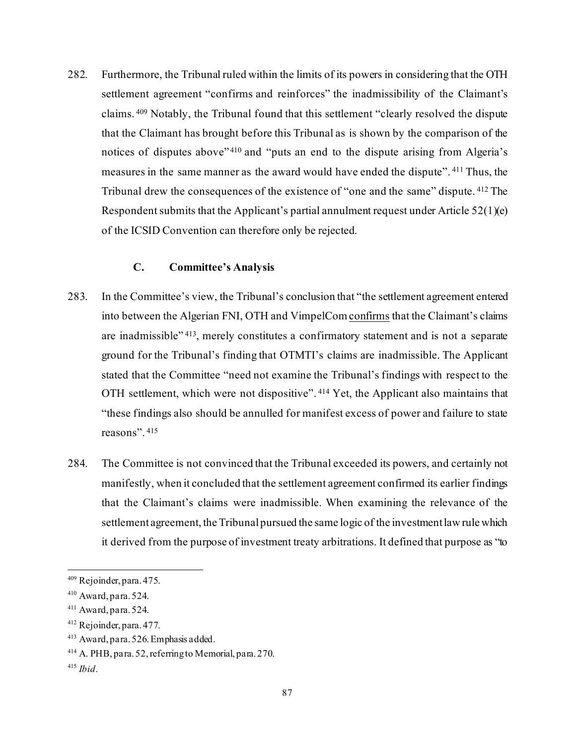282. Furthermore, the Tribunal ruled within the limits of its powers in considering that the OTH settlement agreement "confirms and reinforces" the inadmissibility of the Claimant's claims. [409](#page-93-0) Notably, the Tribunal found that this settlement "clearly resolved the dispute that the Claimant has brought before this Tribunal as is shown by the comparison of the notices of disputes above"<sup>[410](#page-93-1)</sup> and "puts an end to the dispute arising from Algeria's measures in the same manner as the award would have ended the dispute". [411](#page-93-2) Thus, the Tribunal drew the consequences of the existence of "one and the same" dispute. [412](#page-93-3) The Respondent submits that the Applicant's partial annulment request under Article 52(1)(e) of the ICSID Convention can therefore only be rejected.

### **C. Committee's Analysis**

- 283. In the Committee's view, the Tribunal's conclusion that "the settlement agreement entered into between the Algerian FNI, OTH and VimpelCom confirms that the Claimant's claims are inadmissible"<sup>413</sup>, merely constitutes a confirmatory statement and is not a separate ground for the Tribunal's finding that OTMTI's claims are inadmissible. The Applicant stated that the Committee "need not examine the Tribunal's findings with respect to the OTH settlement, which were not dispositive". [414](#page-93-5) Yet, the Applicant also maintains that "these findings also should be annulled for manifest excess of power and failure to state reasons". [415](#page-93-6)
- 284. The Committee is not convinced that the Tribunal exceeded its powers, and certainly not manifestly, when it concluded that the settlement agreement confirmed its earlier findings that the Claimant's claims were inadmissible. When examining the relevance of the settlement agreement, the Tribunal pursued the same logic of the investment law rule which it derived from the purpose of investment treaty arbitrations. It defined that purpose as "to

<span id="page-93-0"></span><sup>409</sup> Rejoinder, para. 475.

<span id="page-93-1"></span> $410$  Award, para. 524.

<span id="page-93-2"></span> $411$  Award, para. 524.

<span id="page-93-3"></span><sup>412</sup> Rejoinder, para. 477.

<span id="page-93-4"></span><sup>413</sup> Award, para. 526.Emphasis added.

<span id="page-93-5"></span><sup>414</sup> A. PHB, para. 52, referring to Memorial, para. 270.

<span id="page-93-6"></span><sup>415</sup> *Ibid*.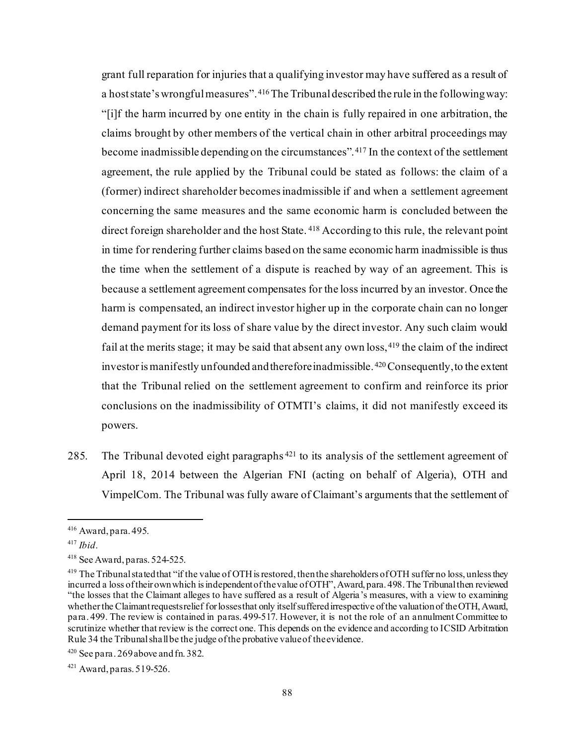grant full reparation for injuries that a qualifying investor may have suffered as a result of a host state's wrongful measures". <sup>[416](#page-94-0)</sup> The Tribunal described the rule in the following way: "[i]f the harm incurred by one entity in the chain is fully repaired in one arbitration, the claims brought by other members of the vertical chain in other arbitral proceedings may become inadmissible depending on the circumstances".[417](#page-94-1) In the context of the settlement agreement, the rule applied by the Tribunal could be stated as follows: the claim of a (former) indirect shareholder becomes inadmissible if and when a settlement agreement concerning the same measures and the same economic harm is concluded between the direct foreign shareholder and the host State. <sup>[418](#page-94-2)</sup> According to this rule, the relevant point in time for rendering further claims based on the same economic harm inadmissible is thus the time when the settlement of a dispute is reached by way of an agreement. This is because a settlement agreement compensates for the loss incurred by an investor. Once the harm is compensated, an indirect investor higher up in the corporate chain can no longer demand payment for its loss of share value by the direct investor. Any such claim would fail at the merits stage; it may be said that absent any own loss, <sup>[419](#page-94-3)</sup> the claim of the indirect investor is manifestly unfounded and therefore inadmissible.  $420$  Consequently, to the extent that the Tribunal relied on the settlement agreement to confirm and reinforce its prior conclusions on the inadmissibility of OTMTI's claims, it did not manifestly exceed its powers.

285. The Tribunal devoted eight paragraphs [421](#page-94-5) to its analysis of the settlement agreement of April 18, 2014 between the Algerian FNI (acting on behalf of Algeria), OTH and VimpelCom. The Tribunal was fully aware of Claimant's arguments that the settlement of

<span id="page-94-0"></span><sup>416</sup> Award, para. 495.

<span id="page-94-1"></span><sup>417</sup> *Ibid*.

<span id="page-94-2"></span><sup>418</sup> See Award, paras. 524-525.

<span id="page-94-3"></span><sup>&</sup>lt;sup>419</sup> The Tribunal stated that "if the value of OTH is restored, then the shareholders of OTH suffer no loss, unless they incurred a loss of their own which is independent of the value of OTH", Award, para. 498. The Tribunal then reviewed "the losses that the Claimant alleges to have suffered as a result of Algeria's measures, with a view to examining whether the Claimant requests relief for losses that only itself suffered irrespective of the valuation of the OTH, Award, para. 499. The review is contained in paras. 499-517. However, it is not the role of an annulment Committee to scrutinize whether that review is the correct one. This depends on the evidence and according to ICSID Arbitration Rule 34 the Tribunal shall be the judge of the probative value of the evidence.

<span id="page-94-4"></span> $420$  See para. 269 above and fn. 382.

<span id="page-94-5"></span> $421$  Award, paras. 519-526.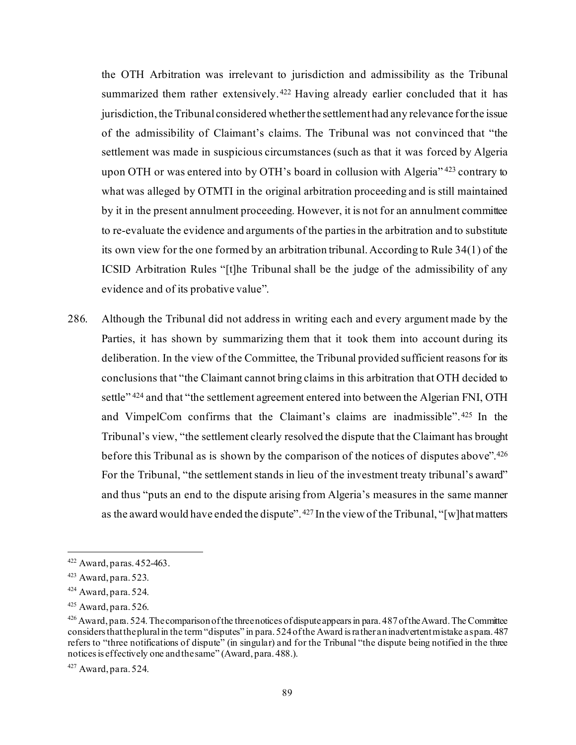the OTH Arbitration was irrelevant to jurisdiction and admissibility as the Tribunal summarized them rather extensively.<sup>[422](#page-95-0)</sup> Having already earlier concluded that it has jurisdiction, the Tribunal considered whether the settlement had any relevance for the issue of the admissibility of Claimant's claims. The Tribunal was not convinced that "the settlement was made in suspicious circumstances (such as that it was forced by Algeria upon OTH or was entered into by OTH's board in collusion with Algeria" [423](#page-95-1) contrary to what was alleged by OTMTI in the original arbitration proceeding and is still maintained by it in the present annulment proceeding. However, it is not for an annulment committee to re-evaluate the evidence and arguments of the parties in the arbitration and to substitute its own view for the one formed by an arbitration tribunal. According to Rule 34(1) of the ICSID Arbitration Rules "[t]he Tribunal shall be the judge of the admissibility of any evidence and of its probative value".

286. Although the Tribunal did not address in writing each and every argument made by the Parties, it has shown by summarizing them that it took them into account during its deliberation. In the view of the Committee, the Tribunal provided sufficient reasons for its conclusions that "the Claimant cannot bring claims in this arbitration that OTH decided to settle" [424](#page-95-2) and that "the settlement agreement entered into between the Algerian FNI, OTH and VimpelCom confirms that the Claimant's claims are inadmissible".[425](#page-95-3) In the Tribunal's view, "the settlement clearly resolved the dispute that the Claimant has brought before this Tribunal as is shown by the comparison of the notices of disputes above".<sup>[426](#page-95-4)</sup> For the Tribunal, "the settlement stands in lieu of the investment treaty tribunal's award" and thus "puts an end to the dispute arising from Algeria's measures in the same manner as the award would have ended the dispute".  $427$  In the view of the Tribunal, "[w]hat matters

<span id="page-95-0"></span><sup>422</sup> Award, paras. 452-463.

<span id="page-95-1"></span> $423$  Award, para. 523.

<span id="page-95-2"></span> $424$  Award, para. 524.

<span id="page-95-3"></span> $425$  Award, para. 526.

<span id="page-95-4"></span> $426$  Award, para. 524. The comparison of the three notices of dispute appears in para. 487 of the Award. The Committee considers that the plural in the term "disputes" in para. 524 of the Award is rather an inadvertent mistake as para. 487 refers to "three notifications of dispute" (in singular) and for the Tribunal "the dispute being notified in the three notices is effectively one and the same" (Award, para. 488.).

<span id="page-95-5"></span> $427$  Award, para. 524.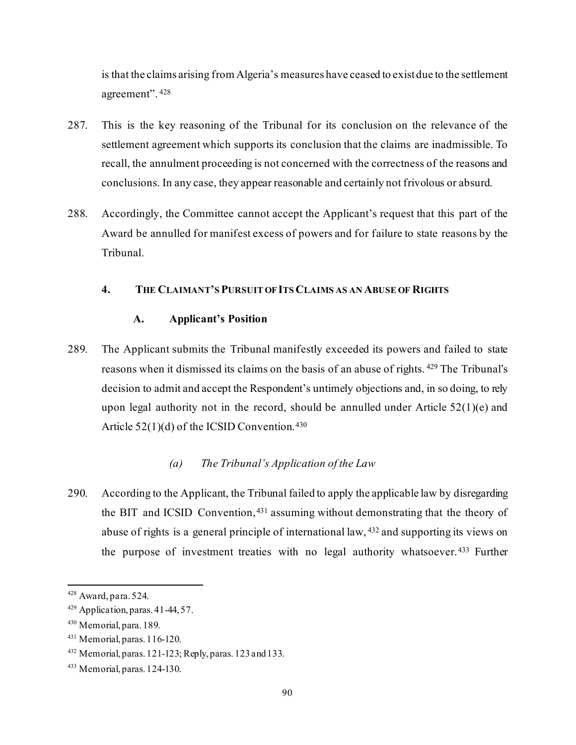is that the claims arising from Algeria's measures have ceased to exist due to the settlement agreement". [428](#page-96-0)

- 287. This is the key reasoning of the Tribunal for its conclusion on the relevance of the settlement agreement which supports its conclusion that the claims are inadmissible. To recall, the annulment proceeding is not concerned with the correctness of the reasons and conclusions. In any case, they appear reasonable and certainly not frivolous or absurd.
- 288. Accordingly, the Committee cannot accept the Applicant's request that this part of the Award be annulled for manifest excess of powers and for failure to state reasons by the Tribunal.

## **4. THE CLAIMANT'S PURSUIT OF ITS CLAIMS AS AN ABUSE OF RIGHTS**

### **A. Applicant's Position**

289. The Applicant submits the Tribunal manifestly exceeded its powers and failed to state reasons when it dismissed its claims on the basis of an abuse of rights. [429](#page-96-1) The Tribunal's decision to admit and accept the Respondent's untimely objections and, in so doing, to rely upon legal authority not in the record, should be annulled under Article  $52(1)(e)$  and Article 52(1)(d) of the ICSID Convention. [430](#page-96-2)

# *(a) The Tribunal's Application of the Law*

290. According to the Applicant, the Tribunal failed to apply the applicable law by disregarding the BIT and ICSID Convention, [431](#page-96-3) assuming without demonstrating that the theory of abuse of rights is a general principle of international law, [432](#page-96-4) and supporting its views on the purpose of investment treaties with no legal authority whatsoever. [433](#page-96-5) Further

<span id="page-96-0"></span> $428$  Award, para. 524.

<span id="page-96-1"></span> $429$  Application, paras. 41-44, 57.

<span id="page-96-2"></span><sup>430</sup> Memorial, para. 189.

<span id="page-96-3"></span><sup>431</sup> Memorial, paras. 116-120.

<span id="page-96-4"></span><sup>432</sup> Memorial, paras. 121-123; Reply, paras. 123 and 133.

<span id="page-96-5"></span><sup>433</sup> Memorial, paras. 124-130.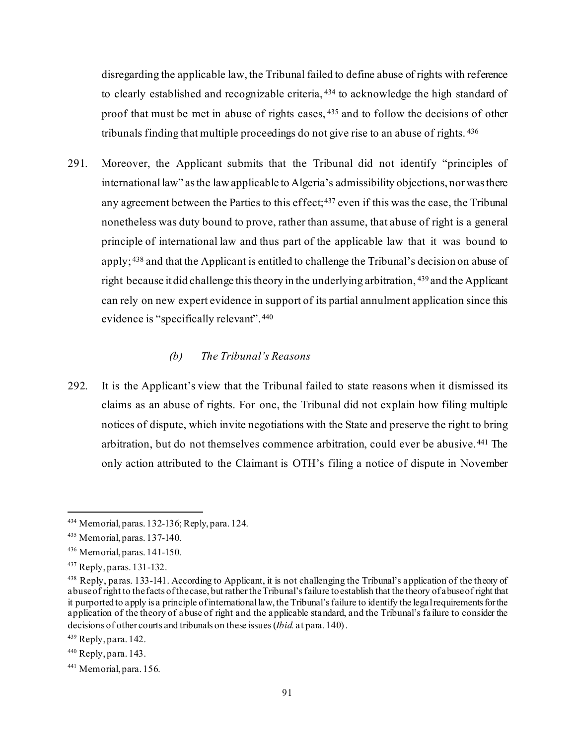disregarding the applicable law, the Tribunal failed to define abuse of rights with reference to clearly established and recognizable criteria, [434](#page-97-0) to acknowledge the high standard of proof that must be met in abuse of rights cases, [435](#page-97-1) and to follow the decisions of other tribunals finding that multiple proceedings do not give rise to an abuse of rights. [436](#page-97-2)

291. Moreover, the Applicant submits that the Tribunal did not identify "principles of international law" as the law applicable to Algeria's admissibility objections, nor was there any agreement between the Parties to this effect;  $437$  even if this was the case, the Tribunal nonetheless was duty bound to prove, rather than assume, that abuse of right is a general principle of international law and thus part of the applicable law that it was bound to apply; [438](#page-97-4) and that the Applicant is entitled to challenge the Tribunal's decision on abuse of right because it did challenge this theory in the underlying arbitration, [439](#page-97-5) and the Applicant can rely on new expert evidence in support of its partial annulment application since this evidence is "specifically relevant".[440](#page-97-6)

### *(b) The Tribunal's Reasons*

292. It is the Applicant's view that the Tribunal failed to state reasons when it dismissed its claims as an abuse of rights. For one, the Tribunal did not explain how filing multiple notices of dispute, which invite negotiations with the State and preserve the right to bring arbitration, but do not themselves commence arbitration, could ever be abusive. [441](#page-97-7) The only action attributed to the Claimant is OTH's filing a notice of dispute in November

<span id="page-97-0"></span><sup>434</sup> Memorial, paras. 132-136; Reply, para. 124.

<span id="page-97-1"></span><sup>435</sup> Memorial, paras. 137-140.

<span id="page-97-2"></span><sup>436</sup> Memorial, paras. 141-150.

<span id="page-97-3"></span><sup>437</sup> Reply, paras. 131-132.

<span id="page-97-4"></span><sup>438</sup> Reply, paras. 133-141. According to Applicant, it is not challenging the Tribunal's application of the theory of abuse of right to the facts of the case, but rather the Tribunal's failure to establish that the theory of abuse of right that it purported to apply is a principle of international law, the Tribunal's failure to identify the legal requirements for the application of the theory of abuse of right and the applicable standard, and the Tribunal's failure to consider the decisions of other courts and tribunals on these issues (*Ibid.* at para. 140) .

<span id="page-97-5"></span> $439$  Reply, para. 142.

<span id="page-97-6"></span><sup>440</sup> Reply, para. 143.

<span id="page-97-7"></span><sup>441</sup> Memorial, para. 156.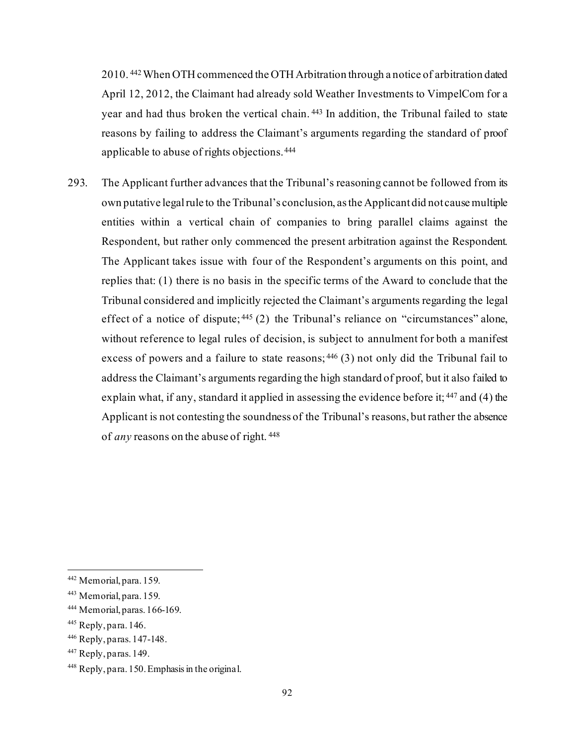2010. [442](#page-98-0)When OTH commenced the OTH Arbitration through a notice of arbitration dated April 12, 2012, the Claimant had already sold Weather Investments to VimpelCom for a year and had thus broken the vertical chain.<sup>[443](#page-98-1)</sup> In addition, the Tribunal failed to state reasons by failing to address the Claimant's arguments regarding the standard of proof applicable to abuse of rights objections. [444](#page-98-2)

293. The Applicant further advances that the Tribunal's reasoning cannot be followed from its own putative legal rule to the Tribunal's conclusion, as the Applicant did not cause multiple entities within a vertical chain of companies to bring parallel claims against the Respondent, but rather only commenced the present arbitration against the Respondent. The Applicant takes issue with four of the Respondent's arguments on this point, and replies that: (1) there is no basis in the specific terms of the Award to conclude that the Tribunal considered and implicitly rejected the Claimant's arguments regarding the legal effect of a notice of dispute;<sup>[445](#page-98-3)</sup> (2) the Tribunal's reliance on "circumstances" alone, without reference to legal rules of decision, is subject to annulment for both a manifest excess of powers and a failure to state reasons;<sup>[446](#page-98-4)</sup> (3) not only did the Tribunal fail to address the Claimant's arguments regarding the high standard of proof, but it also failed to explain what, if any, standard it applied in assessing the evidence before it;  $447$  and (4) the Applicant is not contesting the soundness of the Tribunal's reasons, but rather the absence of *any* reasons on the abuse of right. [448](#page-98-6)

<span id="page-98-0"></span><sup>442</sup> Memorial, para. 159.

<span id="page-98-1"></span><sup>443</sup> Memorial, para. 159.

<span id="page-98-2"></span><sup>444</sup> Memorial, paras. 166-169.

<span id="page-98-3"></span> $445$  Reply, para. 146.

<span id="page-98-4"></span><sup>446</sup> Reply, paras. 147-148.

<span id="page-98-5"></span> $447$  Reply, paras. 149.

<span id="page-98-6"></span><sup>448</sup> Reply, para. 150. Emphasis in the original.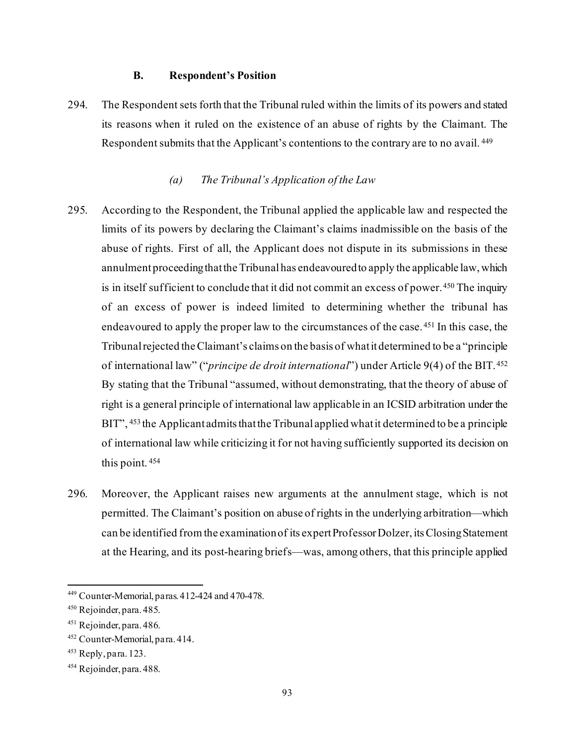#### **B. Respondent's Position**

294. The Respondent sets forth that the Tribunal ruled within the limits of its powers and stated its reasons when it ruled on the existence of an abuse of rights by the Claimant. The Respondent submits that the Applicant's contentions to the contrary are to no avail. <sup>[449](#page-99-0)</sup>

### *(a) The Tribunal's Application of the Law*

- 295. According to the Respondent, the Tribunal applied the applicable law and respected the limits of its powers by declaring the Claimant's claims inadmissible on the basis of the abuse of rights. First of all, the Applicant does not dispute in its submissions in these annulment proceeding that the Tribunal has endeavoured to apply the applicable law, which is in itself sufficient to conclude that it did not commit an excess of power. [450](#page-99-1) The inquiry of an excess of power is indeed limited to determining whether the tribunal has endeavoured to apply the proper law to the circumstances of the case. [451](#page-99-2) In this case, the Tribunal rejected the Claimant's claims on the basis of what it determined to be a "principle of international law" ("*principe de droit international*") under Article 9(4) of the BIT.[452](#page-99-3) By stating that the Tribunal "assumed, without demonstrating, that the theory of abuse of right is a general principle of international law applicable in an ICSID arbitration under the BIT", <sup>[453](#page-99-4)</sup> the Applicant admits that the Tribunal applied what it determined to be a principle of international law while criticizing it for not having sufficiently supported its decision on this point. [454](#page-99-5)
- 296. Moreover, the Applicant raises new arguments at the annulment stage, which is not permitted. The Claimant's position on abuse of rights in the underlying arbitration—which can be identified from the examination of its expert Professor Dolzer, its Closing Statement at the Hearing, and its post-hearing briefs—was, among others, that this principle applied

<span id="page-99-0"></span><sup>449</sup> Counter-Memorial, paras. 412-424 and 470-478.

<span id="page-99-1"></span><sup>450</sup> Rejoinder, para. 485.

<span id="page-99-2"></span><sup>451</sup> Rejoinder, para. 486.

<span id="page-99-3"></span><sup>452</sup> Counter-Memorial, para. 414.

<span id="page-99-4"></span><sup>453</sup> Reply, para. 123.

<span id="page-99-5"></span><sup>454</sup> Rejoinder, para. 488.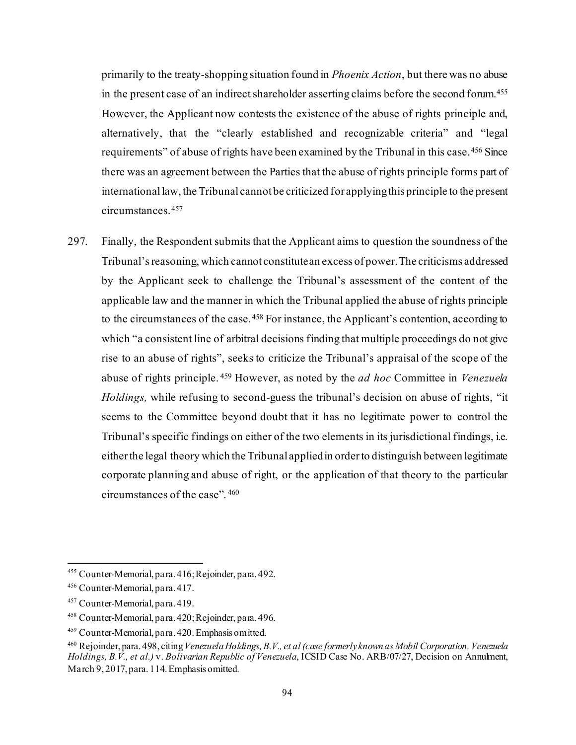primarily to the treaty-shopping situation found in *Phoenix Action*, but there was no abuse in the present case of an indirect shareholder asserting claims before the second forum.[455](#page-100-0) However, the Applicant now contests the existence of the abuse of rights principle and, alternatively, that the "clearly established and recognizable criteria" and "legal requirements" of abuse of rights have been examined by the Tribunal in this case.<sup>[456](#page-100-1)</sup> Since there was an agreement between the Parties that the abuse of rights principle forms part of international law, the Tribunal cannotbe criticized for applying this principle to the present circumstances.[457](#page-100-2)

297. Finally, the Respondent submits that the Applicant aims to question the soundness of the Tribunal's reasoning, which cannot constitute an excess of power. The criticisms addressed by the Applicant seek to challenge the Tribunal's assessment of the content of the applicable law and the manner in which the Tribunal applied the abuse of rights principle to the circumstances of the case.<sup>[458](#page-100-3)</sup> For instance, the Applicant's contention, according to which "a consistent line of arbitral decisions finding that multiple proceedings do not give rise to an abuse of rights", seeks to criticize the Tribunal's appraisal of the scope of the abuse of rights principle. [459](#page-100-4) However, as noted by the *ad hoc* Committee in *Venezuela Holdings,* while refusing to second-guess the tribunal's decision on abuse of rights, "it seems to the Committee beyond doubt that it has no legitimate power to control the Tribunal's specific findings on either of the two elements in its jurisdictional findings, i.e. either the legal theory which the Tribunal applied in order to distinguish between legitimate corporate planning and abuse of right, or the application of that theory to the particular circumstances of the case". [460](#page-100-5)

<span id="page-100-0"></span><sup>&</sup>lt;sup>455</sup> Counter-Memorial, para. 416; Rejoinder, para. 492.

<span id="page-100-1"></span><sup>456</sup> Counter-Memorial, para. 417.

<span id="page-100-2"></span><sup>457</sup> Counter-Memorial, para. 419.

<span id="page-100-3"></span><sup>458</sup> Counter-Memorial, para. 420; Rejoinder, para. 496.

<span id="page-100-4"></span><sup>459</sup> Counter-Memorial, para. 420.Emphasis omitted.

<span id="page-100-5"></span><sup>460</sup> Rejoinder, para. 498, citing *Venezuela Holdings, B.V., et al (case formerly known as Mobil Corporation, Venezuela Holdings, B.V., et al.)* v. *Bolivarian Republic of Venezuela*, ICSID Case No. ARB/07/27, Decision on Annulment, March 9, 2017, para. 114. Emphasis omitted.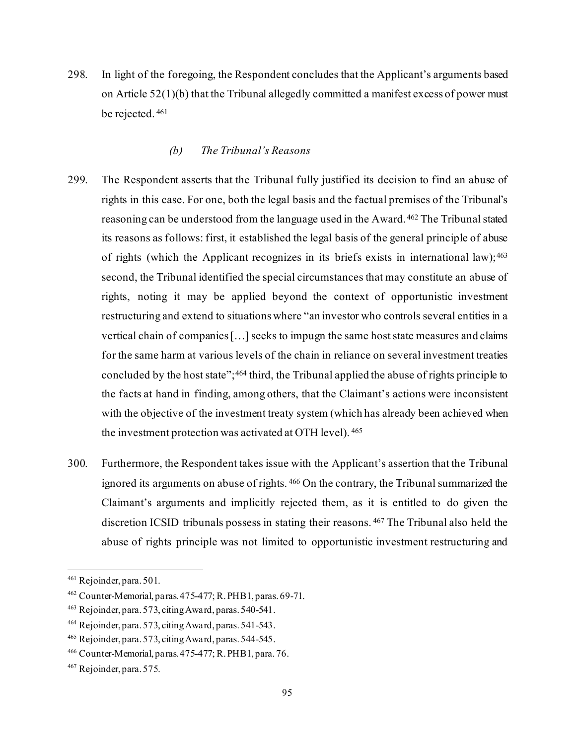298. In light of the foregoing, the Respondent concludes that the Applicant's arguments based on Article 52(1)(b) that the Tribunal allegedly committed a manifest excess of power must be rejected.  $461$ 

### *(b) The Tribunal's Reasons*

- 299. The Respondent asserts that the Tribunal fully justified its decision to find an abuse of rights in this case. For one, both the legal basis and the factual premises of the Tribunal's reasoning can be understood from the language used in the Award. [462](#page-101-1) The Tribunal stated its reasons as follows: first, it established the legal basis of the general principle of abuse of rights (which the Applicant recognizes in its briefs exists in international law);  $463$ second, the Tribunal identified the special circumstances that may constitute an abuse of rights, noting it may be applied beyond the context of opportunistic investment restructuring and extend to situations where "an investor who controls several entities in a vertical chain of companies […] seeks to impugn the same host state measures and claims for the same harm at various levels of the chain in reliance on several investment treaties concluded by the host state";<sup>[464](#page-101-3)</sup> third, the Tribunal applied the abuse of rights principle to the facts at hand in finding, among others, that the Claimant's actions were inconsistent with the objective of the investment treaty system (which has already been achieved when the investment protection was activated at OTH level). [465](#page-101-4)
- 300. Furthermore, the Respondent takes issue with the Applicant's assertion that the Tribunal ignored its arguments on abuse of rights. [466](#page-101-5) On the contrary, the Tribunal summarized the Claimant's arguments and implicitly rejected them, as it is entitled to do given the discretion ICSID tribunals possess in stating their reasons. [467](#page-101-6) The Tribunal also held the abuse of rights principle was not limited to opportunistic investment restructuring and

<span id="page-101-0"></span><sup>461</sup> Rejoinder, para. 501.

<span id="page-101-1"></span><sup>462</sup> Counter-Memorial, paras. 475-477; R. PHB1, paras. 69-71.

<span id="page-101-2"></span><sup>463</sup> Rejoinder, para. 573, citing Award, paras. 540-541.

<span id="page-101-3"></span><sup>464</sup> Rejoinder, para. 573, citing Award, paras. 541-543.

<span id="page-101-4"></span><sup>&</sup>lt;sup>465</sup> Rejoinder, para. 573, citing Award, paras. 544-545.

<span id="page-101-5"></span><sup>466</sup> Counter-Memorial, paras. 475-477; R. PHB1, para. 76.

<span id="page-101-6"></span><sup>467</sup> Rejoinder, para. 575.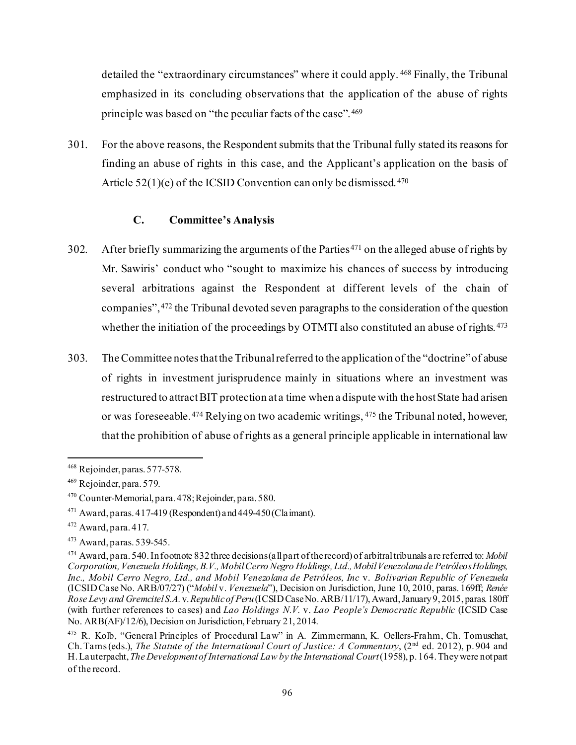detailed the "extraordinary circumstances" where it could apply. <sup>[468](#page-102-0)</sup> Finally, the Tribunal emphasized in its concluding observations that the application of the abuse of rights principle was based on "the peculiar facts of the case".[469](#page-102-1)

301. For the above reasons, the Respondent submits that the Tribunal fully stated its reasons for finding an abuse of rights in this case, and the Applicant's application on the basis of Article  $52(1)(e)$  of the ICSID Convention can only be dismissed.<sup>[470](#page-102-2)</sup>

## **C. Committee's Analysis**

- 302. After briefly summarizing the arguments of the Parties<sup>[471](#page-102-3)</sup> on the alleged abuse of rights by Mr. Sawiris' conduct who "sought to maximize his chances of success by introducing several arbitrations against the Respondent at different levels of the chain of companies",[472](#page-102-4) the Tribunal devoted seven paragraphs to the consideration of the question whether the initiation of the proceedings by OTMTI also constituted an abuse of rights. <sup>[473](#page-102-5)</sup>
- 303. The Committee notes that the Tribunal referred to the application of the "doctrine" of abuse of rights in investment jurisprudence mainly in situations where an investment was restructured to attract BIT protection at a time when a dispute with the host State had arisen or was foreseeable.<sup>[474](#page-102-6)</sup> Relying on two academic writings, <sup>[475](#page-102-7)</sup> the Tribunal noted, however, that the prohibition of abuse of rights as a general principle applicable in international law

<span id="page-102-5"></span> $473$  Award, paras. 539-545.

<span id="page-102-0"></span><sup>468</sup> Rejoinder, paras. 577-578.

<span id="page-102-1"></span><sup>469</sup> Rejoinder, para. 579.

<span id="page-102-2"></span><sup>470</sup> Counter-Memorial, para. 478; Rejoinder, para. 580.

<span id="page-102-3"></span> $471$  Award, paras. 417-419 (Respondent) and 449-450 (Claimant).

<span id="page-102-4"></span> $472$  Award, para. 417.

<span id="page-102-6"></span><sup>474</sup> Award, para. 540. In footnote 832 three decisions (all part of the record) of arbitral tribunals are referred to: *Mobil Corporation, Venezuela Holdings, B.V., Mobil Cerro Negro Holdings, Ltd., Mobil Venezolana de Petróleos Holdings, Inc., Mobil Cerro Negro, Ltd., and Mobil Venezolana de Petróleos, Inc* v. *Bolivarian Republic of Venezuela*  (ICSIDCase No. ARB/07/27) ("*Mobil* v. *Venezuela*"), Decision on Jurisdiction, June 10, 2010, paras. 169ff; *Renée Rose Levy and Gremcitel S.A.* v.*Republic of Peru* (ICSID Case No.ARB/11/17), Award, January 9, 2015, paras. 180ff (with further references to cases) and *Lao Holdings N.V.* v. *Lao People's Democratic Republic* (ICSID Case No. ARB(AF)/12/6), Decision on Jurisdiction, February 21, 2014.

<span id="page-102-7"></span><sup>475</sup> R. Kolb, "General Principles of Procedural Law" in A. Zimmermann, K. Oellers-Frahm, Ch. Tomuschat, Ch. Tams (eds.), *The Statute of the International Court of Justice: A Commentary*, (2<sup>nd</sup> ed. 2012), p.904 and H.Lauterpacht, *The Development of International Law by the International Court*(1958), p. 164. They were not part of the record.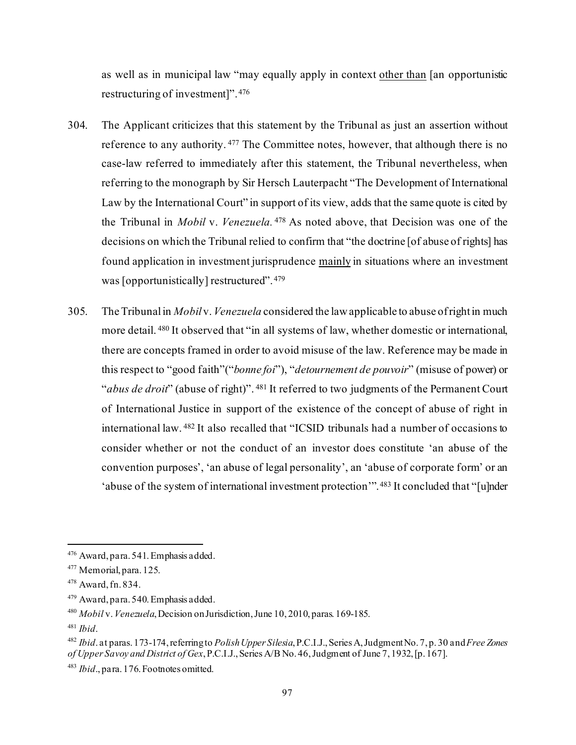as well as in municipal law "may equally apply in context other than [an opportunistic restructuring of investment]".[476](#page-103-0)

- 304. The Applicant criticizes that this statement by the Tribunal as just an assertion without reference to any authority. [477](#page-103-1) The Committee notes, however, that although there is no case-law referred to immediately after this statement, the Tribunal nevertheless, when referring to the monograph by Sir Hersch Lauterpacht "The Development of International Law by the International Court" in support of its view, adds that the same quote is cited by the Tribunal in *Mobil* v. *Venezuela.* [478](#page-103-2) As noted above, that Decision was one of the decisions on which the Tribunal relied to confirm that "the doctrine [of abuse of rights] has found application in investment jurisprudence mainly in situations where an investment was [opportunistically] restructured".  $479$
- 305. The Tribunal in *Mobil* v.*Venezuela* considered the law applicable to abuse of right in much more detail. [480](#page-103-4) It observed that "in all systems of law, whether domestic or international, there are concepts framed in order to avoid misuse of the law. Reference may be made in this respect to "good faith"("*bonne foi*"), "*detournement de pouvoir*" (misuse of power) or "*abus de droit*" (abuse of right)". [481](#page-103-5) It referred to two judgments of the Permanent Court of International Justice in support of the existence of the concept of abuse of right in international law. [482](#page-103-6) It also recalled that "ICSID tribunals had a number of occasions to consider whether or not the conduct of an investor does constitute 'an abuse of the convention purposes', 'an abuse of legal personality', an 'abuse of corporate form' or an 'abuse of the system of international investment protection'". [483](#page-103-7) It concluded that "[u]nder

<span id="page-103-0"></span><sup>476</sup> Award, para. 541.Emphasis added.

<span id="page-103-1"></span><sup>477</sup> Memorial, para. 125.

<span id="page-103-2"></span><sup>478</sup> Award, fn. 834.

<span id="page-103-3"></span><sup>479</sup> Award, para. 540.Emphasis added.

<span id="page-103-4"></span><sup>480</sup> *Mobil* v.*Venezuela*, Decision on Jurisdiction, June 10, 2010, paras. 169-185.

<span id="page-103-5"></span><sup>481</sup> *Ibid*.

<span id="page-103-6"></span><sup>482</sup> *Ibid*. at paras. 173-174, referring to *Polish Upper Silesia*, P.C.I.J., Series A, Judgment No. 7, p. 30 and*Free Zones of Upper Savoy and District of Gex*, P.C.I.J., Series A/B No. 46, Judgment of June 7, 1932, [p. 167].

<span id="page-103-7"></span><sup>483</sup> *Ibid*., para. 176.Footnotes omitted.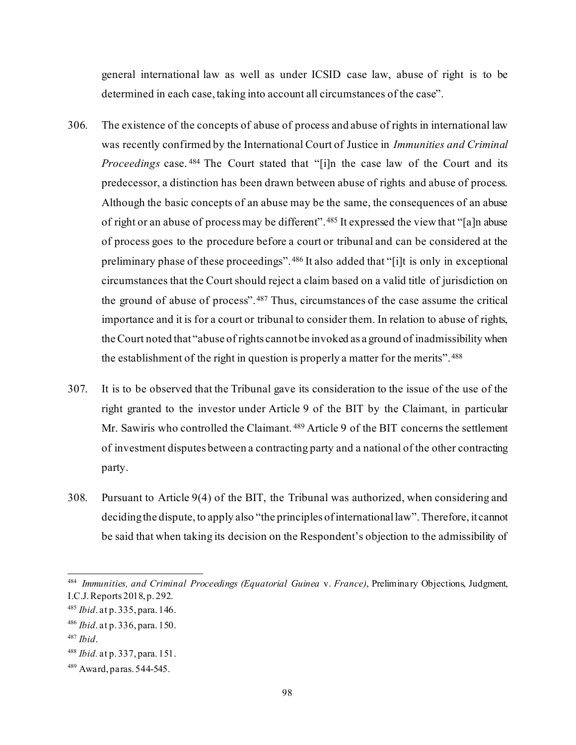general international law as well as under ICSID case law, abuse of right is to be determined in each case, taking into account all circumstances of the case".

- 306. The existence of the concepts of abuse of process and abuse of rights in international law was recently confirmed by the International Court of Justice in *Immunities and Criminal Proceedings* case. [484](#page-104-0) The Court stated that "[i]n the case law of the Court and its predecessor, a distinction has been drawn between abuse of rights and abuse of process. Although the basic concepts of an abuse may be the same, the consequences of an abuse of right or an abuse of process may be different".<sup>[485](#page-104-1)</sup> It expressed the view that "[a]n abuse of process goes to the procedure before a court or tribunal and can be considered at the preliminary phase of these proceedings". [486](#page-104-2) It also added that "[i]t is only in exceptional circumstances that the Court should reject a claim based on a valid title of jurisdiction on the ground of abuse of process". [487](#page-104-3) Thus, circumstances of the case assume the critical importance and it is for a court or tribunal to consider them. In relation to abuse of rights, the Court noted that "abuse of rights cannot be invoked as a ground of inadmissibility when the establishment of the right in question is properly a matter for the merits".<sup>[488](#page-104-4)</sup>
- 307. It is to be observed that the Tribunal gave its consideration to the issue of the use of the right granted to the investor under Article 9 of the BIT by the Claimant, in particular Mr. Sawiris who controlled the Claimant. [489](#page-104-5) Article 9 of the BIT concerns the settlement of investment disputes between a contracting party and a national of the other contracting party.
- 308. Pursuant to Article 9(4) of the BIT, the Tribunal was authorized, when considering and deciding the dispute, to apply also "the principles of international law". Therefore, it cannot be said that when taking its decision on the Respondent's objection to the admissibility of

<span id="page-104-0"></span><sup>484</sup> *Immunities, and Criminal Proceedings (Equatorial Guinea* v. *France)*, Preliminary Objections, Judgment, I.C.J.Reports 2018, p. 292.

<span id="page-104-1"></span><sup>485</sup> *Ibid*. at p. 335, para. 146.

<span id="page-104-2"></span><sup>486</sup> *Ibid*. at p. 336, para. 150.

<span id="page-104-3"></span><sup>487</sup> *Ibid*.

<span id="page-104-4"></span><sup>488</sup> *Ibid.* at p. 337, para. 151.

<span id="page-104-5"></span><sup>489</sup> Award, paras. 544-545.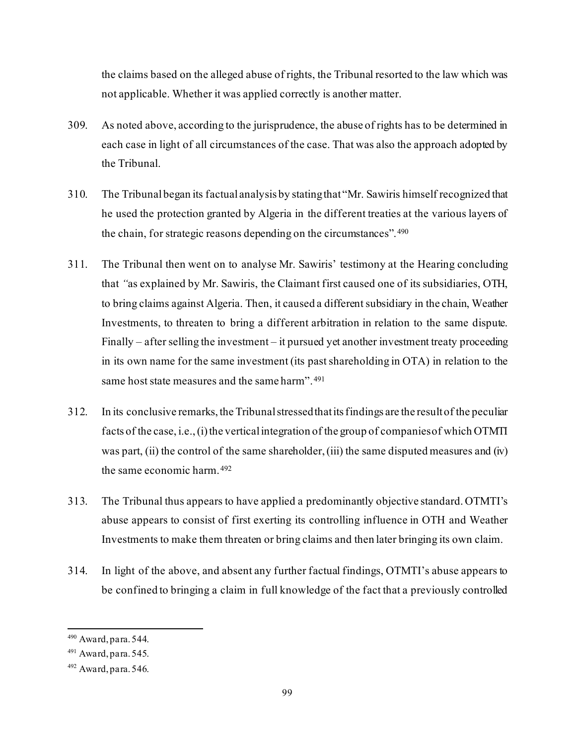the claims based on the alleged abuse of rights, the Tribunal resorted to the law which was not applicable. Whether it was applied correctly is another matter.

- 309. As noted above, according to the jurisprudence, the abuse of rights has to be determined in each case in light of all circumstances of the case. That was also the approach adopted by the Tribunal.
- 310. The Tribunal began its factual analysis by stating that "Mr. Sawiris himself recognized that he used the protection granted by Algeria in the different treaties at the various layers of the chain, for strategic reasons depending on the circumstances".[490](#page-105-0)
- 311. The Tribunal then went on to analyse Mr. Sawiris' testimony at the Hearing concluding that *"*as explained by Mr. Sawiris, the Claimant first caused one of its subsidiaries, OTH, to bring claims against Algeria. Then, it caused a different subsidiary in the chain, Weather Investments, to threaten to bring a different arbitration in relation to the same dispute. Finally – after selling the investment – it pursued yet another investment treaty proceeding in its own name for the same investment (its past shareholding in OTA) in relation to the same host state measures and the same harm".<sup>[491](#page-105-1)</sup>
- 312. In its conclusive remarks, the Tribunal stressed that its findings are the result of the peculiar facts of the case, i.e., (i) the vertical integration of the group of companies of which OTMTI was part, (ii) the control of the same shareholder, (iii) the same disputed measures and (iv) the same economic harm.[492](#page-105-2)
- 313. The Tribunal thus appears to have applied a predominantly objective standard. OTMTI's abuse appears to consist of first exerting its controlling influence in OTH and Weather Investments to make them threaten or bring claims and then later bringing its own claim.
- 314. In light of the above, and absent any further factual findings, OTMTI's abuse appears to be confined to bringing a claim in full knowledge of the fact that a previously controlled

<span id="page-105-0"></span> $490$  Award, para. 544.

<span id="page-105-1"></span> $491$  Award, para. 545.

<span id="page-105-2"></span> $492$  Award, para. 546.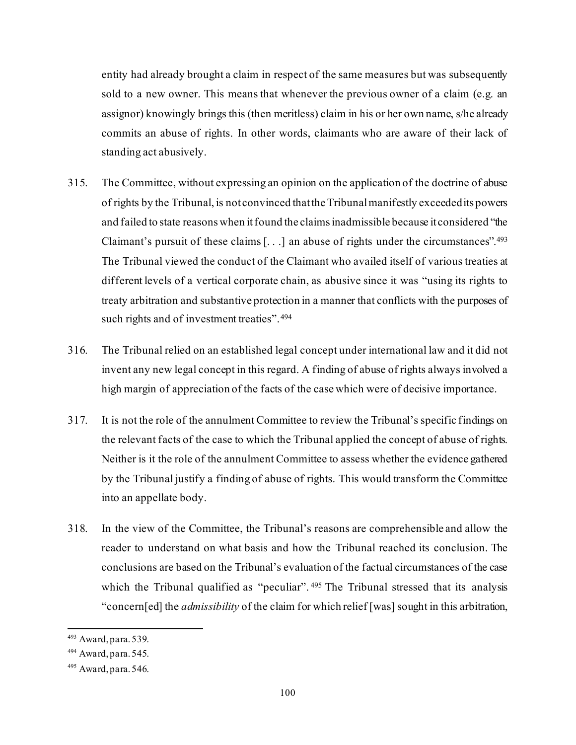entity had already brought a claim in respect of the same measures but was subsequently sold to a new owner. This means that whenever the previous owner of a claim (e.g. an assignor) knowingly brings this (then meritless) claim in his or her own name, s/he already commits an abuse of rights. In other words, claimants who are aware of their lack of standing act abusively.

- 315. The Committee, without expressing an opinion on the application of the doctrine of abuse of rights by the Tribunal, is not convinced that the Tribunal manifestly exceeded its powers and failed to state reasons when it found the claims inadmissible because it considered "the Claimant's pursuit of these claims  $[...]$  an abuse of rights under the circumstances".<sup>[493](#page-106-0)</sup> The Tribunal viewed the conduct of the Claimant who availed itself of various treaties at different levels of a vertical corporate chain, as abusive since it was "using its rights to treaty arbitration and substantive protection in a manner that conflicts with the purposes of such rights and of investment treaties".  $494$
- 316. The Tribunal relied on an established legal concept under international law and it did not invent any new legal concept in this regard. A finding of abuse of rights always involved a high margin of appreciation of the facts of the case which were of decisive importance.
- 317. It is not the role of the annulment Committee to review the Tribunal's specific findings on the relevant facts of the case to which the Tribunal applied the concept of abuse of rights. Neither is it the role of the annulment Committee to assess whether the evidence gathered by the Tribunal justify a finding of abuse of rights. This would transform the Committee into an appellate body.
- 318. In the view of the Committee, the Tribunal's reasons are comprehensible and allow the reader to understand on what basis and how the Tribunal reached its conclusion. The conclusions are based on the Tribunal's evaluation of the factual circumstances of the case which the Tribunal qualified as "peculiar". <sup>[495](#page-106-2)</sup> The Tribunal stressed that its analysis "concern[ed] the *admissibility* of the claim for which relief [was] sought in this arbitration,

<span id="page-106-0"></span> $493$  Award, para. 539.

<span id="page-106-1"></span> $494$  Award, para. 545.

<span id="page-106-2"></span> $495$  Award, para. 546.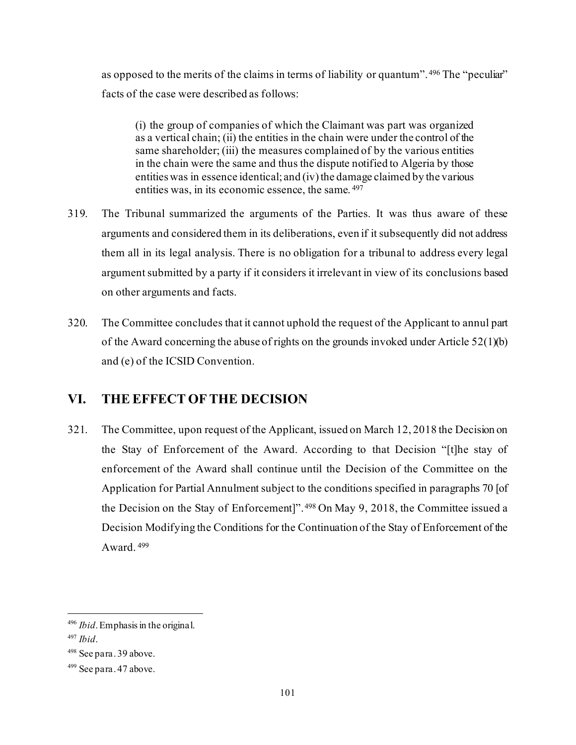as opposed to the merits of the claims in terms of liability or quantum". <sup>[496](#page-107-0)</sup> The "peculiar" facts of the case were described as follows:

(i) the group of companies of which the Claimant was part was organized as a vertical chain; (ii) the entities in the chain were under the control of the same shareholder; (iii) the measures complained of by the various entities in the chain were the same and thus the dispute notified to Algeria by those entities was in essence identical; and (iv) the damage claimed by the various entities was, in its economic essence, the same. [497](#page-107-1)

- 319. The Tribunal summarized the arguments of the Parties. It was thus aware of these arguments and considered them in its deliberations, even if it subsequently did not address them all in its legal analysis. There is no obligation for a tribunal to address every legal argument submitted by a party if it considers it irrelevant in view of its conclusions based on other arguments and facts.
- 320. The Committee concludes that it cannot uphold the request of the Applicant to annul part of the Award concerning the abuse of rights on the grounds invoked under Article 52(1)(b) and (e) of the ICSID Convention.

# **VI. THE EFFECT OF THE DECISION**

321. The Committee, upon request of the Applicant, issued on March 12, 2018 the Decision on the Stay of Enforcement of the Award. According to that Decision "[t]he stay of enforcement of the Award shall continue until the Decision of the Committee on the Application for Partial Annulment subject to the conditions specified in paragraphs 70 [of the Decision on the Stay of Enforcement]".[498](#page-107-2) On May 9, 2018, the Committee issued a Decision Modifying the Conditions for the Continuation of the Stay of Enforcement of the Award. [499](#page-107-3)

<span id="page-107-0"></span><sup>496</sup> *Ibid*. Emphasis in the original.

<span id="page-107-1"></span><sup>497</sup> *Ibid*.

<span id="page-107-2"></span><sup>498</sup> See para. 39 above.

<span id="page-107-3"></span><sup>499</sup> See para. 47 above.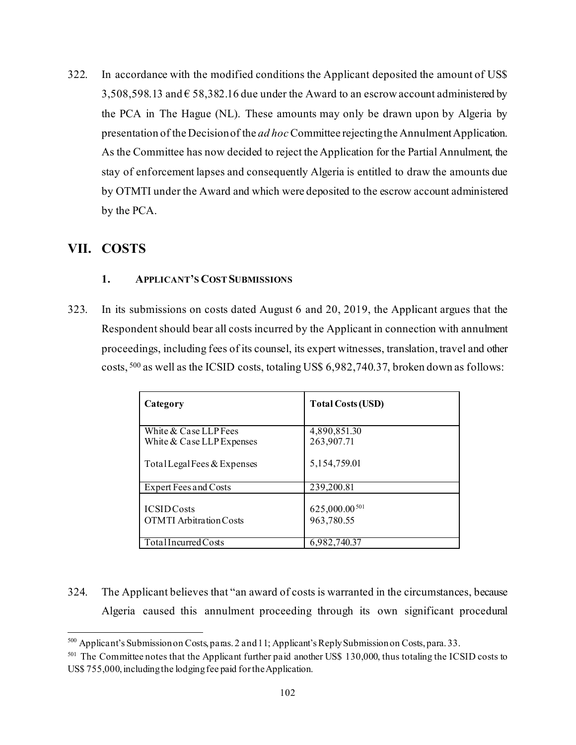322. In accordance with the modified conditions the Applicant deposited the amount of US\$  $3,508,598.13$  and  $\epsilon$  58,382.16 due under the Award to an escrow account administered by the PCA in The Hague (NL). These amounts may only be drawn upon by Algeria by presentation of the Decision of the *ad hoc*Committee rejecting the Annulment Application. As the Committee has now decided to reject the Application for the Partial Annulment, the stay of enforcement lapses and consequently Algeria is entitled to draw the amounts due by OTMTI under the Award and which were deposited to the escrow account administered by the PCA.

### **VII. COSTS**

#### **1. APPLICANT'S COST SUBMISSIONS**

323. In its submissions on costs dated August 6 and 20, 2019, the Applicant argues that the Respondent should bear all costs incurred by the Applicant in connection with annulment proceedings, including fees of its counsel, its expert witnesses, translation, travel and other costs, [500](#page-108-0) as well as the ICSID costs, totaling US\$ 6,982,740.37, broken down as follows:

| Category                                                     | <b>Total Costs (USD)</b>       |
|--------------------------------------------------------------|--------------------------------|
| White $& Case LLP Fees$<br>White $& \text{Case LLP Express}$ | 4,890,851.30<br>263,907.71     |
| Total Legal Fees & Expenses                                  | 5,154,759.01                   |
| <b>Expert Fees and Costs</b>                                 | 239,200.81                     |
| <b>ICSIDCosts</b><br><b>OTMTI Arbitration Costs</b>          | 625,000.00 $501$<br>963,780.55 |
| Total Incurred Costs                                         | 6,982,740.37                   |

324. The Applicant believes that "an award of costs is warranted in the circumstances, because Algeria caused this annulment proceeding through its own significant procedural

<span id="page-108-0"></span><sup>500</sup> Applicant's Submission on Costs, paras. 2 and 11; Applicant's Reply Submission on Costs, para. 33.

<span id="page-108-1"></span><sup>&</sup>lt;sup>501</sup> The Committee notes that the Applicant further paid another US\$ 130,000, thus totaling the ICSID costs to US\$ 755,000, including the lodging fee paid for the Application.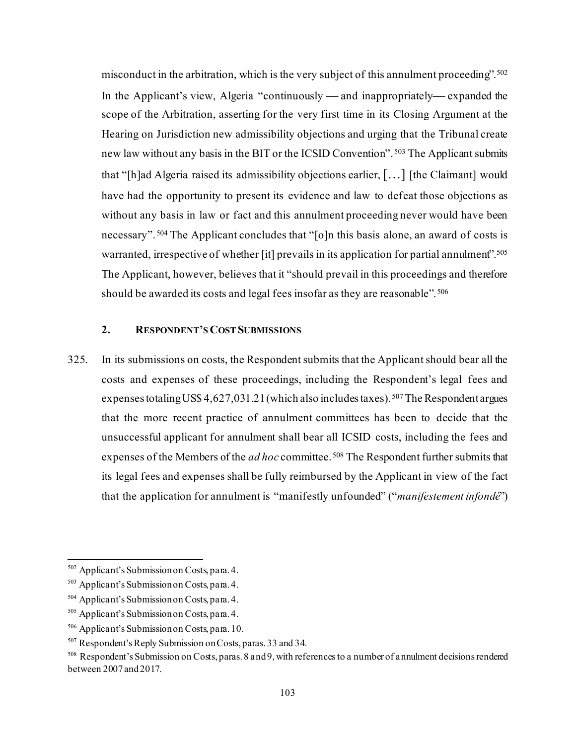misconduct in the arbitration, which is the very subject of this annulment proceeding".<sup>[502](#page-109-0)</sup> In the Applicant's view, Algeria "continuously — and inappropriately — expanded the scope of the Arbitration, asserting for the very first time in its Closing Argument at the Hearing on Jurisdiction new admissibility objections and urging that the Tribunal create new law without any basis in the BIT or the ICSID Convention". [503](#page-109-1) The Applicant submits that "[h]ad Algeria raised its admissibility objections earlier, […] [the Claimant] would have had the opportunity to present its evidence and law to defeat those objections as without any basis in law or fact and this annulment proceeding never would have been necessary".[504](#page-109-2) The Applicant concludes that "[o]n this basis alone, an award of costs is warranted, irrespective of whether [it] prevails in its application for partial annulment".<sup>[505](#page-109-3)</sup> The Applicant, however, believes that it "should prevail in this proceedings and therefore should be awarded its costs and legal fees insofar as they are reasonable".<sup>[506](#page-109-4)</sup>

#### **2. RESPONDENT'S COST SUBMISSIONS**

325. In its submissions on costs, the Respondent submits that the Applicant should bear all the costs and expenses of these proceedings, including the Respondent's legal fees and expenses totaling US\$ 4,627,031.21 (which also includes taxes). <sup>[507](#page-109-5)</sup> The Respondent argues that the more recent practice of annulment committees has been to decide that the unsuccessful applicant for annulment shall bear all ICSID costs, including the fees and expenses of the Members of the *ad hoc* committee.<sup>[508](#page-109-6)</sup> The Respondent further submits that its legal fees and expenses shall be fully reimbursed by the Applicant in view of the fact that the application for annulment is "manifestly unfounded" ("*manifestement infondé*")

<span id="page-109-0"></span><sup>502</sup> Applicant's Submission on Costs, para. 4.

<span id="page-109-1"></span><sup>503</sup> Applicant's Submission on Costs, para. 4.

<span id="page-109-2"></span><sup>504</sup> Applicant's Submission on Costs, para. 4.

<span id="page-109-3"></span><sup>505</sup> Applicant's Submission on Costs, para. 4.

<span id="page-109-4"></span><sup>506</sup> Applicant's Submission on Costs, para. 10.

<span id="page-109-5"></span><sup>507</sup> Respondent's Reply Submission on Costs, paras. 33 and 34.

<span id="page-109-6"></span><sup>&</sup>lt;sup>508</sup> Respondent's Submission on Costs, paras. 8 and 9, with references to a number of annulment decisions rendered between 2007 and 2017.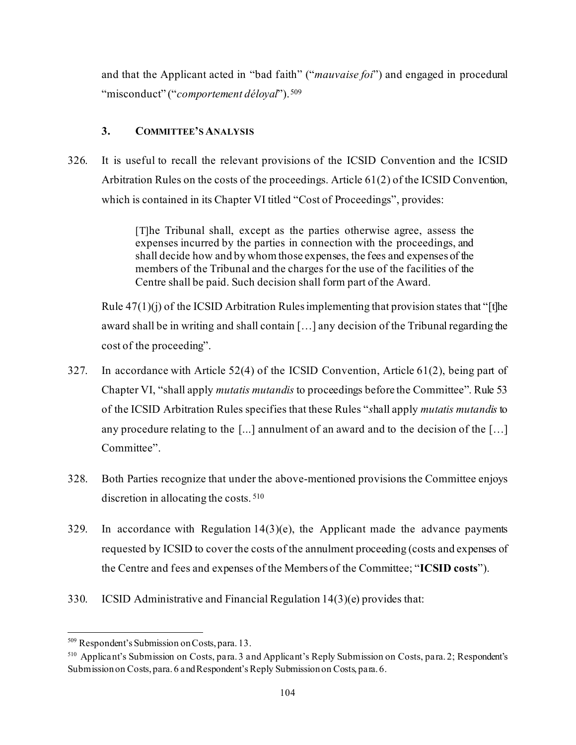and that the Applicant acted in "bad faith" ("*mauvaise foi*") and engaged in procedural "misconduct" ("*comportement déloyal*").<sup>[509](#page-110-0)</sup>

#### **3. COMMITTEE'S ANALYSIS**

326. It is useful to recall the relevant provisions of the ICSID Convention and the ICSID Arbitration Rules on the costs of the proceedings. Article 61(2) of the ICSID Convention, which is contained in its Chapter VI titled "Cost of Proceedings", provides:

> [T]he Tribunal shall, except as the parties otherwise agree, assess the expenses incurred by the parties in connection with the proceedings, and shall decide how and by whom those expenses, the fees and expenses of the members of the Tribunal and the charges for the use of the facilities of the Centre shall be paid. Such decision shall form part of the Award.

Rule  $47(1)(i)$  of the ICSID Arbitration Rules implementing that provision states that "[t]he award shall be in writing and shall contain […] any decision of the Tribunal regarding the cost of the proceeding".

- 327. In accordance with Article 52(4) of the ICSID Convention, Article 61(2), being part of Chapter VI, "shall apply *mutatis mutandis* to proceedings before the Committee". Rule 53 of the ICSID Arbitration Rules specifies that these Rules "*s*hall apply *mutatis mutandis* to any procedure relating to the [...] annulment of an award and to the decision of the […] Committee".
- 328. Both Parties recognize that under the above-mentioned provisions the Committee enjoys discretion in allocating the costs. [510](#page-110-1)
- 329. In accordance with Regulation  $14(3)(e)$ , the Applicant made the advance payments requested by ICSID to cover the costs of the annulment proceeding (costs and expenses of the Centre and fees and expenses of the Members of the Committee; "**ICSID costs**").
- 330. ICSID Administrative and Financial Regulation 14(3)(e) provides that:

<span id="page-110-0"></span><sup>509</sup> Respondent's Submission on Costs, para. 13.

<span id="page-110-1"></span><sup>510</sup> Applicant's Submission on Costs, para. 3 and Applicant's Reply Submission on Costs, para. 2; Respondent's Submission on Costs, para. 6 and Respondent's Reply Submission on Costs, para. 6.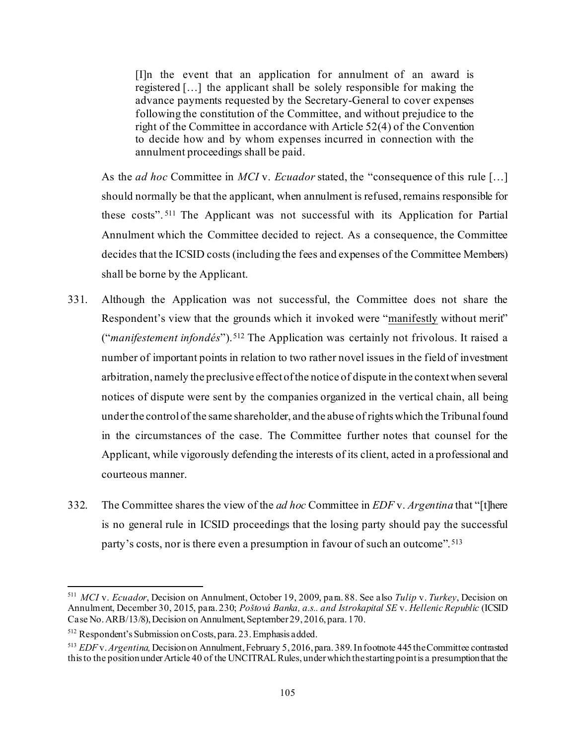[I]n the event that an application for annulment of an award is registered […] the applicant shall be solely responsible for making the advance payments requested by the Secretary-General to cover expenses following the constitution of the Committee, and without prejudice to the right of the Committee in accordance with Article 52(4) of the Convention to decide how and by whom expenses incurred in connection with the annulment proceedings shall be paid.

As the *ad hoc* Committee in *MCI* v. *Ecuador* stated, the "consequence of this rule […] should normally be that the applicant, when annulment is refused, remains responsible for these costs". [511](#page-111-0) The Applicant was not successful with its Application for Partial Annulment which the Committee decided to reject. As a consequence, the Committee decides that the ICSID costs (including the fees and expenses of the Committee Members) shall be borne by the Applicant.

- 331. Although the Application was not successful, the Committee does not share the Respondent's view that the grounds which it invoked were "manifestly without merit" ("*manifestement infondés*"). [512](#page-111-1) The Application was certainly not frivolous. It raised a number of important points in relation to two rather novel issues in the field of investment arbitration, namely the preclusive effect of the notice of dispute in the context when several notices of dispute were sent by the companies organized in the vertical chain, all being under the control of the same shareholder, and the abuse of rightswhich the Tribunal found in the circumstances of the case. The Committee further notes that counsel for the Applicant, while vigorously defending the interests of its client, acted in a professional and courteous manner.
- 332. The Committee shares the view of the *ad hoc* Committee in *EDF* v. *Argentina* that "[t]here is no general rule in ICSID proceedings that the losing party should pay the successful party's costs, nor is there even a presumption in favour of such an outcome". [513](#page-111-2)

<span id="page-111-0"></span><sup>511</sup> *MCI* v. *Ecuador*, Decision on Annulment, October 19, 2009, para. 88. See also *Tulip* v. *Turkey*, Decision on Annulment, December 30, 2015, para. 230; *Poštová Banka, a.s.. and Istrokapital SE* v. *Hellenic Republic* (ICSID Case No.ARB/13/8), Decision on Annulment, September 29, 2016, para. 170.

<span id="page-111-1"></span><sup>512</sup> Respondent's Submission on Costs, para. 23. Emphasis added.

<span id="page-111-2"></span><sup>513</sup> *EDF* v.*Argentina,*Decision on Annulment, February 5, 2016, para. 389. In footnote 445 the Committee contrasted this to the position under Article 40 of the UNCITRAL Rules, under which the starting point is a presumption that the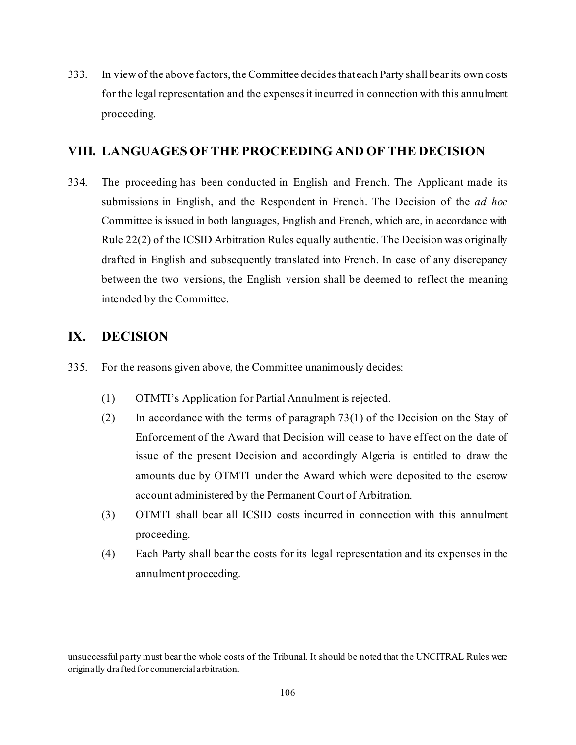333. In view of the above factors, the Committee decides that each Party shall bear its own costs for the legal representation and the expenses it incurred in connection with this annulment proceeding.

# **VIII. LANGUAGES OF THE PROCEEDING AND OF THE DECISION**

334. The proceeding has been conducted in English and French. The Applicant made its submissions in English, and the Respondent in French. The Decision of the *ad hoc* Committee is issued in both languages, English and French, which are, in accordance with Rule 22(2) of the ICSID Arbitration Rules equally authentic. The Decision was originally drafted in English and subsequently translated into French. In case of any discrepancy between the two versions, the English version shall be deemed to reflect the meaning intended by the Committee.

## **IX. DECISION**

- 335. For the reasons given above, the Committee unanimously decides:
	- (1) OTMTI's Application for Partial Annulment is rejected.
	- (2) In accordance with the terms of paragraph 73(1) of the Decision on the Stay of Enforcement of the Award that Decision will cease to have effect on the date of issue of the present Decision and accordingly Algeria is entitled to draw the amounts due by OTMTI under the Award which were deposited to the escrow account administered by the Permanent Court of Arbitration.
	- (3) OTMTI shall bear all ICSID costs incurred in connection with this annulment proceeding.
	- (4) Each Party shall bear the costs for its legal representation and its expenses in the annulment proceeding.

unsuccessful party must bear the whole costs of the Tribunal. It should be noted that the UNCITRAL Rules were originally drafted for commercial arbitration.